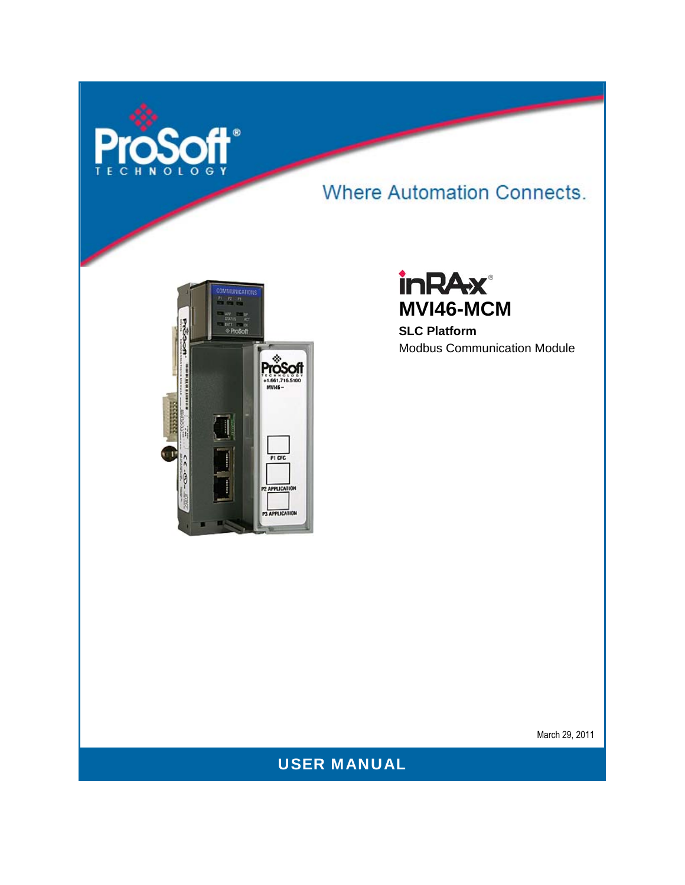

# **Where Automation Connects.**





**SLC Platform**  Modbus Communication Module

March 29, 2011

USER MANUAL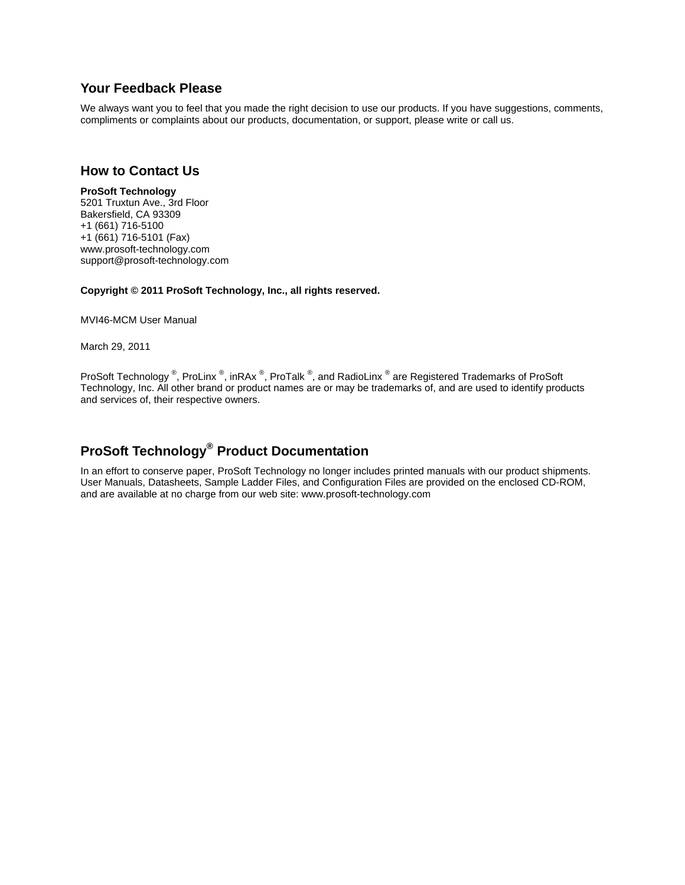#### **Your Feedback Please**

We always want you to feel that you made the right decision to use our products. If you have suggestions, comments, compliments or complaints about our products, documentation, or support, please write or call us.

#### **How to Contact Us**

#### **ProSoft Technology**

5201 Truxtun Ave., 3rd Floor Bakersfield, CA 93309 +1 (661) 716-5100 +1 (661) 716-5101 (Fax) www.prosoft-technology.com support@prosoft-technology.com

**Copyright © 2011 ProSoft Technology, Inc., all rights reserved.**

MVI46-MCM User Manual

March 29, 2011

ProSoft Technology ®, ProLinx ®, inRAx ®, ProTalk ®, and RadioLinx ® are Registered Trademarks of ProSoft Technology, Inc. All other brand or product names are or may be trademarks of, and are used to identify products and services of, their respective owners.

# **ProSoft Technology® Product Documentation**

In an effort to conserve paper, ProSoft Technology no longer includes printed manuals with our product shipments. User Manuals, Datasheets, Sample Ladder Files, and Configuration Files are provided on the enclosed CD-ROM, and are available at no charge from our web site: www.prosoft-technology.com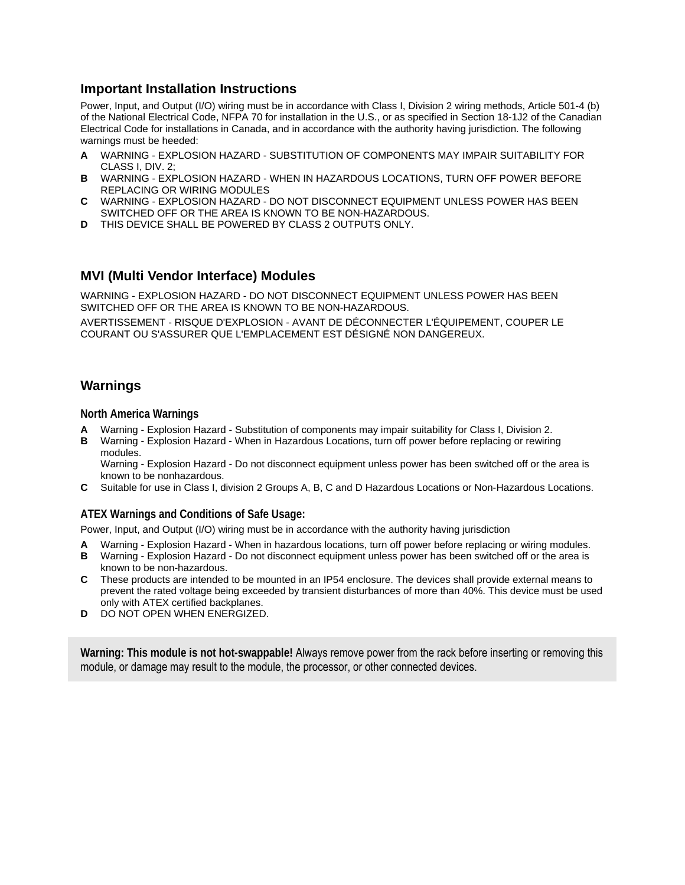#### **Important Installation Instructions**

Power, Input, and Output (I/O) wiring must be in accordance with Class I, Division 2 wiring methods, Article 501-4 (b) of the National Electrical Code, NFPA 70 for installation in the U.S., or as specified in Section 18-1J2 of the Canadian Electrical Code for installations in Canada, and in accordance with the authority having jurisdiction. The following warnings must be heeded:

- **A** WARNING EXPLOSION HAZARD SUBSTITUTION OF COMPONENTS MAY IMPAIR SUITABILITY FOR CLASS I, DIV. 2;
- **B** WARNING EXPLOSION HAZARD WHEN IN HAZARDOUS LOCATIONS, TURN OFF POWER BEFORE REPLACING OR WIRING MODULES
- **C** WARNING EXPLOSION HAZARD DO NOT DISCONNECT EQUIPMENT UNLESS POWER HAS BEEN SWITCHED OFF OR THE AREA IS KNOWN TO BE NON-HAZARDOUS.
- **D** THIS DEVICE SHALL BE POWERED BY CLASS 2 OUTPUTS ONLY.

#### **MVI (Multi Vendor Interface) Modules**

WARNING - EXPLOSION HAZARD - DO NOT DISCONNECT EQUIPMENT UNLESS POWER HAS BEEN SWITCHED OFF OR THE AREA IS KNOWN TO BE NON-HAZARDOUS.

AVERTISSEMENT - RISQUE D'EXPLOSION - AVANT DE DÉCONNECTER L'ÉQUIPEMENT, COUPER LE COURANT OU S'ASSURER QUE L'EMPLACEMENT EST DÉSIGNÉ NON DANGEREUX.

#### **Warnings**

#### **North America Warnings**

- **A** Warning Explosion Hazard Substitution of components may impair suitability for Class I, Division 2.
- **B** Warning Explosion Hazard When in Hazardous Locations, turn off power before replacing or rewiring modules.

Warning - Explosion Hazard - Do not disconnect equipment unless power has been switched off or the area is known to be nonhazardous.

**C** Suitable for use in Class I, division 2 Groups A, B, C and D Hazardous Locations or Non-Hazardous Locations.

#### **ATEX Warnings and Conditions of Safe Usage:**

Power, Input, and Output (I/O) wiring must be in accordance with the authority having jurisdiction

- Warning Explosion Hazard When in hazardous locations, turn off power before replacing or wiring modules.
- **B** Warning Explosion Hazard Do not disconnect equipment unless power has been switched off or the area is known to be non-hazardous.
- **C** These products are intended to be mounted in an IP54 enclosure. The devices shall provide external means to prevent the rated voltage being exceeded by transient disturbances of more than 40%. This device must be used only with ATEX certified backplanes.
- **D** DO NOT OPEN WHEN ENERGIZED.

**Warning: This module is not hot-swappable!** Always remove power from the rack before inserting or removing this module, or damage may result to the module, the processor, or other connected devices.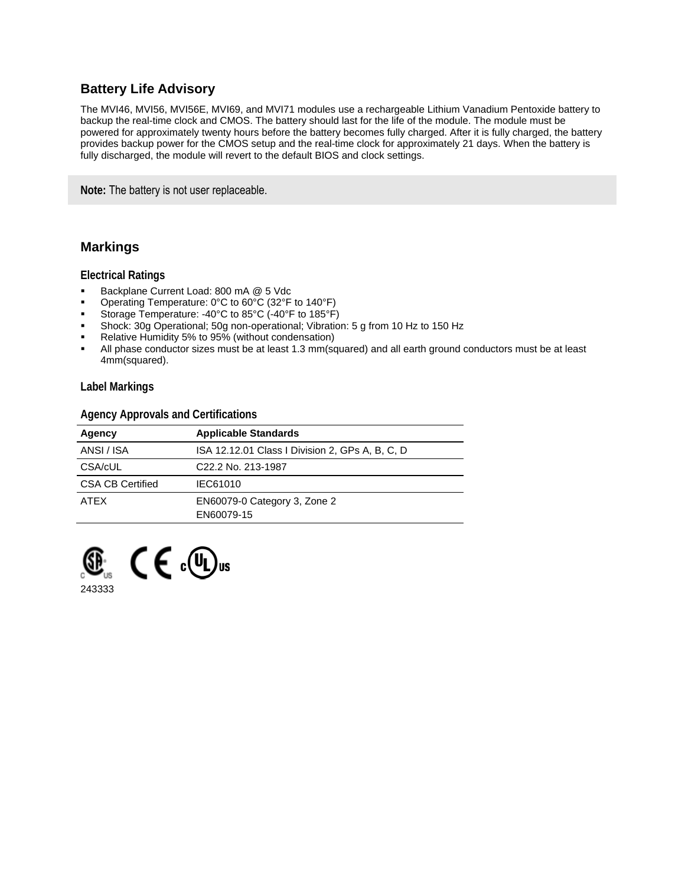#### **Battery Life Advisory**

The MVI46, MVI56, MVI56E, MVI69, and MVI71 modules use a rechargeable Lithium Vanadium Pentoxide battery to backup the real-time clock and CMOS. The battery should last for the life of the module. The module must be powered for approximately twenty hours before the battery becomes fully charged. After it is fully charged, the battery provides backup power for the CMOS setup and the real-time clock for approximately 21 days. When the battery is fully discharged, the module will revert to the default BIOS and clock settings.

**Note:** The battery is not user replaceable.

#### **Markings**

#### **Electrical Ratings**

- Backplane Current Load: 800 mA @ 5 Vdc
- Operating Temperature: 0°C to 60°C (32°F to 140°F)
- Storage Temperature: -40°C to 85°C (-40°F to 185°F)
- Shock: 30g Operational; 50g non-operational; Vibration: 5 g from 10 Hz to 150 Hz
- Relative Humidity 5% to 95% (without condensation)
- All phase conductor sizes must be at least 1.3 mm(squared) and all earth ground conductors must be at least 4mm(squared).

#### **Label Markings**

#### **Agency Approvals and Certifications**

| Agency                  | <b>Applicable Standards</b>                     |
|-------------------------|-------------------------------------------------|
| ANSI / ISA              | ISA 12.12.01 Class I Division 2, GPs A, B, C, D |
| CSA/cUL                 | C <sub>22</sub> .2 No. 213-1987                 |
| <b>CSA CB Certified</b> | IEC61010                                        |
| ATFX                    | EN60079-0 Category 3, Zone 2                    |
|                         | EN60079-15                                      |

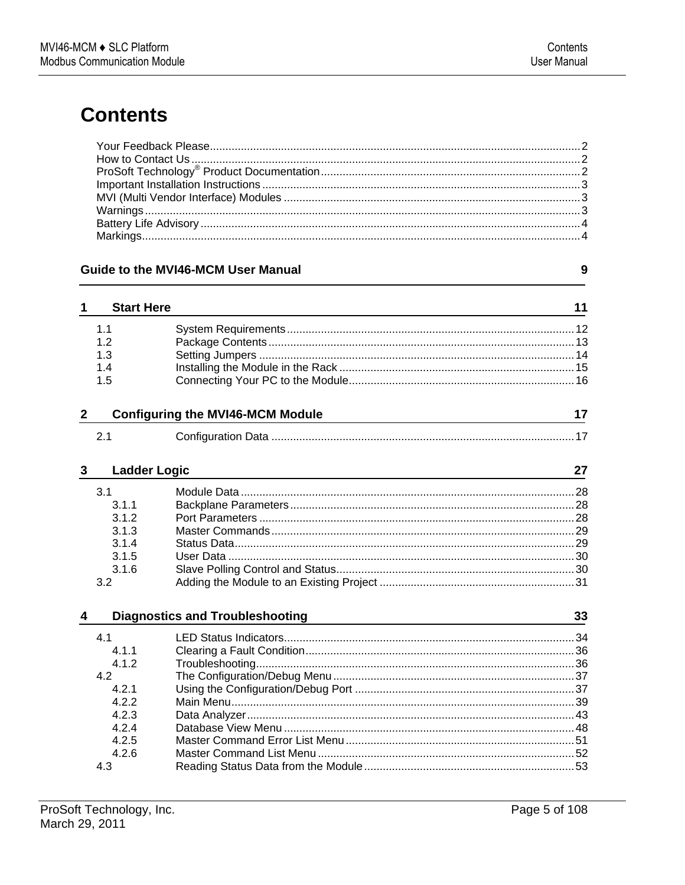# **Contents**

#### Guide to the MVI46-MCM User Manual

 $\boldsymbol{9}$ 

| $\mathbf 1$ | <b>Start Here</b> |  |
|-------------|-------------------|--|
|             |                   |  |
|             |                   |  |
|             |                   |  |
|             |                   |  |
|             | 15                |  |

| <b>Configuring the MVI46-MCM Module</b> |  |
|-----------------------------------------|--|
|                                         |  |

#### **Ladder Logic**  $3<sup>7</sup>$

| 3.1   |  |
|-------|--|
| 3.1.1 |  |
| 312   |  |
| 313   |  |
| 314   |  |
| 3.1.5 |  |
| 3.1.6 |  |
| 3.2   |  |

#### **Diagnostics and Troubleshooting**  $\overline{\mathbf{4}}$

33

27

| 4.1   |  |
|-------|--|
| 4.1.1 |  |
| 4.1.2 |  |
| 4.2   |  |
| 421   |  |
| 422   |  |
| 4.2.3 |  |
| 424   |  |
| 425   |  |
| 4.2.6 |  |
| 4.3   |  |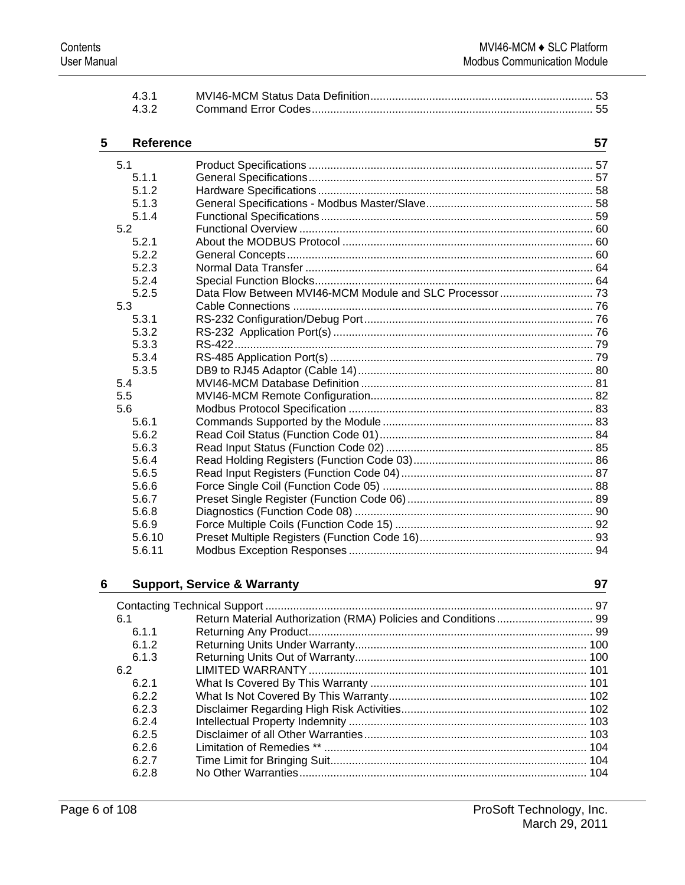| 4.3.1 |  |
|-------|--|
| 4.3.2 |  |

| 5   | <b>Reference</b> |         | 57 |
|-----|------------------|---------|----|
| 5.1 |                  |         |    |
|     | 5.1.1            |         |    |
|     | 5.1.2            |         |    |
|     | 5.1.3            |         |    |
|     | 5.1.4            |         |    |
| 5.2 |                  |         |    |
|     | 5.2.1            |         |    |
|     | 5.2.2            |         |    |
|     | 5.2.3            |         |    |
|     | 5.2.4            |         |    |
|     | 5.2.5            |         |    |
| 5.3 |                  |         |    |
|     | 5.3.1            |         |    |
|     | 5.3.2            |         |    |
|     | 5.3.3            | RS-422. |    |
|     | 5.3.4            |         |    |
|     | 5.3.5            |         |    |
| 5.4 |                  |         |    |
| 5.5 |                  |         |    |
| 5.6 |                  |         |    |
|     | 5.6.1            |         |    |
|     | 5.6.2            |         |    |
|     | 5.6.3            |         |    |
|     | 5.6.4            |         |    |
|     | 5.6.5            |         |    |
|     | 5.6.6            |         |    |
|     | 5.6.7            |         |    |
|     | 5.6.8            |         |    |
|     | 5.6.9            |         |    |
|     | 5.6.10           |         |    |
|     | 5.6.11           |         |    |

#### $6\phantom{a}$ **Support, Service & Warranty**

# 97

| 6.1   |     |
|-------|-----|
| 6.1.1 |     |
| 6.1.2 |     |
| 6.1.3 |     |
| 6.2   |     |
| 6.2.1 |     |
| 6.2.2 |     |
| 6.2.3 |     |
| 6.2.4 |     |
| 6.2.5 |     |
| 6.2.6 |     |
| 627   |     |
| 628   | 104 |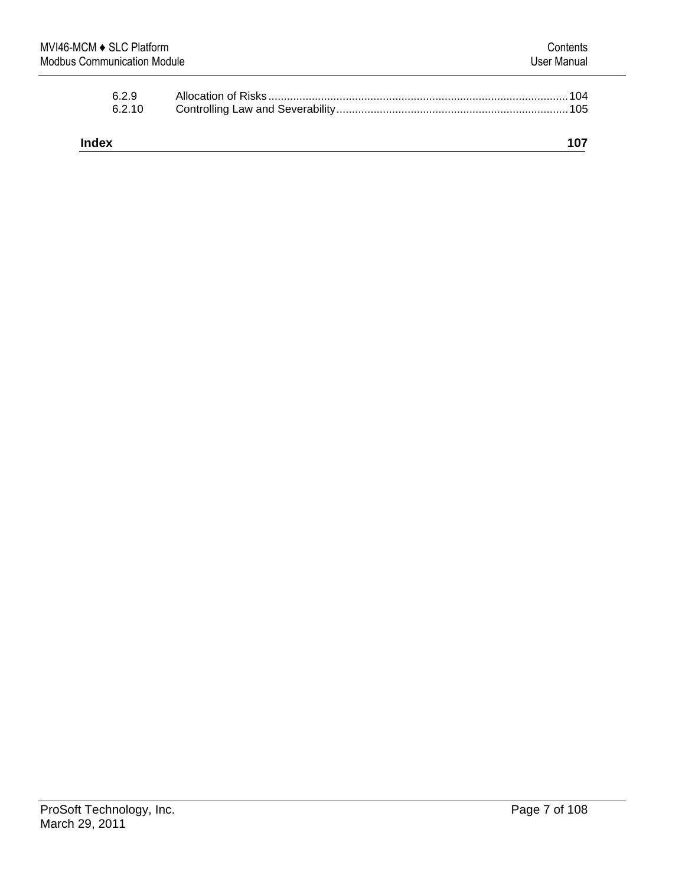| 629          |     |
|--------------|-----|
| 6.2.10       |     |
| <b>Index</b> | 107 |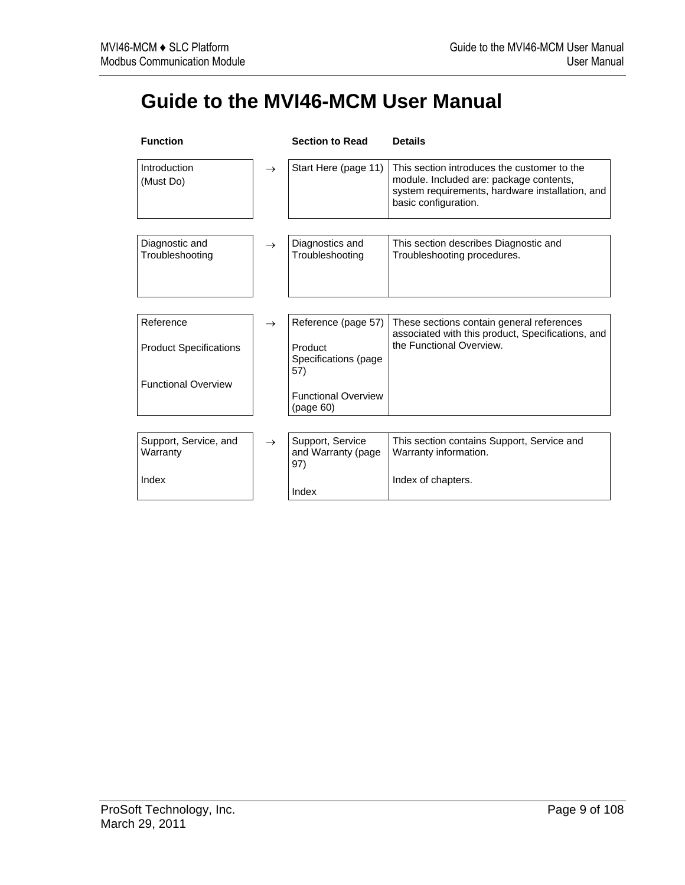# **Guide to the MVI46-MCM User Manual**

| <b>Function</b>                            |               | <b>Section to Read</b>                                 | <b>Details</b>                                                                                                                                                    |
|--------------------------------------------|---------------|--------------------------------------------------------|-------------------------------------------------------------------------------------------------------------------------------------------------------------------|
| Introduction<br>(Must Do)                  | $\rightarrow$ | Start Here (page 11)                                   | This section introduces the customer to the<br>module. Included are: package contents,<br>system requirements, hardware installation, and<br>basic configuration. |
|                                            |               |                                                        |                                                                                                                                                                   |
| Diagnostic and<br>Troubleshooting          | $\rightarrow$ | Diagnostics and<br>Troubleshooting                     | This section describes Diagnostic and<br>Troubleshooting procedures.                                                                                              |
|                                            |               |                                                        |                                                                                                                                                                   |
| Reference<br><b>Product Specifications</b> | $\rightarrow$ | Reference (page 57)<br>Product<br>Specifications (page | These sections contain general references<br>associated with this product, Specifications, and<br>the Functional Overview.                                        |
|                                            |               | 57)                                                    |                                                                                                                                                                   |
| <b>Functional Overview</b>                 |               | <b>Functional Overview</b><br>(page 60)                |                                                                                                                                                                   |
|                                            |               |                                                        |                                                                                                                                                                   |
| Support, Service, and<br>Warranty          | $\rightarrow$ | Support, Service<br>and Warranty (page<br>97)          | This section contains Support, Service and<br>Warranty information.                                                                                               |
| Index                                      |               | Index                                                  | Index of chapters.                                                                                                                                                |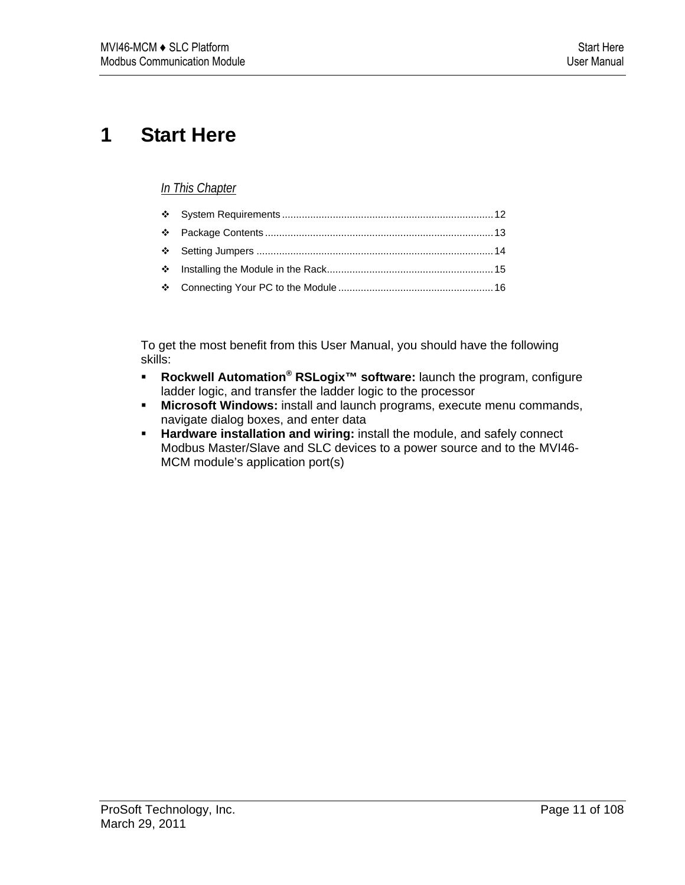# **1 Start Here**

### *In This Chapter*

To get the most benefit from this User Manual, you should have the following skills:

- **Rockwell Automation® RSLogix™ software:** launch the program, configure ladder logic, and transfer the ladder logic to the processor
- **Microsoft Windows:** install and launch programs, execute menu commands, navigate dialog boxes, and enter data
- **Hardware installation and wiring:** install the module, and safely connect Modbus Master/Slave and SLC devices to a power source and to the MVI46- MCM module's application port(s)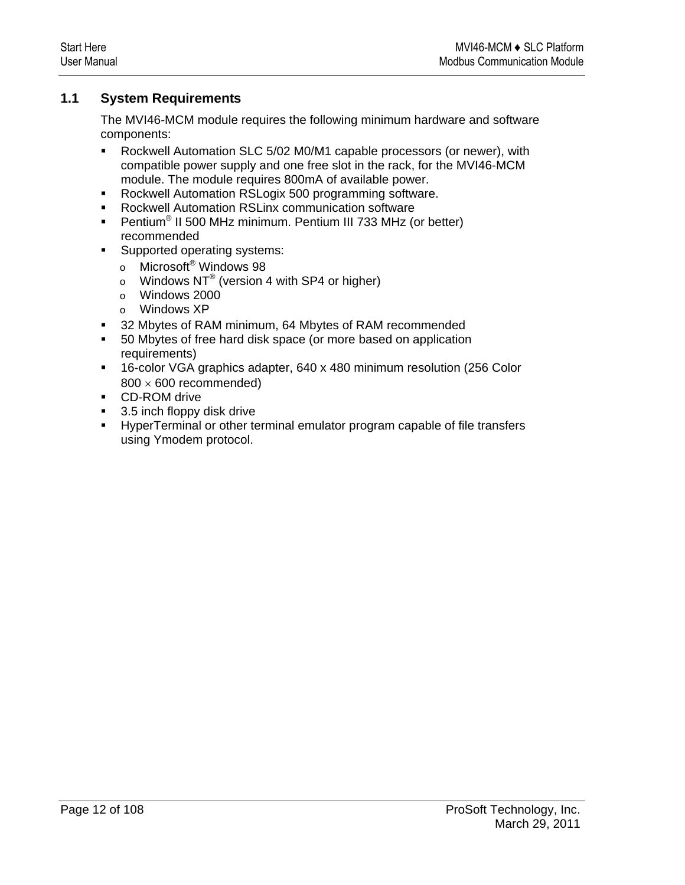# **1.1 System Requirements**

The MVI46-MCM module requires the following minimum hardware and software components:

- Rockwell Automation SLC 5/02 M0/M1 capable processors (or newer), with compatible power supply and one free slot in the rack, for the MVI46-MCM module. The module requires 800mA of available power.
- Rockwell Automation RSLogix 500 programming software.
- **Rockwell Automation RSLinx communication software**
- Pentium<sup>®</sup> II 500 MHz minimum. Pentium III 733 MHz (or better) recommended
- **Supported operating systems:** 
	- <sup>o</sup> Microsoft® Windows 98
	- $\circ$  Windows NT<sup>®</sup> (version 4 with SP4 or higher)
	- o Windows 2000
	- o Windows XP
- 32 Mbytes of RAM minimum, 64 Mbytes of RAM recommended
- 50 Mbytes of free hard disk space (or more based on application requirements)
- 16-color VGA graphics adapter, 640 x 480 minimum resolution (256 Color  $800 \times 600$  recommended)
- CD-ROM drive
- 3.5 inch floppy disk drive
- HyperTerminal or other terminal emulator program capable of file transfers using Ymodem protocol.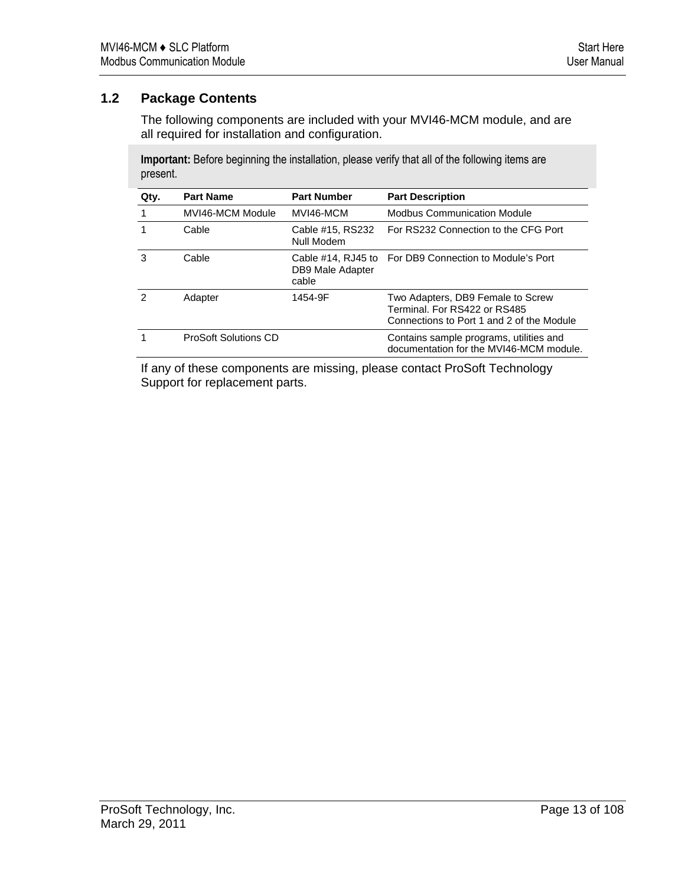# **1.2 Package Contents**

The following components are included with your MVI46-MCM module, and are all required for installation and configuration.

**Important:** Before beginning the installation, please verify that all of the following items are present.

| Qty. | <b>Part Name</b>            | <b>Part Number</b>             | <b>Part Description</b>                                                                                        |
|------|-----------------------------|--------------------------------|----------------------------------------------------------------------------------------------------------------|
|      | MVI46-MCM Module            | MVI46-MCM                      | <b>Modbus Communication Module</b>                                                                             |
|      | Cable                       | Cable #15, RS232<br>Null Modem | For RS232 Connection to the CFG Port                                                                           |
| 3    | Cable                       | DB9 Male Adapter<br>cable      | Cable #14, RJ45 to For DB9 Connection to Module's Port                                                         |
| 2    | Adapter                     | 1454-9F                        | Two Adapters, DB9 Female to Screw<br>Terminal, For RS422 or RS485<br>Connections to Port 1 and 2 of the Module |
|      | <b>ProSoft Solutions CD</b> |                                | Contains sample programs, utilities and<br>documentation for the MVI46-MCM module.                             |

If any of these components are missing, please contact ProSoft Technology Support for replacement parts.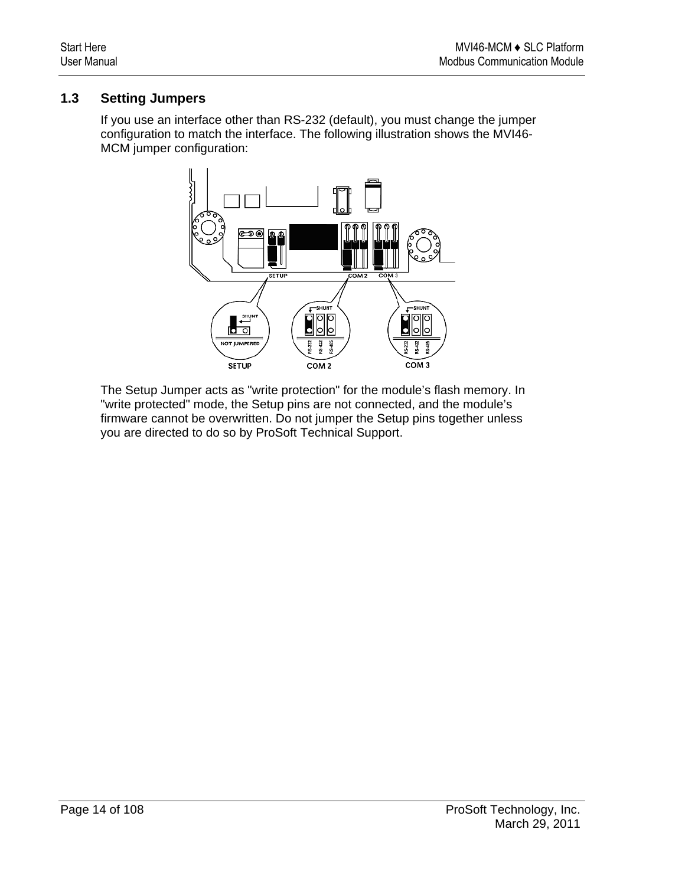# **1.3 Setting Jumpers**

If you use an interface other than RS-232 (default), you must change the jumper configuration to match the interface. The following illustration shows the MVI46- MCM jumper configuration:



The Setup Jumper acts as "write protection" for the module's flash memory. In "write protected" mode, the Setup pins are not connected, and the module's firmware cannot be overwritten. Do not jumper the Setup pins together unless you are directed to do so by ProSoft Technical Support.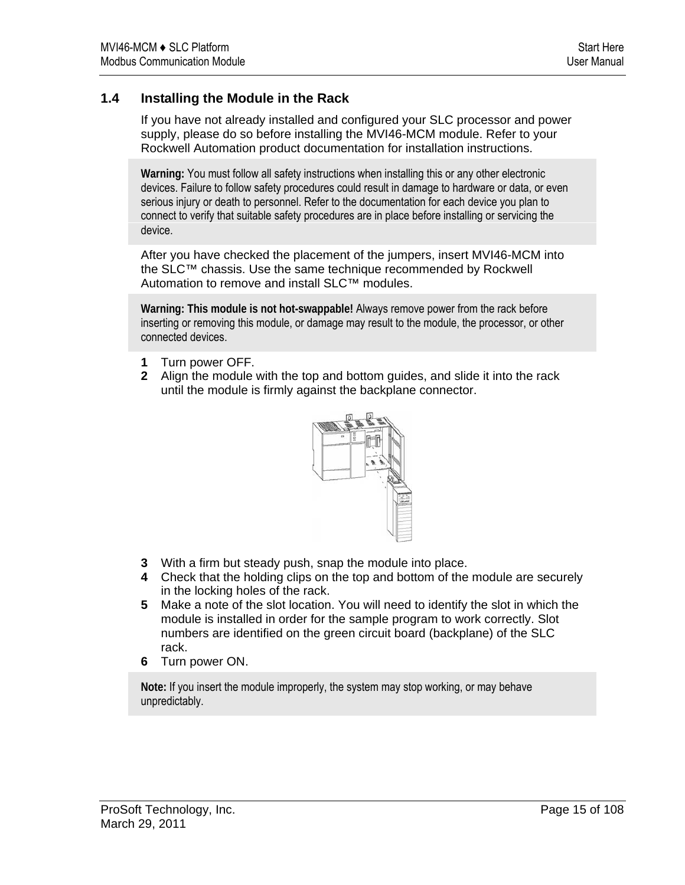### **1.4 Installing the Module in the Rack**

If you have not already installed and configured your SLC processor and power supply, please do so before installing the MVI46-MCM module. Refer to your Rockwell Automation product documentation for installation instructions.

**Warning:** You must follow all safety instructions when installing this or any other electronic devices. Failure to follow safety procedures could result in damage to hardware or data, or even serious injury or death to personnel. Refer to the documentation for each device you plan to connect to verify that suitable safety procedures are in place before installing or servicing the device.

After you have checked the placement of the jumpers, insert MVI46-MCM into the SLC™ chassis. Use the same technique recommended by Rockwell Automation to remove and install SLC™ modules.

**Warning: This module is not hot-swappable!** Always remove power from the rack before inserting or removing this module, or damage may result to the module, the processor, or other connected devices.

- **1** Turn power OFF.
- **2** Align the module with the top and bottom guides, and slide it into the rack until the module is firmly against the backplane connector.



- **3** With a firm but steady push, snap the module into place.
- **4** Check that the holding clips on the top and bottom of the module are securely in the locking holes of the rack.
- **5** Make a note of the slot location. You will need to identify the slot in which the module is installed in order for the sample program to work correctly. Slot numbers are identified on the green circuit board (backplane) of the SLC rack.
- **6** Turn power ON.

**Note:** If you insert the module improperly, the system may stop working, or may behave unpredictably.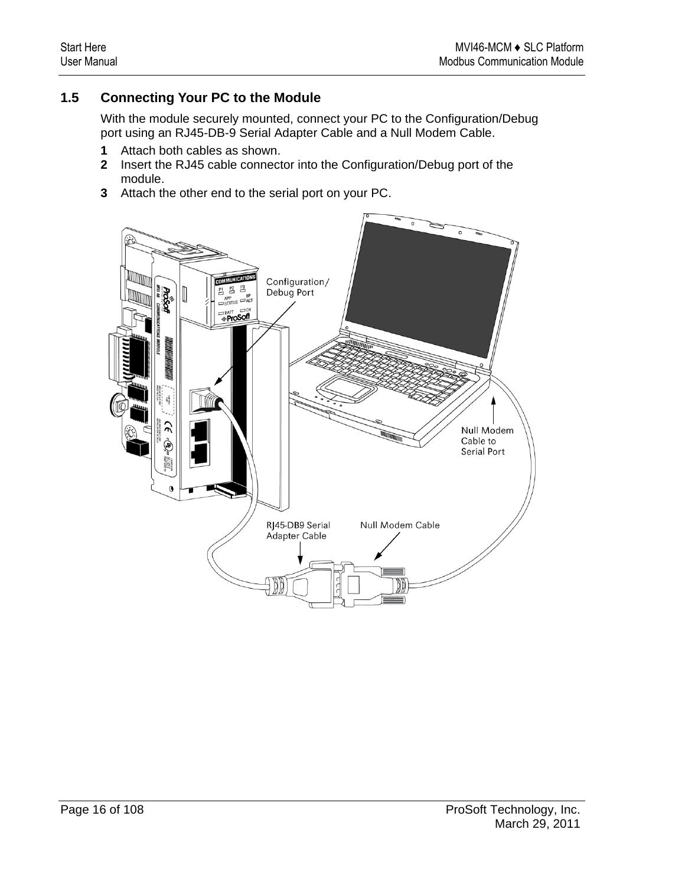## **1.5 Connecting Your PC to the Module**

With the module securely mounted, connect your PC to the Configuration/Debug port using an RJ45-DB-9 Serial Adapter Cable and a Null Modem Cable.

- **1** Attach both cables as shown.
- **2** Insert the RJ45 cable connector into the Configuration/Debug port of the module.
- **3** Attach the other end to the serial port on your PC.

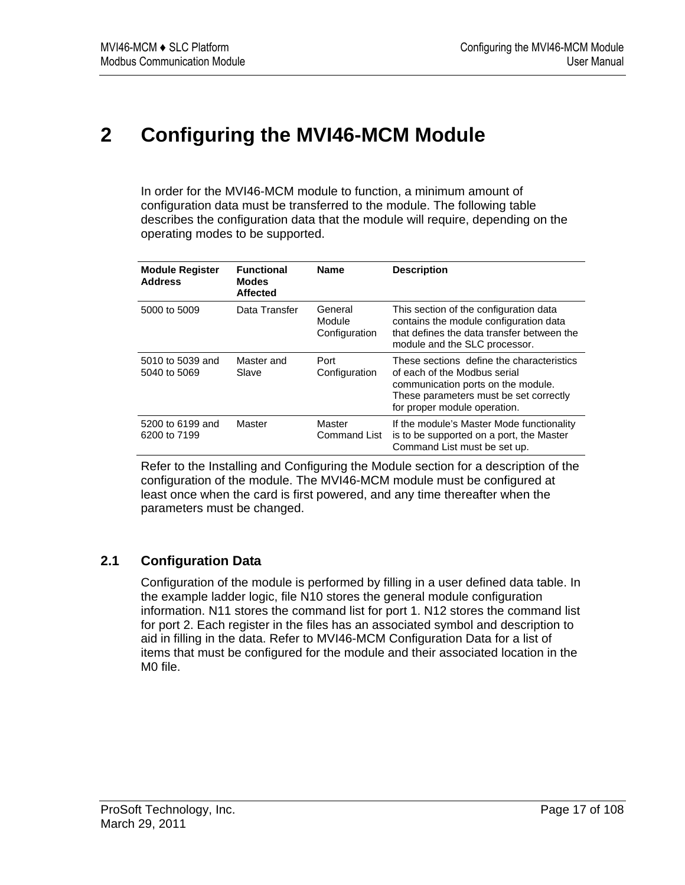# **2 Configuring the MVI46-MCM Module**

In order for the MVI46-MCM module to function, a minimum amount of configuration data must be transferred to the module. The following table describes the configuration data that the module will require, depending on the operating modes to be supported.

| <b>Module Register</b><br><b>Address</b> | <b>Functional</b><br><b>Modes</b><br><b>Affected</b> | <b>Name</b>                        | <b>Description</b>                                                                                                                                                                        |
|------------------------------------------|------------------------------------------------------|------------------------------------|-------------------------------------------------------------------------------------------------------------------------------------------------------------------------------------------|
| 5000 to 5009                             | Data Transfer                                        | General<br>Module<br>Configuration | This section of the configuration data<br>contains the module configuration data<br>that defines the data transfer between the<br>module and the SLC processor.                           |
| 5010 to 5039 and<br>5040 to 5069         | Master and<br>Slave                                  | Port<br>Configuration              | These sections define the characteristics<br>of each of the Modbus serial<br>communication ports on the module.<br>These parameters must be set correctly<br>for proper module operation. |
| 5200 to 6199 and<br>6200 to 7199         | Master                                               | Master<br><b>Command List</b>      | If the module's Master Mode functionality<br>is to be supported on a port, the Master<br>Command List must be set up.                                                                     |

Refer to the Installing and Configuring the Module section for a description of the configuration of the module. The MVI46-MCM module must be configured at least once when the card is first powered, and any time thereafter when the parameters must be changed.

# **2.1 Configuration Data**

Configuration of the module is performed by filling in a user defined data table. In the example ladder logic, file N10 stores the general module configuration information. N11 stores the command list for port 1. N12 stores the command list for port 2. Each register in the files has an associated symbol and description to aid in filling in the data. Refer to MVI46-MCM Configuration Data for a list of items that must be configured for the module and their associated location in the M0 file.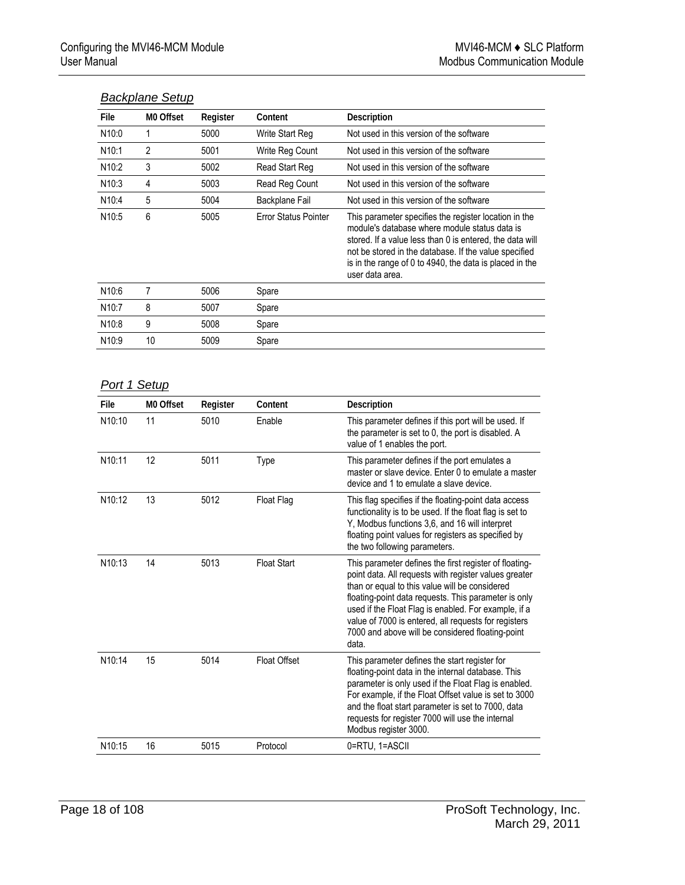### *Backplane Setup*

| File              | M0 Offset | Register | Content                     | Description                                                                                                                                                                                                                                                                                               |
|-------------------|-----------|----------|-----------------------------|-----------------------------------------------------------------------------------------------------------------------------------------------------------------------------------------------------------------------------------------------------------------------------------------------------------|
| N10:0             | 1         | 5000     | Write Start Reg             | Not used in this version of the software                                                                                                                                                                                                                                                                  |
| N10:1             | 2         | 5001     | Write Reg Count             | Not used in this version of the software                                                                                                                                                                                                                                                                  |
| N <sub>10:2</sub> | 3         | 5002     | Read Start Reg              | Not used in this version of the software                                                                                                                                                                                                                                                                  |
| N10:3             | 4         | 5003     | Read Reg Count              | Not used in this version of the software                                                                                                                                                                                                                                                                  |
| N <sub>10:4</sub> | 5         | 5004     | Backplane Fail              | Not used in this version of the software                                                                                                                                                                                                                                                                  |
| N10:5             | 6         | 5005     | <b>Error Status Pointer</b> | This parameter specifies the register location in the<br>module's database where module status data is<br>stored. If a value less than 0 is entered, the data will<br>not be stored in the database. If the value specified<br>is in the range of 0 to 4940, the data is placed in the<br>user data area. |
| N <sub>10:6</sub> | 7         | 5006     | Spare                       |                                                                                                                                                                                                                                                                                                           |
| N <sub>10:7</sub> | 8         | 5007     | Spare                       |                                                                                                                                                                                                                                                                                                           |
| N <sub>10:8</sub> | 9         | 5008     | Spare                       |                                                                                                                                                                                                                                                                                                           |
| N10:9             | 10        | 5009     | Spare                       |                                                                                                                                                                                                                                                                                                           |

# *Port 1 Setup*

| File                | M0 Offset | Register | Content             | <b>Description</b>                                                                                                                                                                                                                                                                                                                                                                                     |
|---------------------|-----------|----------|---------------------|--------------------------------------------------------------------------------------------------------------------------------------------------------------------------------------------------------------------------------------------------------------------------------------------------------------------------------------------------------------------------------------------------------|
| N10:10              | 11        | 5010     | Enable              | This parameter defines if this port will be used. If<br>the parameter is set to 0, the port is disabled. A<br>value of 1 enables the port.                                                                                                                                                                                                                                                             |
| N <sub>10</sub> :11 | 12        | 5011     | Type                | This parameter defines if the port emulates a<br>master or slave device. Enter 0 to emulate a master<br>device and 1 to emulate a slave device.                                                                                                                                                                                                                                                        |
| N10:12              | 13        | 5012     | Float Flag          | This flag specifies if the floating-point data access<br>functionality is to be used. If the float flag is set to<br>Y, Modbus functions 3,6, and 16 will interpret<br>floating point values for registers as specified by<br>the two following parameters.                                                                                                                                            |
| N10:13              | 14        | 5013     | <b>Float Start</b>  | This parameter defines the first register of floating-<br>point data. All requests with register values greater<br>than or equal to this value will be considered<br>floating-point data requests. This parameter is only<br>used if the Float Flag is enabled. For example, if a<br>value of 7000 is entered, all requests for registers<br>7000 and above will be considered floating-point<br>data. |
| N10:14              | 15        | 5014     | <b>Float Offset</b> | This parameter defines the start register for<br>floating-point data in the internal database. This<br>parameter is only used if the Float Flag is enabled.<br>For example, if the Float Offset value is set to 3000<br>and the float start parameter is set to 7000, data<br>requests for register 7000 will use the internal<br>Modbus register 3000.                                                |
| N10:15              | 16        | 5015     | Protocol            | 0=RTU, 1=ASCII                                                                                                                                                                                                                                                                                                                                                                                         |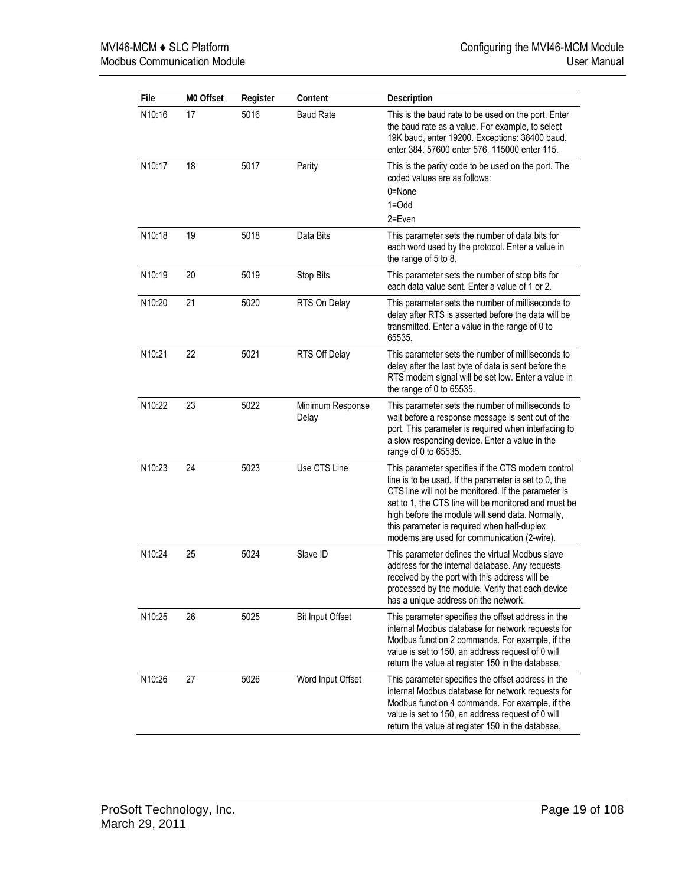| File                | M0 Offset | Register | Content                   | Description                                                                                                                                                                                                                                                                                                                                                                 |
|---------------------|-----------|----------|---------------------------|-----------------------------------------------------------------------------------------------------------------------------------------------------------------------------------------------------------------------------------------------------------------------------------------------------------------------------------------------------------------------------|
| N10:16              | 17        | 5016     | <b>Baud Rate</b>          | This is the baud rate to be used on the port. Enter<br>the baud rate as a value. For example, to select<br>19K baud, enter 19200. Exceptions: 38400 baud,<br>enter 384. 57600 enter 576. 115000 enter 115.                                                                                                                                                                  |
| N <sub>10</sub> :17 | 18        | 5017     | Parity                    | This is the parity code to be used on the port. The<br>coded values are as follows:                                                                                                                                                                                                                                                                                         |
|                     |           |          |                           | 0=None                                                                                                                                                                                                                                                                                                                                                                      |
|                     |           |          |                           | $1 = Odd$<br>2=Even                                                                                                                                                                                                                                                                                                                                                         |
| N <sub>10</sub> :18 | 19        | 5018     | Data Bits                 | This parameter sets the number of data bits for<br>each word used by the protocol. Enter a value in<br>the range of 5 to 8.                                                                                                                                                                                                                                                 |
| N <sub>10</sub> :19 | 20        | 5019     | Stop Bits                 | This parameter sets the number of stop bits for<br>each data value sent. Enter a value of 1 or 2.                                                                                                                                                                                                                                                                           |
| N <sub>10</sub> :20 | 21        | 5020     | RTS On Delay              | This parameter sets the number of milliseconds to<br>delay after RTS is asserted before the data will be<br>transmitted. Enter a value in the range of 0 to<br>65535.                                                                                                                                                                                                       |
| N10:21              | 22        | 5021     | RTS Off Delay             | This parameter sets the number of milliseconds to<br>delay after the last byte of data is sent before the<br>RTS modem signal will be set low. Enter a value in<br>the range of 0 to 65535.                                                                                                                                                                                 |
| N10:22              | 23        | 5022     | Minimum Response<br>Delay | This parameter sets the number of milliseconds to<br>wait before a response message is sent out of the<br>port. This parameter is required when interfacing to<br>a slow responding device. Enter a value in the<br>range of 0 to 65535.                                                                                                                                    |
| N <sub>10</sub> :23 | 24        | 5023     | Use CTS Line              | This parameter specifies if the CTS modem control<br>line is to be used. If the parameter is set to 0, the<br>CTS line will not be monitored. If the parameter is<br>set to 1, the CTS line will be monitored and must be<br>high before the module will send data. Normally,<br>this parameter is required when half-duplex<br>modems are used for communication (2-wire). |
| N <sub>10</sub> :24 | 25        | 5024     | Slave ID                  | This parameter defines the virtual Modbus slave<br>address for the internal database. Any requests<br>received by the port with this address will be<br>processed by the module. Verify that each device<br>has a unique address on the network.                                                                                                                            |
| N <sub>10</sub> :25 | 26        | 5025     | <b>Bit Input Offset</b>   | This parameter specifies the offset address in the<br>internal Modbus database for network requests for<br>Modbus function 2 commands. For example, if the<br>value is set to 150, an address request of 0 will<br>return the value at register 150 in the database.                                                                                                        |
| N10:26              | 27        | 5026     | Word Input Offset         | This parameter specifies the offset address in the<br>internal Modbus database for network requests for<br>Modbus function 4 commands. For example, if the<br>value is set to 150, an address request of 0 will<br>return the value at register 150 in the database.                                                                                                        |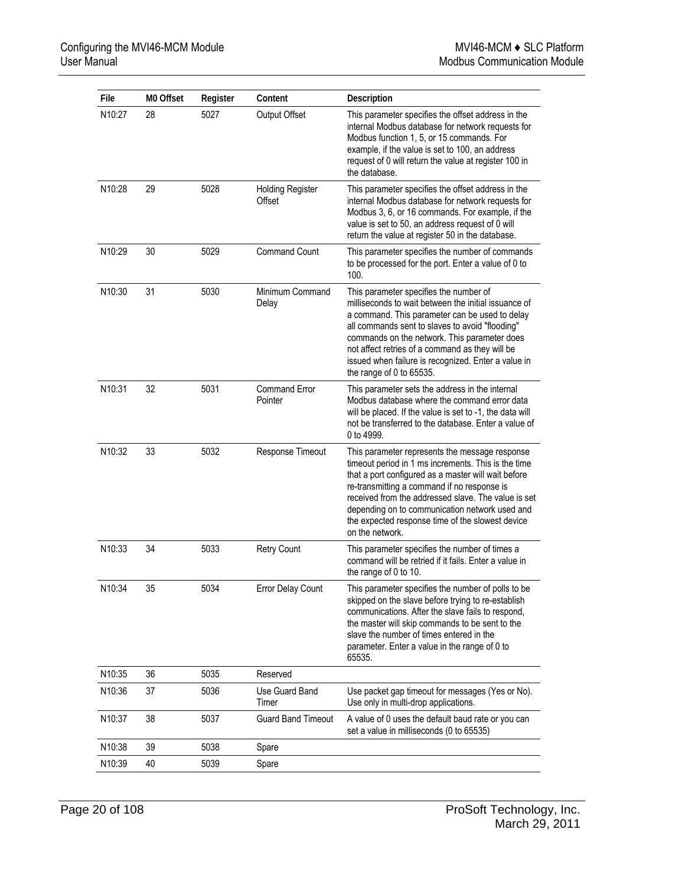| File                | M0 Offset | Register | Content                           | Description                                                                                                                                                                                                                                                                                                                                                                                 |
|---------------------|-----------|----------|-----------------------------------|---------------------------------------------------------------------------------------------------------------------------------------------------------------------------------------------------------------------------------------------------------------------------------------------------------------------------------------------------------------------------------------------|
| N10:27              | 28        | 5027     | Output Offset                     | This parameter specifies the offset address in the<br>internal Modbus database for network requests for<br>Modbus function 1, 5, or 15 commands. For<br>example, if the value is set to 100, an address<br>request of 0 will return the value at register 100 in<br>the database.                                                                                                           |
| N10:28              | 29        | 5028     | <b>Holding Register</b><br>Offset | This parameter specifies the offset address in the<br>internal Modbus database for network requests for<br>Modbus 3, 6, or 16 commands. For example, if the<br>value is set to 50, an address request of 0 will<br>return the value at register 50 in the database.                                                                                                                         |
| N10:29              | 30        | 5029     | <b>Command Count</b>              | This parameter specifies the number of commands<br>to be processed for the port. Enter a value of 0 to<br>100.                                                                                                                                                                                                                                                                              |
| N10:30              | 31        | 5030     | Minimum Command<br>Delay          | This parameter specifies the number of<br>milliseconds to wait between the initial issuance of<br>a command. This parameter can be used to delay<br>all commands sent to slaves to avoid "flooding"<br>commands on the network. This parameter does<br>not affect retries of a command as they will be<br>issued when failure is recognized. Enter a value in<br>the range of 0 to 65535.   |
| N10:31              | 32        | 5031     | <b>Command Error</b><br>Pointer   | This parameter sets the address in the internal<br>Modbus database where the command error data<br>will be placed. If the value is set to -1, the data will<br>not be transferred to the database. Enter a value of<br>0 to 4999.                                                                                                                                                           |
| N <sub>10</sub> :32 | 33        | 5032     | Response Timeout                  | This parameter represents the message response<br>timeout period in 1 ms increments. This is the time<br>that a port configured as a master will wait before<br>re-transmitting a command if no response is<br>received from the addressed slave. The value is set<br>depending on to communication network used and<br>the expected response time of the slowest device<br>on the network. |
| N <sub>10</sub> :33 | 34        | 5033     | <b>Retry Count</b>                | This parameter specifies the number of times a<br>command will be retried if it fails. Enter a value in<br>the range of 0 to 10.                                                                                                                                                                                                                                                            |
| N10:34              | 35        | 5034     | Error Delay Count                 | This parameter specifies the number of polls to be<br>skipped on the slave before trying to re-establish<br>communications. After the slave fails to respond,<br>the master will skip commands to be sent to the<br>slave the number of times entered in the<br>parameter. Enter a value in the range of 0 to<br>65535.                                                                     |
| N10:35              | 36        | 5035     | Reserved                          |                                                                                                                                                                                                                                                                                                                                                                                             |
| N <sub>10:36</sub>  | 37        | 5036     | Use Guard Band<br>Timer           | Use packet gap timeout for messages (Yes or No).<br>Use only in multi-drop applications.                                                                                                                                                                                                                                                                                                    |
| N10:37              | 38        | 5037     | <b>Guard Band Timeout</b>         | A value of 0 uses the default baud rate or you can<br>set a value in milliseconds (0 to 65535)                                                                                                                                                                                                                                                                                              |
| N <sub>10:38</sub>  | 39        | 5038     | Spare                             |                                                                                                                                                                                                                                                                                                                                                                                             |
| N <sub>10:39</sub>  | 40        | 5039     | Spare                             |                                                                                                                                                                                                                                                                                                                                                                                             |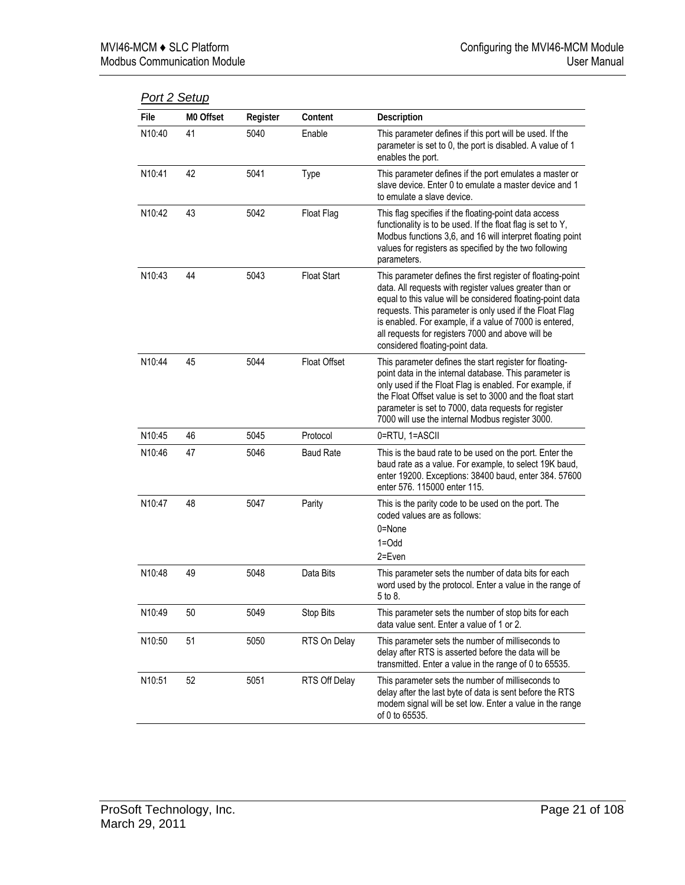| File                | M <sub>0</sub> Offset | Register | Content            | Description                                                                                                                                                                                                                                                                                                                                                                                        |
|---------------------|-----------------------|----------|--------------------|----------------------------------------------------------------------------------------------------------------------------------------------------------------------------------------------------------------------------------------------------------------------------------------------------------------------------------------------------------------------------------------------------|
| N10:40              | 41                    | 5040     | Enable             | This parameter defines if this port will be used. If the<br>parameter is set to 0, the port is disabled. A value of 1<br>enables the port.                                                                                                                                                                                                                                                         |
| N10:41              | 42                    | 5041     | Type               | This parameter defines if the port emulates a master or<br>slave device. Enter 0 to emulate a master device and 1<br>to emulate a slave device.                                                                                                                                                                                                                                                    |
| N10:42              | 43                    | 5042     | Float Flag         | This flag specifies if the floating-point data access<br>functionality is to be used. If the float flag is set to Y,<br>Modbus functions 3,6, and 16 will interpret floating point<br>values for registers as specified by the two following<br>parameters.                                                                                                                                        |
| N <sub>10</sub> :43 | 44                    | 5043     | <b>Float Start</b> | This parameter defines the first register of floating-point<br>data. All requests with register values greater than or<br>equal to this value will be considered floating-point data<br>requests. This parameter is only used if the Float Flag<br>is enabled. For example, if a value of 7000 is entered,<br>all requests for registers 7000 and above will be<br>considered floating-point data. |
| N10:44              | 45                    | 5044     | Float Offset       | This parameter defines the start register for floating-<br>point data in the internal database. This parameter is<br>only used if the Float Flag is enabled. For example, if<br>the Float Offset value is set to 3000 and the float start<br>parameter is set to 7000, data requests for register<br>7000 will use the internal Modbus register 3000.                                              |
| N10:45              | 46                    | 5045     | Protocol           | 0=RTU, 1=ASCII                                                                                                                                                                                                                                                                                                                                                                                     |
| N <sub>10</sub> :46 | 47                    | 5046     | <b>Baud Rate</b>   | This is the baud rate to be used on the port. Enter the<br>baud rate as a value. For example, to select 19K baud,<br>enter 19200. Exceptions: 38400 baud, enter 384. 57600<br>enter 576, 115000 enter 115.                                                                                                                                                                                         |
| N <sub>10:47</sub>  | 48                    | 5047     | Parity             | This is the parity code to be used on the port. The<br>coded values are as follows:<br>0=None<br>$1 = Odd$<br>$2 = E$ ven                                                                                                                                                                                                                                                                          |
| N <sub>10</sub> :48 | 49                    | 5048     | Data Bits          | This parameter sets the number of data bits for each<br>word used by the protocol. Enter a value in the range of<br>5 to 8.                                                                                                                                                                                                                                                                        |
| N10:49              | 50                    | 5049     | Stop Bits          | This parameter sets the number of stop bits for each<br>data value sent. Enter a value of 1 or 2.                                                                                                                                                                                                                                                                                                  |
| N10:50              | 51                    | 5050     | RTS On Delay       | This parameter sets the number of milliseconds to<br>delay after RTS is asserted before the data will be<br>transmitted. Enter a value in the range of 0 to 65535.                                                                                                                                                                                                                                 |
| N10:51              | 52                    | 5051     | RTS Off Delay      | This parameter sets the number of milliseconds to<br>delay after the last byte of data is sent before the RTS<br>modem signal will be set low. Enter a value in the range<br>of 0 to 65535.                                                                                                                                                                                                        |

#### *Port 2 Setup*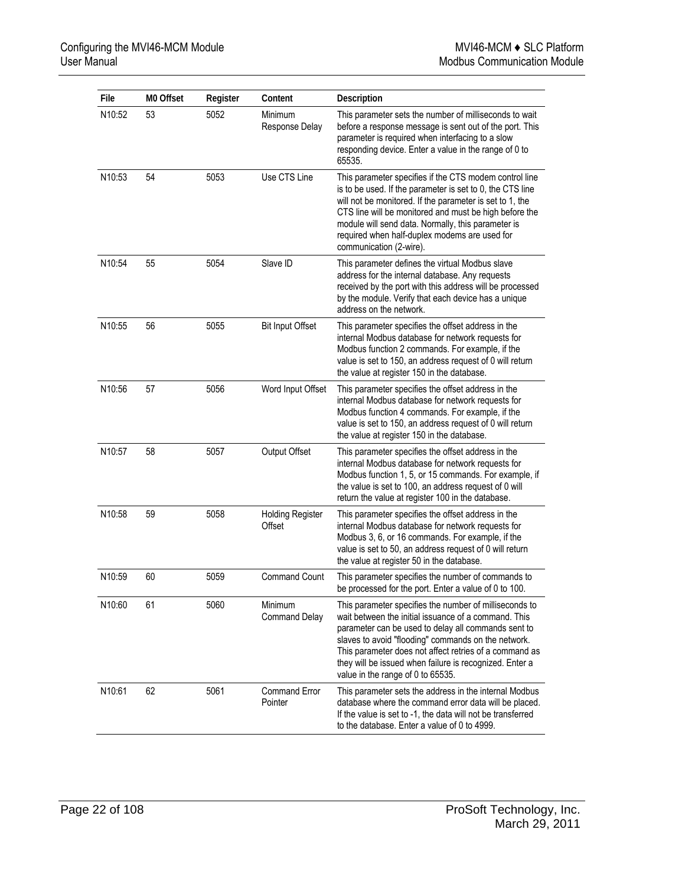| File               | M0 Offset | Register | Content                           | Description                                                                                                                                                                                                                                                                                                                                                                            |
|--------------------|-----------|----------|-----------------------------------|----------------------------------------------------------------------------------------------------------------------------------------------------------------------------------------------------------------------------------------------------------------------------------------------------------------------------------------------------------------------------------------|
| N10:52             | 53        | 5052     | Minimum<br>Response Delay         | This parameter sets the number of milliseconds to wait<br>before a response message is sent out of the port. This<br>parameter is required when interfacing to a slow<br>responding device. Enter a value in the range of 0 to<br>65535.                                                                                                                                               |
| N <sub>10:53</sub> | 54        | 5053     | Use CTS Line                      | This parameter specifies if the CTS modem control line<br>is to be used. If the parameter is set to 0, the CTS line<br>will not be monitored. If the parameter is set to 1, the<br>CTS line will be monitored and must be high before the<br>module will send data. Normally, this parameter is<br>required when half-duplex modems are used for<br>communication (2-wire).            |
| N10:54             | 55        | 5054     | Slave ID                          | This parameter defines the virtual Modbus slave<br>address for the internal database. Any requests<br>received by the port with this address will be processed<br>by the module. Verify that each device has a unique<br>address on the network.                                                                                                                                       |
| N <sub>10:55</sub> | 56        | 5055     | <b>Bit Input Offset</b>           | This parameter specifies the offset address in the<br>internal Modbus database for network requests for<br>Modbus function 2 commands. For example, if the<br>value is set to 150, an address request of 0 will return<br>the value at register 150 in the database.                                                                                                                   |
| N10:56             | 57        | 5056     | Word Input Offset                 | This parameter specifies the offset address in the<br>internal Modbus database for network requests for<br>Modbus function 4 commands. For example, if the<br>value is set to 150, an address request of 0 will return<br>the value at register 150 in the database.                                                                                                                   |
| N10:57             | 58        | 5057     | Output Offset                     | This parameter specifies the offset address in the<br>internal Modbus database for network requests for<br>Modbus function 1, 5, or 15 commands. For example, if<br>the value is set to 100, an address request of 0 will<br>return the value at register 100 in the database.                                                                                                         |
| N10:58             | 59        | 5058     | <b>Holding Register</b><br>Offset | This parameter specifies the offset address in the<br>internal Modbus database for network requests for<br>Modbus 3, 6, or 16 commands. For example, if the<br>value is set to 50, an address request of 0 will return<br>the value at register 50 in the database.                                                                                                                    |
| N10:59             | 60        | 5059     | <b>Command Count</b>              | This parameter specifies the number of commands to<br>be processed for the port. Enter a value of 0 to 100.                                                                                                                                                                                                                                                                            |
| N10:60             | 61        | 5060     | Minimum<br><b>Command Delay</b>   | This parameter specifies the number of milliseconds to<br>wait between the initial issuance of a command. This<br>parameter can be used to delay all commands sent to<br>slaves to avoid "flooding" commands on the network.<br>This parameter does not affect retries of a command as<br>they will be issued when failure is recognized. Enter a<br>value in the range of 0 to 65535. |
| N10:61             | 62        | 5061     | Command Error<br>Pointer          | This parameter sets the address in the internal Modbus<br>database where the command error data will be placed.<br>If the value is set to -1, the data will not be transferred<br>to the database. Enter a value of 0 to 4999.                                                                                                                                                         |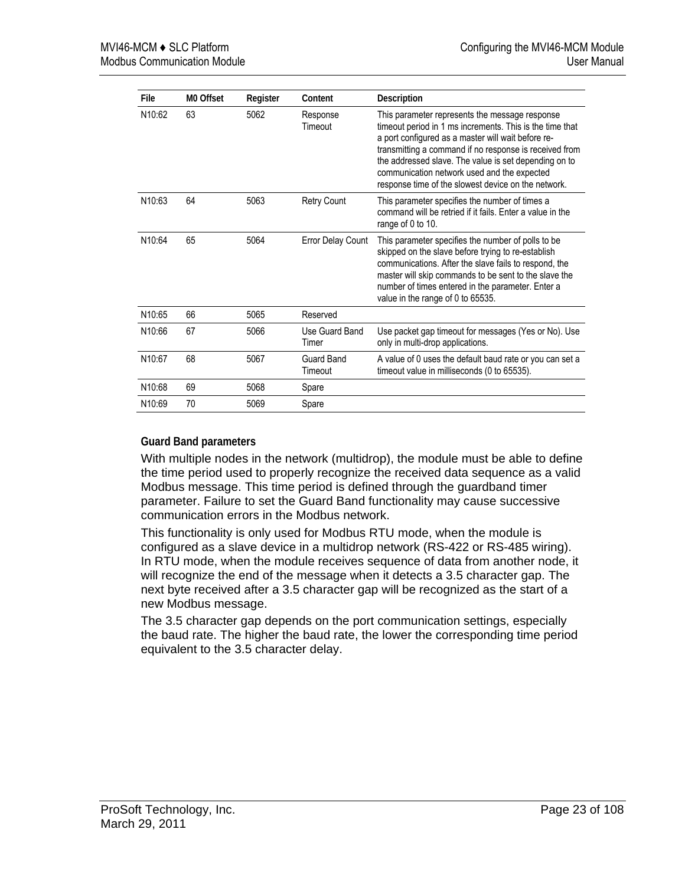| File               | M0 Offset | Register | Content                      | Description                                                                                                                                                                                                                                                                                                                                                                               |
|--------------------|-----------|----------|------------------------------|-------------------------------------------------------------------------------------------------------------------------------------------------------------------------------------------------------------------------------------------------------------------------------------------------------------------------------------------------------------------------------------------|
| N10:62             | 63        | 5062     | Response<br>Timeout          | This parameter represents the message response<br>timeout period in 1 ms increments. This is the time that<br>a port configured as a master will wait before re-<br>transmitting a command if no response is received from<br>the addressed slave. The value is set depending on to<br>communication network used and the expected<br>response time of the slowest device on the network. |
| N <sub>10:63</sub> | 64        | 5063     | <b>Retry Count</b>           | This parameter specifies the number of times a<br>command will be retried if it fails. Enter a value in the<br>range of 0 to 10.                                                                                                                                                                                                                                                          |
| N10:64             | 65        | 5064     | Error Delay Count            | This parameter specifies the number of polls to be.<br>skipped on the slave before trying to re-establish<br>communications. After the slave fails to respond, the<br>master will skip commands to be sent to the slave the<br>number of times entered in the parameter. Enter a<br>value in the range of 0 to 65535.                                                                     |
| N10:65             | 66        | 5065     | Reserved                     |                                                                                                                                                                                                                                                                                                                                                                                           |
| N <sub>10:66</sub> | 67        | 5066     | Use Guard Band<br>Timer      | Use packet gap timeout for messages (Yes or No). Use<br>only in multi-drop applications.                                                                                                                                                                                                                                                                                                  |
| N10:67             | 68        | 5067     | <b>Guard Band</b><br>Timeout | A value of 0 uses the default baud rate or you can set a<br>timeout value in milliseconds (0 to 65535).                                                                                                                                                                                                                                                                                   |
| N10:68             | 69        | 5068     | Spare                        |                                                                                                                                                                                                                                                                                                                                                                                           |
| N <sub>10:69</sub> | 70        | 5069     | Spare                        |                                                                                                                                                                                                                                                                                                                                                                                           |

#### **Guard Band parameters**

With multiple nodes in the network (multidrop), the module must be able to define the time period used to properly recognize the received data sequence as a valid Modbus message. This time period is defined through the guardband timer parameter. Failure to set the Guard Band functionality may cause successive communication errors in the Modbus network.

This functionality is only used for Modbus RTU mode, when the module is configured as a slave device in a multidrop network (RS-422 or RS-485 wiring). In RTU mode, when the module receives sequence of data from another node, it will recognize the end of the message when it detects a 3.5 character gap. The next byte received after a 3.5 character gap will be recognized as the start of a new Modbus message.

The 3.5 character gap depends on the port communication settings, especially the baud rate. The higher the baud rate, the lower the corresponding time period equivalent to the 3.5 character delay.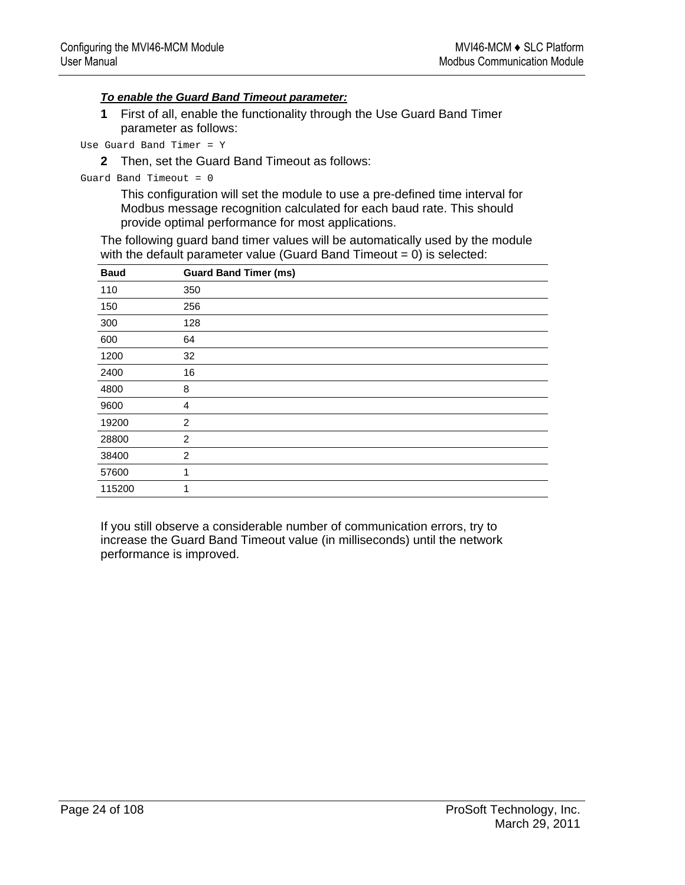#### *To enable the Guard Band Timeout parameter:*

**1** First of all, enable the functionality through the Use Guard Band Timer parameter as follows:

Use Guard Band Timer = Y

**2** Then, set the Guard Band Timeout as follows:

Guard Band Timeout = 0

This configuration will set the module to use a pre-defined time interval for Modbus message recognition calculated for each baud rate. This should provide optimal performance for most applications.

The following guard band timer values will be automatically used by the module with the default parameter value (Guard Band Timeout  $= 0$ ) is selected:

| <b>Baud</b> | <b>Guard Band Timer (ms)</b> |
|-------------|------------------------------|
| 110         | 350                          |
| 150         | 256                          |
| 300         | 128                          |
| 600         | 64                           |
| 1200        | 32                           |
| 2400        | 16                           |
| 4800        | 8                            |
| 9600        | 4                            |
| 19200       | $\overline{c}$               |
| 28800       | $\overline{2}$               |
| 38400       | $\overline{c}$               |
| 57600       | 1                            |
| 115200      | 1                            |

If you still observe a considerable number of communication errors, try to increase the Guard Band Timeout value (in milliseconds) until the network performance is improved.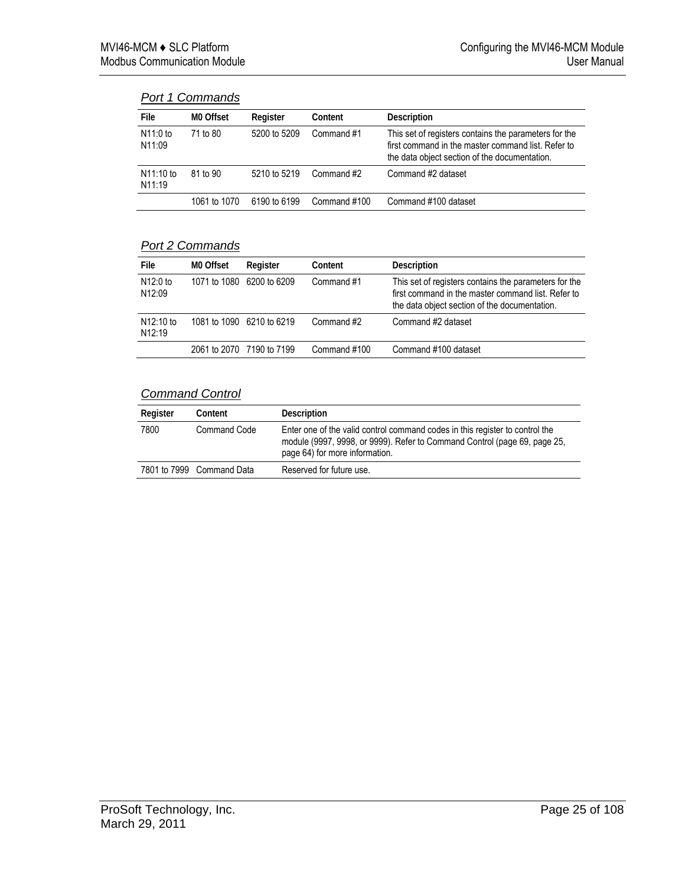#### *Port 1 Commands*

| File                             | M <sub>0</sub> Offset | Register     | Content      | Description                                                                                                                                                  |
|----------------------------------|-----------------------|--------------|--------------|--------------------------------------------------------------------------------------------------------------------------------------------------------------|
| $N11:0$ to<br>N <sub>11:09</sub> | 71 to 80              | 5200 to 5209 | Command #1   | This set of registers contains the parameters for the<br>first command in the master command list. Refer to<br>the data object section of the documentation. |
| N11:10 to<br>N11:19              | 81 to 90              | 5210 to 5219 | Command #2   | Command #2 dataset                                                                                                                                           |
|                                  | 1061 to 1070          | 6190 to 6199 | Command #100 | Command #100 dataset                                                                                                                                         |

### *Port 2 Commands*

| File                             | MO Offset                 | Register | Content      | Description                                                                                                                                                  |
|----------------------------------|---------------------------|----------|--------------|--------------------------------------------------------------------------------------------------------------------------------------------------------------|
| $N12:0$ to<br>N <sub>12:09</sub> | 1071 to 1080 6200 to 6209 |          | Command #1   | This set of registers contains the parameters for the<br>first command in the master command list. Refer to<br>the data object section of the documentation. |
| N12:10 to<br>N12:19              | 1081 to 1090 6210 to 6219 |          | Command #2   | Command #2 dataset                                                                                                                                           |
|                                  | 2061 to 2070 7190 to 7199 |          | Command #100 | Command #100 dataset                                                                                                                                         |

#### *Command Control*

| Register | Content                   | Description                                                                                                                                                                                 |
|----------|---------------------------|---------------------------------------------------------------------------------------------------------------------------------------------------------------------------------------------|
| 7800     | Command Code              | Enter one of the valid control command codes in this register to control the<br>module (9997, 9998, or 9999). Refer to Command Control (page 69, page 25,<br>page 64) for more information. |
|          | 7801 to 7999 Command Data | Reserved for future use.                                                                                                                                                                    |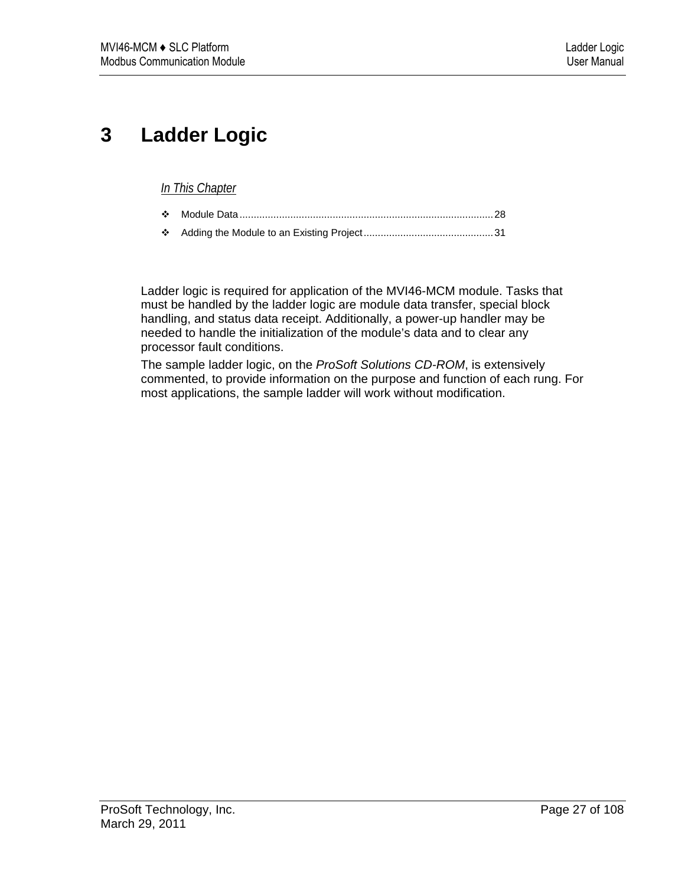# **3 Ladder Logic**

#### *In This Chapter*

| <b>Allen</b> |  |  |  |
|--------------|--|--|--|
|--------------|--|--|--|

Adding the Module to an Existing Project .............................................. 31

Ladder logic is required for application of the MVI46-MCM module. Tasks that must be handled by the ladder logic are module data transfer, special block handling, and status data receipt. Additionally, a power-up handler may be needed to handle the initialization of the module's data and to clear any processor fault conditions.

The sample ladder logic, on the *ProSoft Solutions CD-ROM*, is extensively commented, to provide information on the purpose and function of each rung. For most applications, the sample ladder will work without modification.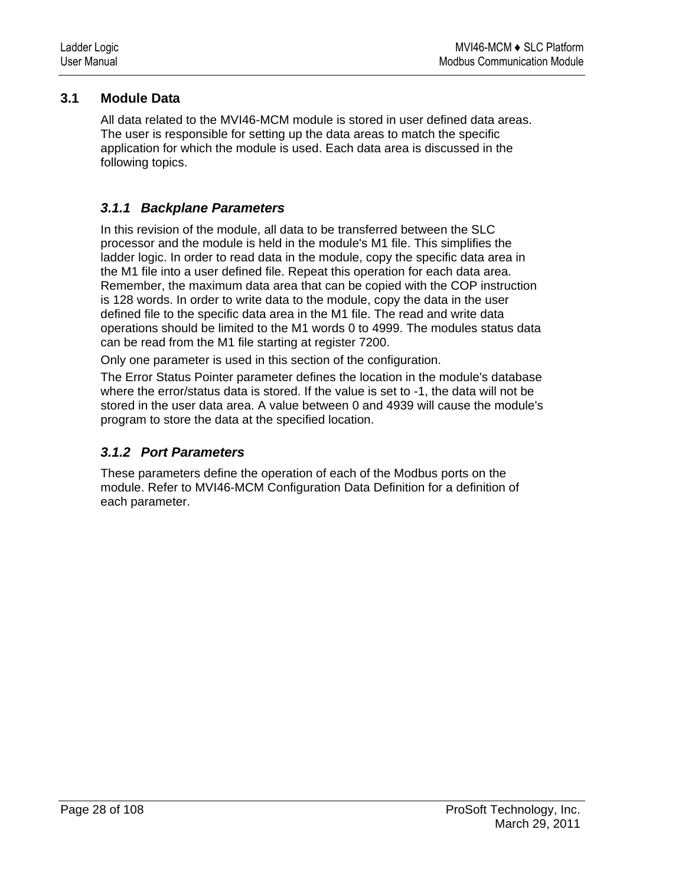# **3.1 Module Data**

All data related to the MVI46-MCM module is stored in user defined data areas. The user is responsible for setting up the data areas to match the specific application for which the module is used. Each data area is discussed in the following topics.

## *3.1.1 Backplane Parameters*

In this revision of the module, all data to be transferred between the SLC processor and the module is held in the module's M1 file. This simplifies the ladder logic. In order to read data in the module, copy the specific data area in the M1 file into a user defined file. Repeat this operation for each data area. Remember, the maximum data area that can be copied with the COP instruction is 128 words. In order to write data to the module, copy the data in the user defined file to the specific data area in the M1 file. The read and write data operations should be limited to the M1 words 0 to 4999. The modules status data can be read from the M1 file starting at register 7200.

Only one parameter is used in this section of the configuration.

The Error Status Pointer parameter defines the location in the module's database where the error/status data is stored. If the value is set to -1, the data will not be stored in the user data area. A value between 0 and 4939 will cause the module's program to store the data at the specified location.

#### *3.1.2 Port Parameters*

These parameters define the operation of each of the Modbus ports on the module. Refer to MVI46-MCM Configuration Data Definition for a definition of each parameter.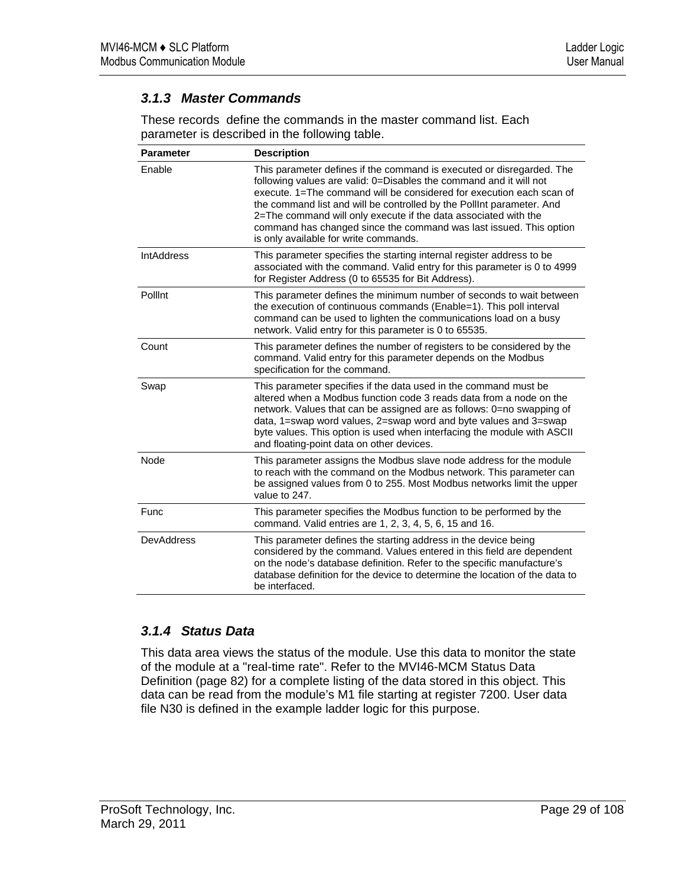# *3.1.3 Master Commands*

These records define the commands in the master command list. Each parameter is described in the following table.

| <b>Parameter</b>  | <b>Description</b>                                                                                                                                                                                                                                                                                                                                                                                                                                                             |
|-------------------|--------------------------------------------------------------------------------------------------------------------------------------------------------------------------------------------------------------------------------------------------------------------------------------------------------------------------------------------------------------------------------------------------------------------------------------------------------------------------------|
| Enable            | This parameter defines if the command is executed or disregarded. The<br>following values are valid: 0=Disables the command and it will not<br>execute. 1=The command will be considered for execution each scan of<br>the command list and will be controlled by the PollInt parameter. And<br>2=The command will only execute if the data associated with the<br>command has changed since the command was last issued. This option<br>is only available for write commands. |
| <b>IntAddress</b> | This parameter specifies the starting internal register address to be<br>associated with the command. Valid entry for this parameter is 0 to 4999<br>for Register Address (0 to 65535 for Bit Address).                                                                                                                                                                                                                                                                        |
| Pollint           | This parameter defines the minimum number of seconds to wait between<br>the execution of continuous commands (Enable=1). This poll interval<br>command can be used to lighten the communications load on a busy<br>network. Valid entry for this parameter is 0 to 65535.                                                                                                                                                                                                      |
| Count             | This parameter defines the number of registers to be considered by the<br>command. Valid entry for this parameter depends on the Modbus<br>specification for the command.                                                                                                                                                                                                                                                                                                      |
| Swap              | This parameter specifies if the data used in the command must be<br>altered when a Modbus function code 3 reads data from a node on the<br>network. Values that can be assigned are as follows: 0=no swapping of<br>data, 1=swap word values, 2=swap word and byte values and 3=swap<br>byte values. This option is used when interfacing the module with ASCII<br>and floating-point data on other devices.                                                                   |
| Node              | This parameter assigns the Modbus slave node address for the module<br>to reach with the command on the Modbus network. This parameter can<br>be assigned values from 0 to 255. Most Modbus networks limit the upper<br>value to 247.                                                                                                                                                                                                                                          |
| Func              | This parameter specifies the Modbus function to be performed by the<br>command. Valid entries are 1, 2, 3, 4, 5, 6, 15 and 16.                                                                                                                                                                                                                                                                                                                                                 |
| <b>DevAddress</b> | This parameter defines the starting address in the device being<br>considered by the command. Values entered in this field are dependent<br>on the node's database definition. Refer to the specific manufacture's<br>database definition for the device to determine the location of the data to<br>be interfaced.                                                                                                                                                            |

# *3.1.4 Status Data*

This data area views the status of the module. Use this data to monitor the state of the module at a "real-time rate". Refer to the MVI46-MCM Status Data Definition (page 82) for a complete listing of the data stored in this object. This data can be read from the module's M1 file starting at register 7200. User data file N30 is defined in the example ladder logic for this purpose.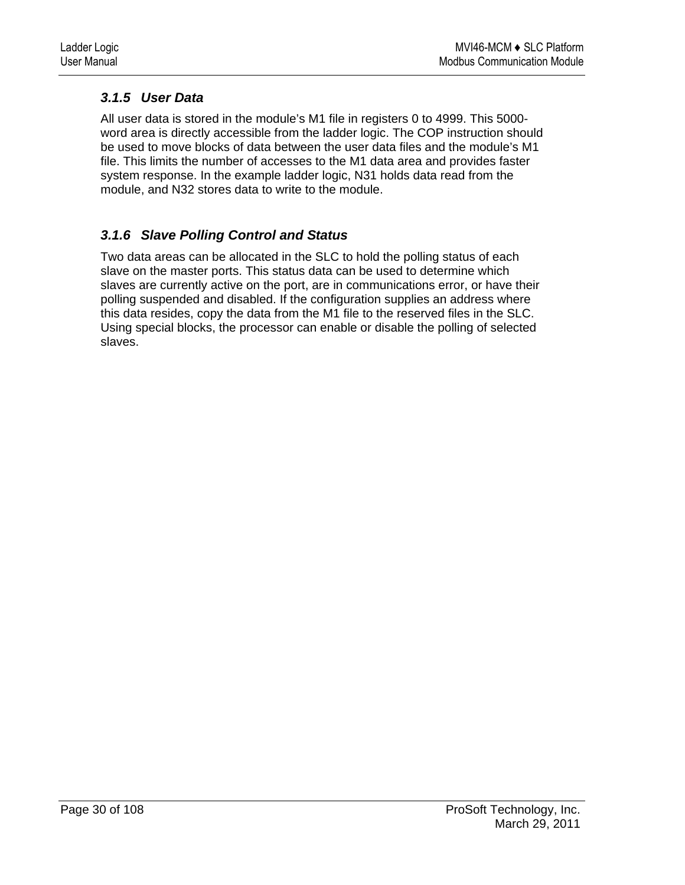# *3.1.5 User Data*

All user data is stored in the module's M1 file in registers 0 to 4999. This 5000 word area is directly accessible from the ladder logic. The COP instruction should be used to move blocks of data between the user data files and the module's M1 file. This limits the number of accesses to the M1 data area and provides faster system response. In the example ladder logic, N31 holds data read from the module, and N32 stores data to write to the module.

# *3.1.6 Slave Polling Control and Status*

Two data areas can be allocated in the SLC to hold the polling status of each slave on the master ports. This status data can be used to determine which slaves are currently active on the port, are in communications error, or have their polling suspended and disabled. If the configuration supplies an address where this data resides, copy the data from the M1 file to the reserved files in the SLC. Using special blocks, the processor can enable or disable the polling of selected slaves.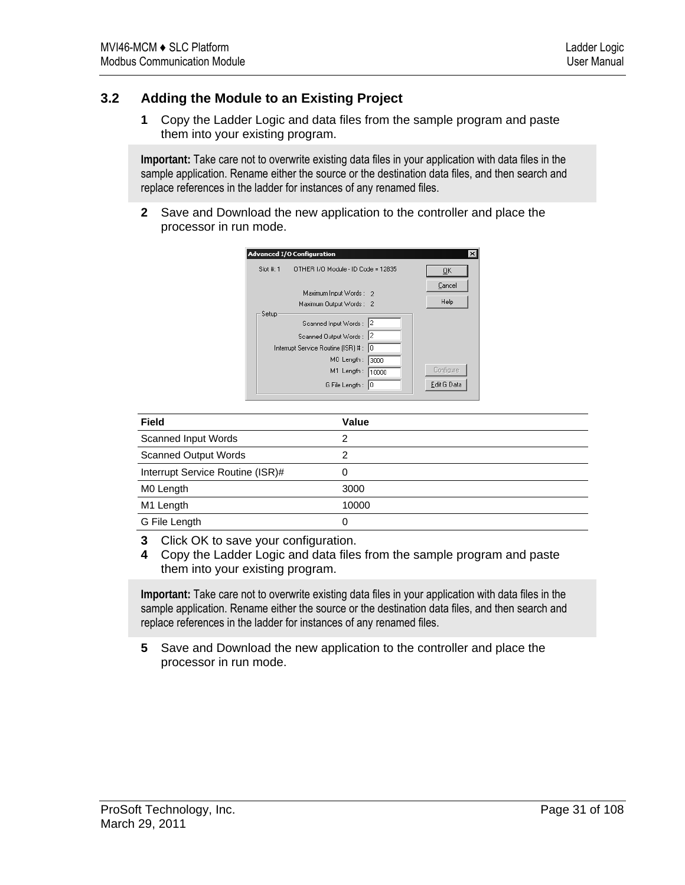# **3.2 Adding the Module to an Existing Project**

**1** Copy the Ladder Logic and data files from the sample program and paste them into your existing program.

**Important:** Take care not to overwrite existing data files in your application with data files in the sample application. Rename either the source or the destination data files, and then search and replace references in the ladder for instances of any renamed files.

**2** Save and Download the new application to the controller and place the processor in run mode.

|            | <b>Advanced I/O Configuration</b>                 |               |                |
|------------|---------------------------------------------------|---------------|----------------|
| $Slot$ #:1 | OTHER I/O Module - ID Code = 12835                |               | ŪΚ             |
|            | Maximum Input Words: 2<br>Maximum Output Words: 2 |               | Cancel<br>Help |
| Setup      | Scanned Input Words:<br>Scanned Output Words:     | 12<br>12      |                |
|            | Interrupt Service Routine (ISR) #:                | lo.           |                |
|            | MO Length:<br>M1 Length:                          | 3000<br>10000 | Configure      |
|            | G File Length:                                    | 10            | Edit G Data    |

| <b>Field</b>                     | Value |
|----------------------------------|-------|
| Scanned Input Words              | 2     |
| <b>Scanned Output Words</b>      | 2     |
| Interrupt Service Routine (ISR)# | 0     |
| M0 Length                        | 3000  |
| M1 Length                        | 10000 |
| G File Length                    | 0     |

**3** Click OK to save your configuration.

**4** Copy the Ladder Logic and data files from the sample program and paste them into your existing program.

**Important:** Take care not to overwrite existing data files in your application with data files in the sample application. Rename either the source or the destination data files, and then search and replace references in the ladder for instances of any renamed files.

**5** Save and Download the new application to the controller and place the processor in run mode.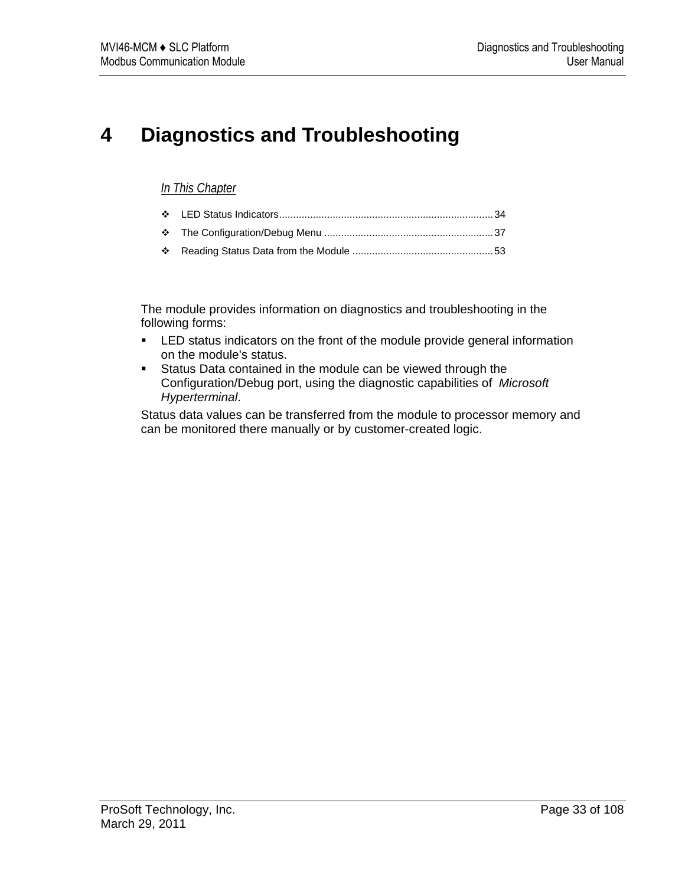# **4 Diagnostics and Troubleshooting**

#### *In This Chapter*

The module provides information on diagnostics and troubleshooting in the following forms:

- **EXTED** status indicators on the front of the module provide general information on the module's status.
- **Status Data contained in the module can be viewed through the** Configuration/Debug port, using the diagnostic capabilities of *Microsoft Hyperterminal*.

Status data values can be transferred from the module to processor memory and can be monitored there manually or by customer-created logic.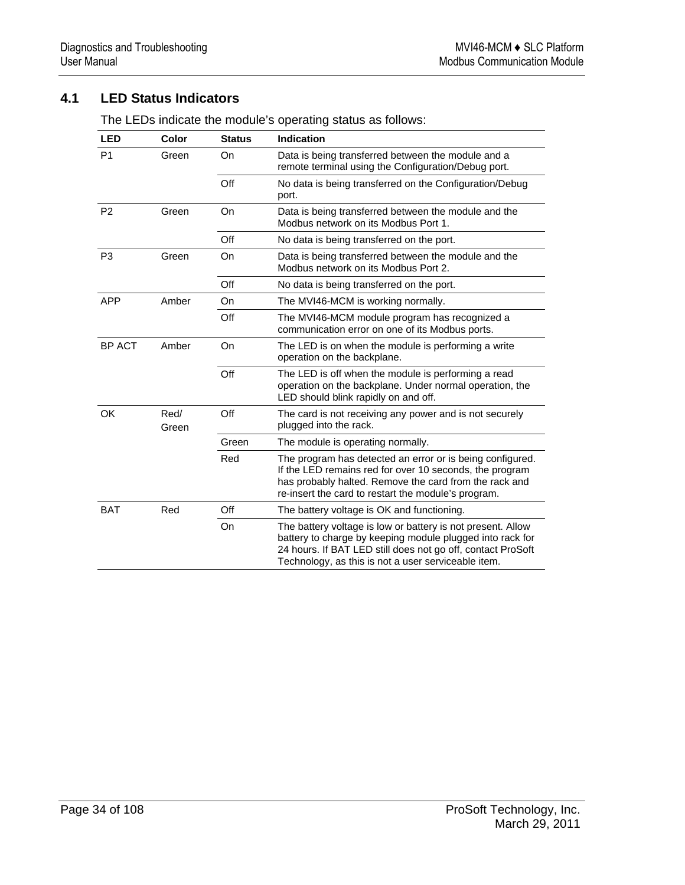# **4.1 LED Status Indicators**

| The LEDs indicate the module's operating status as follows: |  |  |
|-------------------------------------------------------------|--|--|
|-------------------------------------------------------------|--|--|

| <b>LED</b>     | Color         | <b>Status</b> | <b>Indication</b>                                                                                                                                                                                                                              |
|----------------|---------------|---------------|------------------------------------------------------------------------------------------------------------------------------------------------------------------------------------------------------------------------------------------------|
| P <sub>1</sub> | Green         | On            | Data is being transferred between the module and a<br>remote terminal using the Configuration/Debug port.                                                                                                                                      |
|                |               | Off           | No data is being transferred on the Configuration/Debug<br>port.                                                                                                                                                                               |
| P <sub>2</sub> | Green         | On            | Data is being transferred between the module and the<br>Modbus network on its Modbus Port 1.                                                                                                                                                   |
|                |               | Off           | No data is being transferred on the port.                                                                                                                                                                                                      |
| P <sub>3</sub> | Green         | On            | Data is being transferred between the module and the<br>Modbus network on its Modbus Port 2.                                                                                                                                                   |
|                |               | Off           | No data is being transferred on the port.                                                                                                                                                                                                      |
| <b>APP</b>     | Amber         | On            | The MVI46-MCM is working normally.                                                                                                                                                                                                             |
|                |               | Off           | The MVI46-MCM module program has recognized a<br>communication error on one of its Modbus ports.                                                                                                                                               |
| BP ACT         | Amber         | On            | The LED is on when the module is performing a write<br>operation on the backplane.                                                                                                                                                             |
|                |               | Off           | The LED is off when the module is performing a read<br>operation on the backplane. Under normal operation, the<br>LED should blink rapidly on and off.                                                                                         |
| OK             | Red/<br>Green | Off           | The card is not receiving any power and is not securely<br>plugged into the rack.                                                                                                                                                              |
|                |               | Green         | The module is operating normally.                                                                                                                                                                                                              |
|                |               | Red           | The program has detected an error or is being configured.<br>If the LED remains red for over 10 seconds, the program<br>has probably halted. Remove the card from the rack and<br>re-insert the card to restart the module's program.          |
| <b>BAT</b>     | Red           | Off           | The battery voltage is OK and functioning.                                                                                                                                                                                                     |
|                |               | On            | The battery voltage is low or battery is not present. Allow<br>battery to charge by keeping module plugged into rack for<br>24 hours. If BAT LED still does not go off, contact ProSoft<br>Technology, as this is not a user serviceable item. |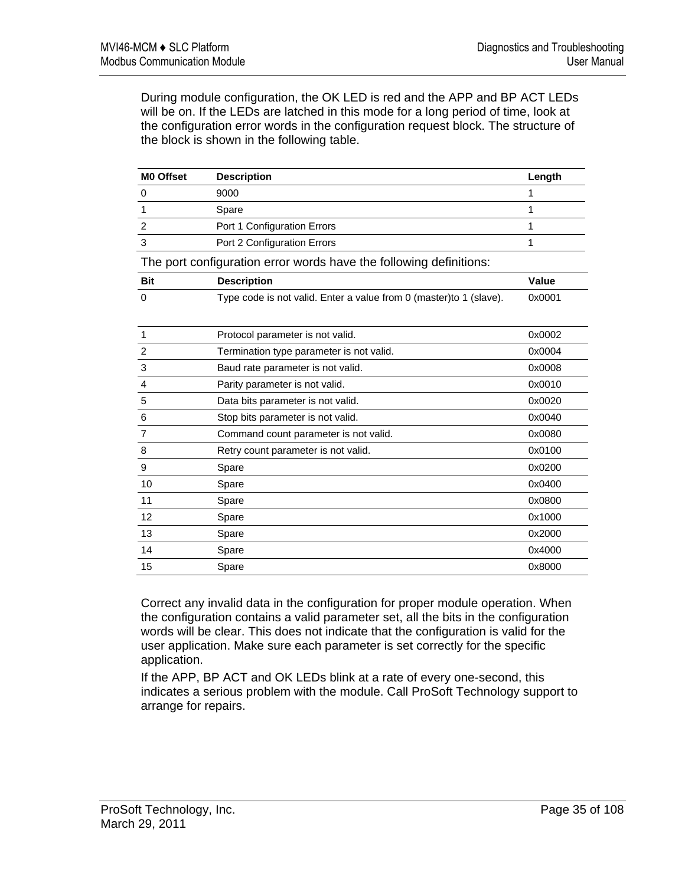During module configuration, the OK LED is red and the APP and BP ACT LEDs will be on. If the LEDs are latched in this mode for a long period of time, look at the configuration error words in the configuration request block. The structure of the block is shown in the following table.

| <b>MO Offset</b> | <b>Description</b>                                                 | Length |
|------------------|--------------------------------------------------------------------|--------|
| 0                | 9000                                                               | 1      |
| 1                | Spare                                                              | 1      |
| $\overline{2}$   | Port 1 Configuration Errors                                        | 1      |
| 3                | Port 2 Configuration Errors                                        | 1      |
|                  | The port configuration error words have the following definitions: |        |
| <b>Bit</b>       | <b>Description</b>                                                 | Value  |
| 0                | Type code is not valid. Enter a value from 0 (master)to 1 (slave). | 0x0001 |
|                  |                                                                    |        |
| 1                | Protocol parameter is not valid.                                   | 0x0002 |
| 2                | Termination type parameter is not valid.                           | 0x0004 |
| 3                | Baud rate parameter is not valid.                                  | 0x0008 |
| 4                | Parity parameter is not valid.                                     | 0x0010 |
| 5                | Data bits parameter is not valid.                                  | 0x0020 |
| 6                | Stop bits parameter is not valid.                                  | 0x0040 |
| 7                | Command count parameter is not valid.                              | 0x0080 |
| 8                | Retry count parameter is not valid.                                | 0x0100 |
| 9                | Spare                                                              | 0x0200 |
| 10               | Spare                                                              | 0x0400 |
| 11               | Spare                                                              | 0x0800 |
| 12               | Spare                                                              | 0x1000 |
| 13               | Spare                                                              | 0x2000 |
| 14               | Spare                                                              | 0x4000 |
| 15               | Spare                                                              | 0x8000 |

Correct any invalid data in the configuration for proper module operation. When the configuration contains a valid parameter set, all the bits in the configuration words will be clear. This does not indicate that the configuration is valid for the user application. Make sure each parameter is set correctly for the specific application.

If the APP, BP ACT and OK LEDs blink at a rate of every one-second, this indicates a serious problem with the module. Call ProSoft Technology support to arrange for repairs.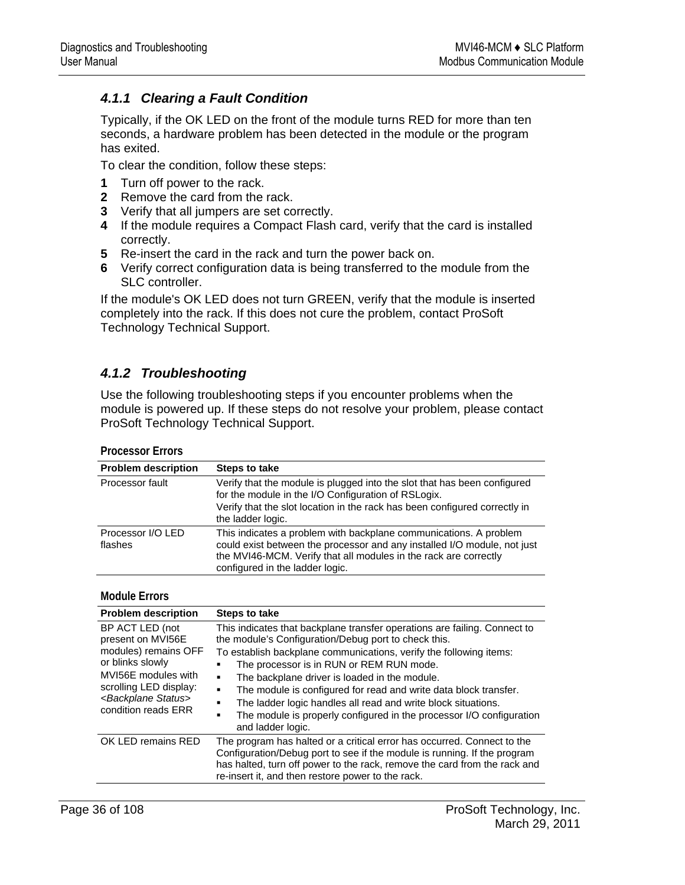# *4.1.1 Clearing a Fault Condition*

Typically, if the OK LED on the front of the module turns RED for more than ten seconds, a hardware problem has been detected in the module or the program has exited.

To clear the condition, follow these steps:

- **1** Turn off power to the rack.
- **2** Remove the card from the rack.
- **3** Verify that all jumpers are set correctly.
- **4** If the module requires a Compact Flash card, verify that the card is installed correctly.
- **5** Re-insert the card in the rack and turn the power back on.
- **6** Verify correct configuration data is being transferred to the module from the SLC controller.

If the module's OK LED does not turn GREEN, verify that the module is inserted completely into the rack. If this does not cure the problem, contact ProSoft Technology Technical Support.

## *4.1.2 Troubleshooting*

Use the following troubleshooting steps if you encounter problems when the module is powered up. If these steps do not resolve your problem, please contact ProSoft Technology Technical Support.

#### **Processor Errors**

| <b>Problem description</b>   | Steps to take                                                                                                                                                                                                                                        |
|------------------------------|------------------------------------------------------------------------------------------------------------------------------------------------------------------------------------------------------------------------------------------------------|
| Processor fault              | Verify that the module is plugged into the slot that has been configured<br>for the module in the I/O Configuration of RSLogix.                                                                                                                      |
|                              | Verify that the slot location in the rack has been configured correctly in<br>the ladder logic.                                                                                                                                                      |
| Processor I/O LED<br>flashes | This indicates a problem with backplane communications. A problem<br>could exist between the processor and any installed I/O module, not just<br>the MVI46-MCM. Verify that all modules in the rack are correctly<br>configured in the ladder logic. |

#### **Module Errors**

| <b>Problem description</b>                                                                                                                                                                     | <b>Steps to take</b>                                                                                                                                                                                                                                                                                                                                                                                                                                                                                                                              |
|------------------------------------------------------------------------------------------------------------------------------------------------------------------------------------------------|---------------------------------------------------------------------------------------------------------------------------------------------------------------------------------------------------------------------------------------------------------------------------------------------------------------------------------------------------------------------------------------------------------------------------------------------------------------------------------------------------------------------------------------------------|
| BP ACT LED (not<br>present on MVI56E<br>modules) remains OFF<br>or blinks slowly<br>MVI56E modules with<br>scrolling LED display:<br><backplane status=""><br/>condition reads ERR</backplane> | This indicates that backplane transfer operations are failing. Connect to<br>the module's Configuration/Debug port to check this.<br>To establish backplane communications, verify the following items:<br>The processor is in RUN or REM RUN mode.<br>The backplane driver is loaded in the module.<br>The module is configured for read and write data block transfer.<br>۰.<br>The ladder logic handles all read and write block situations.<br>٠<br>The module is properly configured in the processor I/O configuration<br>and ladder logic. |
| OK LED remains RED                                                                                                                                                                             | The program has halted or a critical error has occurred. Connect to the<br>Configuration/Debug port to see if the module is running. If the program<br>has halted, turn off power to the rack, remove the card from the rack and<br>re-insert it, and then restore power to the rack.                                                                                                                                                                                                                                                             |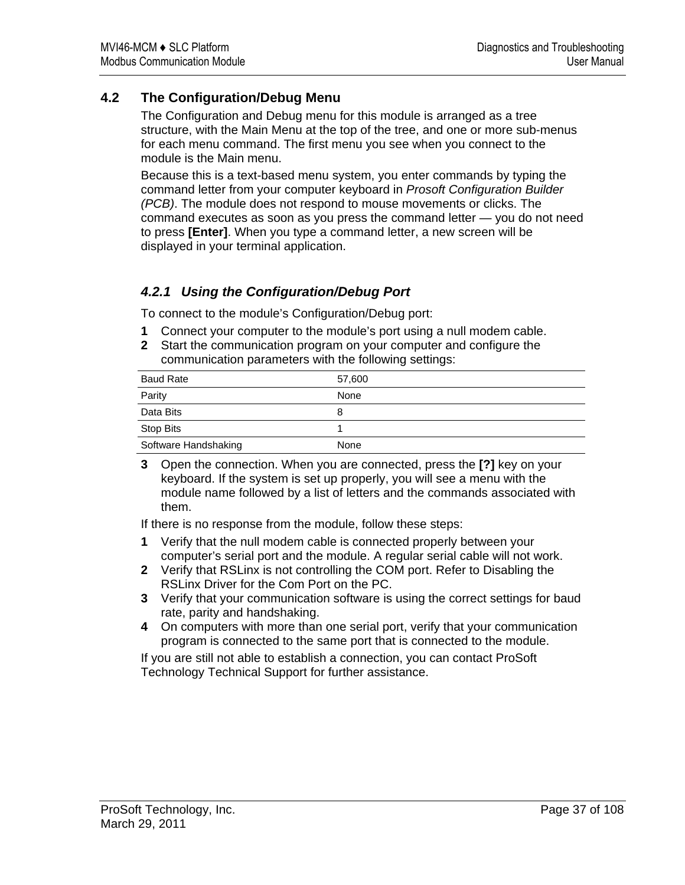# **4.2 The Configuration/Debug Menu**

The Configuration and Debug menu for this module is arranged as a tree structure, with the Main Menu at the top of the tree, and one or more sub-menus for each menu command. The first menu you see when you connect to the module is the Main menu.

Because this is a text-based menu system, you enter commands by typing the command letter from your computer keyboard in *Prosoft Configuration Builder (PCB)*. The module does not respond to mouse movements or clicks. The command executes as soon as you press the command letter — you do not need to press **[Enter]**. When you type a command letter, a new screen will be displayed in your terminal application.

# *4.2.1 Using the Configuration/Debug Port*

To connect to the module's Configuration/Debug port:

- **1** Connect your computer to the module's port using a null modem cable.
- **2** Start the communication program on your computer and configure the communication parameters with the following settings:

| <b>Baud Rate</b>     | 57,600 |
|----------------------|--------|
| Parity               | None   |
| Data Bits            | 8      |
| Stop Bits            |        |
| Software Handshaking | None   |

**3** Open the connection. When you are connected, press the **[?]** key on your keyboard. If the system is set up properly, you will see a menu with the module name followed by a list of letters and the commands associated with them.

If there is no response from the module, follow these steps:

- **1** Verify that the null modem cable is connected properly between your computer's serial port and the module. A regular serial cable will not work.
- **2** Verify that RSLinx is not controlling the COM port. Refer to Disabling the RSLinx Driver for the Com Port on the PC.
- **3** Verify that your communication software is using the correct settings for baud rate, parity and handshaking.
- **4** On computers with more than one serial port, verify that your communication program is connected to the same port that is connected to the module.

If you are still not able to establish a connection, you can contact ProSoft Technology Technical Support for further assistance.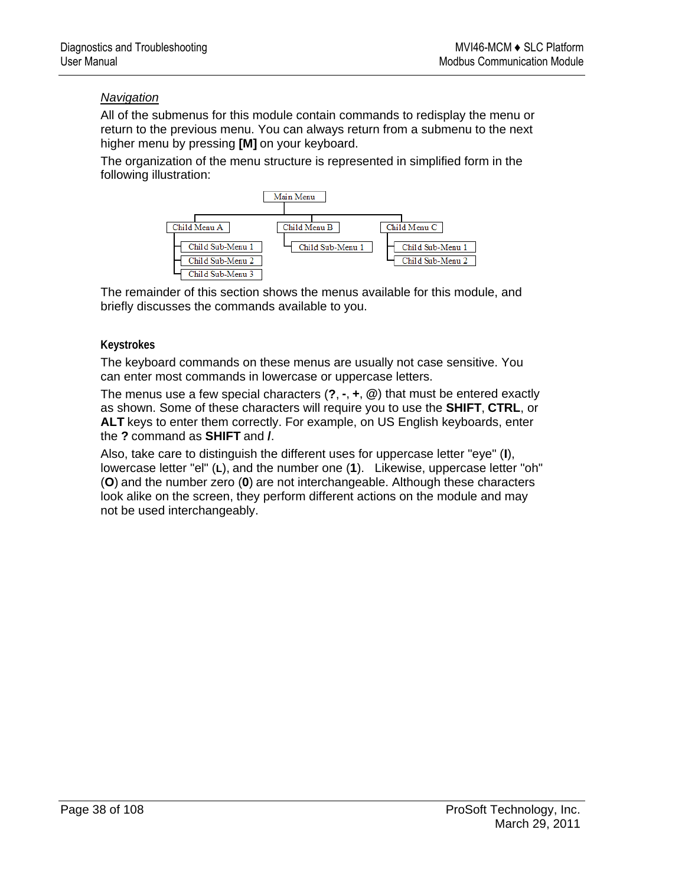# *Navigation*

All of the submenus for this module contain commands to redisplay the menu or return to the previous menu. You can always return from a submenu to the next higher menu by pressing **[M]** on your keyboard.

The organization of the menu structure is represented in simplified form in the following illustration:



The remainder of this section shows the menus available for this module, and briefly discusses the commands available to you.

# **Keystrokes**

The keyboard commands on these menus are usually not case sensitive. You can enter most commands in lowercase or uppercase letters.

The menus use a few special characters (**?**, **-**, **+**, **@**) that must be entered exactly as shown. Some of these characters will require you to use the **SHIFT**, **CTRL**, or **ALT** keys to enter them correctly. For example, on US English keyboards, enter the **?** command as **SHIFT** and **/**.

Also, take care to distinguish the different uses for uppercase letter "eye" (**I**), lowercase letter "el" (**L**), and the number one (**1**). Likewise, uppercase letter "oh" (**O**) and the number zero (**0**) are not interchangeable. Although these characters look alike on the screen, they perform different actions on the module and may not be used interchangeably.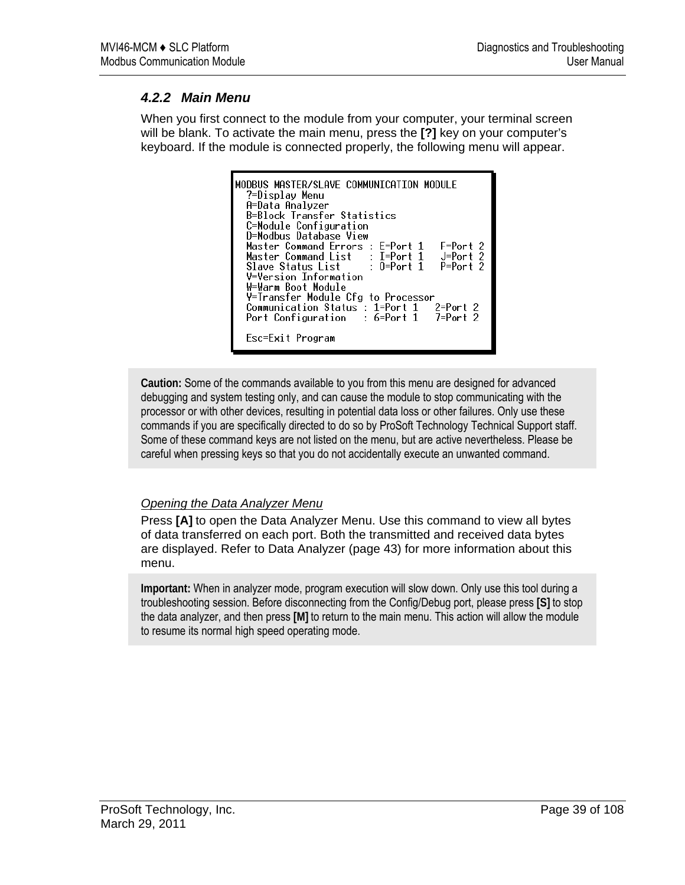# *4.2.2 Main Menu*

When you first connect to the module from your computer, your terminal screen will be blank. To activate the main menu, press the **[?]** key on your computer's keyboard. If the module is connected properly, the following menu will appear.



**Caution:** Some of the commands available to you from this menu are designed for advanced debugging and system testing only, and can cause the module to stop communicating with the processor or with other devices, resulting in potential data loss or other failures. Only use these commands if you are specifically directed to do so by ProSoft Technology Technical Support staff. Some of these command keys are not listed on the menu, but are active nevertheless. Please be careful when pressing keys so that you do not accidentally execute an unwanted command.

# *Opening the Data Analyzer Menu*

Press **[A]** to open the Data Analyzer Menu. Use this command to view all bytes of data transferred on each port. Both the transmitted and received data bytes are displayed. Refer to Data Analyzer (page 43) for more information about this menu.

**Important:** When in analyzer mode, program execution will slow down. Only use this tool during a troubleshooting session. Before disconnecting from the Config/Debug port, please press **[S]** to stop the data analyzer, and then press **[M]** to return to the main menu. This action will allow the module to resume its normal high speed operating mode.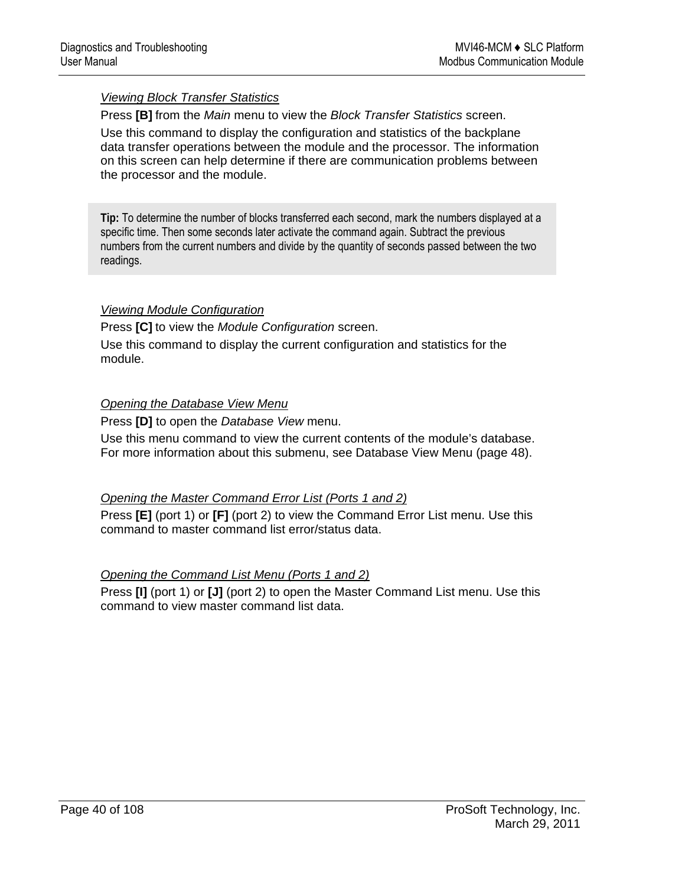# *Viewing Block Transfer Statistics*

Press **[B]** from the *Main* menu to view the *Block Transfer Statistics* screen. Use this command to display the configuration and statistics of the backplane data transfer operations between the module and the processor. The information on this screen can help determine if there are communication problems between the processor and the module.

**Tip:** To determine the number of blocks transferred each second, mark the numbers displayed at a specific time. Then some seconds later activate the command again. Subtract the previous numbers from the current numbers and divide by the quantity of seconds passed between the two readings.

# *Viewing Module Configuration*

Press **[C]** to view the *Module Configuration* screen.

Use this command to display the current configuration and statistics for the module.

# *Opening the Database View Menu*

Press **[D]** to open the *Database View* menu.

Use this menu command to view the current contents of the module's database. For more information about this submenu, see Database View Menu (page 48).

# *Opening the Master Command Error List (Ports 1 and 2)*

Press **[E]** (port 1) or **[F]** (port 2) to view the Command Error List menu. Use this command to master command list error/status data.

# *Opening the Command List Menu (Ports 1 and 2)*

Press **[I]** (port 1) or **[J]** (port 2) to open the Master Command List menu. Use this command to view master command list data.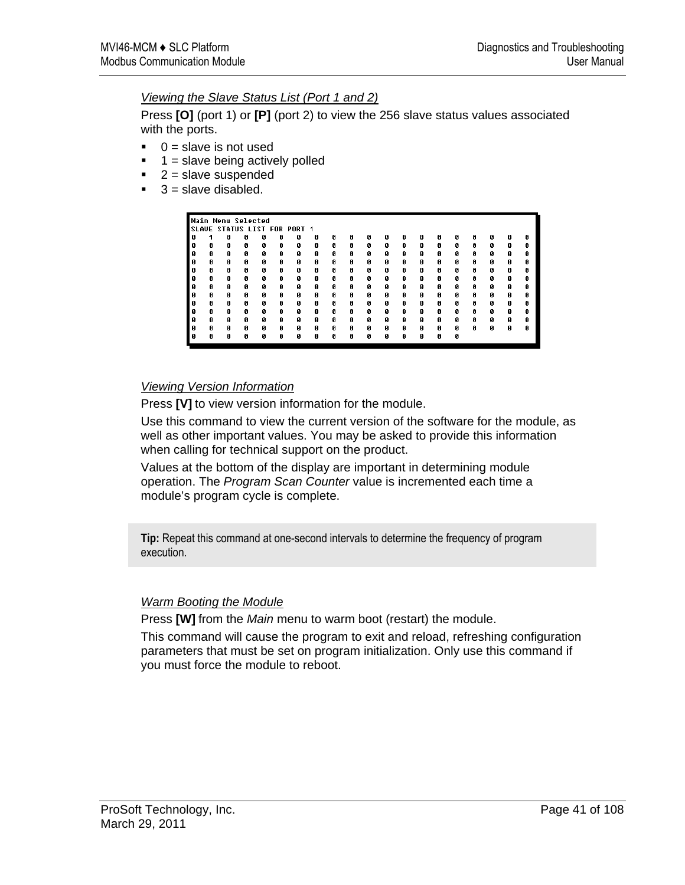# *Viewing the Slave Status List (Port 1 and 2)*

Press **[O]** (port 1) or **[P]** (port 2) to view the 256 slave status values associated with the ports.

- $\bullet$  0 = slave is not used
- $\blacksquare$  1 = slave being actively polled
- $\blacksquare$  2 = slave suspended
- $\blacksquare$  3 = slave disabled.

|              |   | Main Menu Selected |              |    |      |      |   |   |   |   |   |   |   |   |   |   |   |   |   |
|--------------|---|--------------------|--------------|----|------|------|---|---|---|---|---|---|---|---|---|---|---|---|---|
| <b>SLAVE</b> |   | <b>ZILTATZ</b>     | $\mathbf{I}$ | SΤ | FNR. | PORT |   |   |   |   |   |   |   |   |   |   |   |   |   |
| Ø            |   | O                  | 0            | o  | Ø    | 0    | Ø | Ø | Ø | Ø | Ø | 0 | 0 | Ø | Ø | Ø | Ø | 0 | П |
| 0            | Ø | Ø                  | Ø            | Ø  | Ø    | Ø    | Ø | Ø | 0 | Ø | Ø | Ø | Ø | Ø | Ø | Ø | Ø | O | Ø |
| 0            | ū | 0                  | 0            | 0  | Ø    | Ø    | 0 | Ø | Ø | Ø | Ø | Ø | 0 | 0 | Ø | ß | Ø | 0 | 0 |
| Ø            | Ø | Ø                  | Ø            | 0  | Ø    | Ø    | Ø | O | Ø | Ø | Ø | Ø | Ø | Ø | Ø | Ø | Ø | 0 | Ø |
| Ø            | A | 0                  | 0            | 0  | 0    | 0    | 0 | 0 | 0 | Ø | Ø | Ø | 0 | 0 | 0 | 0 | 0 | Ø | 0 |
| Ø            | Ø | Ø                  | O            | 0  | Ø    | Ø    | Ø | Ø | Ø | Ø | 0 | Ø | Ø | 0 | Ø | Ø | Ø | 0 | Ø |
| Ø            | Й | 0                  | 0            | Ø  | Ø    | Ø    | Ø | Ø | 0 | Ø | Ø | Ø | 0 | 0 | 0 | Й | 0 | 0 | 0 |
| Ø            | Ø | 0                  | 0            | Ø  | Ø    | Ø    | Ø | ū | Ø | Ø | Ø | Ø | Ø | 0 | Ø | Ø | Ø | 0 | Ø |
| 0            | Ø | Ø                  | Ø            | Ø  | Ø    | Ø    | Ø | Ø | Ø | Ø | Ø | Ø | Ø | Ø | Ø | Ø | Ø | Ø | 0 |
| Ø            | ū | 0                  | 0            | 0  | 0    | Ø    | 0 | Ø | 0 | Ø | Ø | Ø | 0 | 0 | ß | П | Ø | 0 | Ø |
| 0            | Ø | Ø                  | Ø            | Ø  | Ø    | Ø    | Ø | O | Ø | Ø | Ø | Ø | Ø | Ø | Ø | Ø | Ø | O | Ø |
| Ø            | A | 0                  | 0            | 0  | Ø    | A    | 0 | A | A | Й | Ø | Ø | 0 | 0 | 0 | Й | A | 0 | ū |
| Ø            | Ø | Ø                  | Ø            | Ø  | Ø    | Ø    | Ø | Ø | Ø | Ø | Ø | Ø | Ø | Ø | Ø |   |   |   |   |
|              |   |                    |              |    |      |      |   |   |   |   |   |   |   |   |   |   |   |   |   |

# *Viewing Version Information*

Press **[V]** to view version information for the module.

Use this command to view the current version of the software for the module, as well as other important values. You may be asked to provide this information when calling for technical support on the product.

Values at the bottom of the display are important in determining module operation. The *Program Scan Counter* value is incremented each time a module's program cycle is complete.

**Tip:** Repeat this command at one-second intervals to determine the frequency of program execution.

# *Warm Booting the Module*

Press **[W]** from the *Main* menu to warm boot (restart) the module.

This command will cause the program to exit and reload, refreshing configuration parameters that must be set on program initialization. Only use this command if you must force the module to reboot.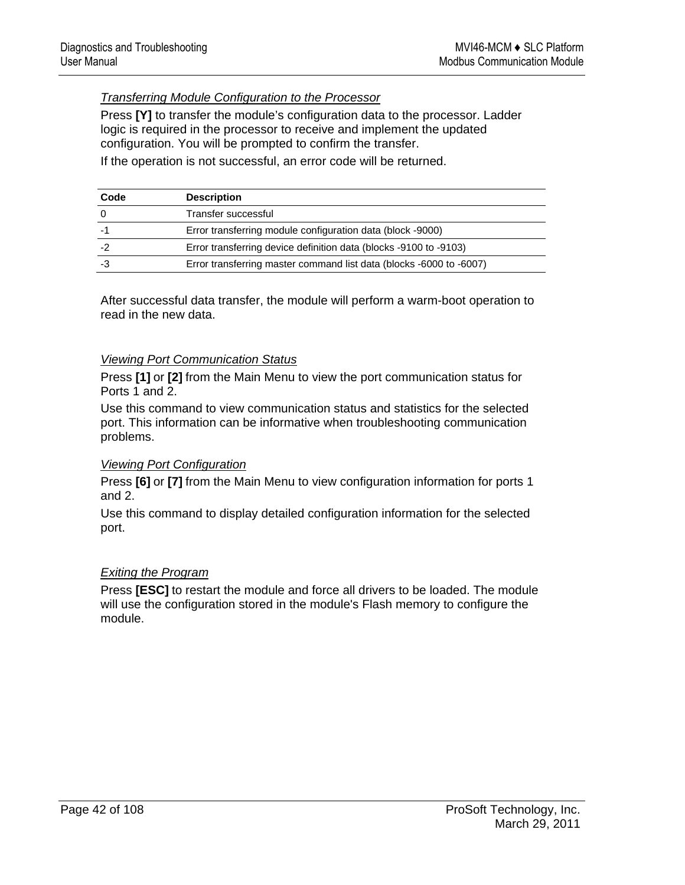# *Transferring Module Configuration to the Processor*

Press **[Y]** to transfer the module's configuration data to the processor. Ladder logic is required in the processor to receive and implement the updated configuration. You will be prompted to confirm the transfer.

If the operation is not successful, an error code will be returned.

| Code | <b>Description</b>                                                  |
|------|---------------------------------------------------------------------|
|      | Transfer successful                                                 |
|      | Error transferring module configuration data (block -9000)          |
| -2   | Error transferring device definition data (blocks -9100 to -9103)   |
| -3   | Error transferring master command list data (blocks -6000 to -6007) |

After successful data transfer, the module will perform a warm-boot operation to read in the new data.

### *Viewing Port Communication Status*

Press **[1]** or **[2]** from the Main Menu to view the port communication status for Ports 1 and 2.

Use this command to view communication status and statistics for the selected port. This information can be informative when troubleshooting communication problems.

# *Viewing Port Configuration*

Press **[6]** or **[7]** from the Main Menu to view configuration information for ports 1 and 2.

Use this command to display detailed configuration information for the selected port.

# *Exiting the Program*

Press **[ESC]** to restart the module and force all drivers to be loaded. The module will use the configuration stored in the module's Flash memory to configure the module.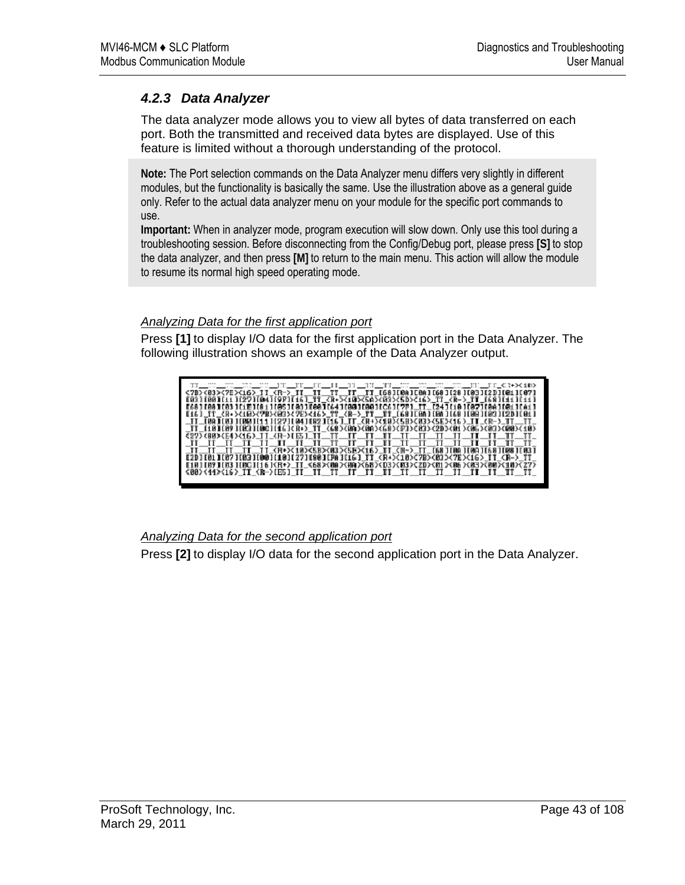# *4.2.3 Data Analyzer*

The data analyzer mode allows you to view all bytes of data transferred on each port. Both the transmitted and received data bytes are displayed. Use of this feature is limited without a thorough understanding of the protocol.

**Note:** The Port selection commands on the Data Analyzer menu differs very slightly in different modules, but the functionality is basically the same. Use the illustration above as a general guide only. Refer to the actual data analyzer menu on your module for the specific port commands to use.

**Important:** When in analyzer mode, program execution will slow down. Only use this tool during a troubleshooting session. Before disconnecting from the Config/Debug port, please press **[S]** to stop the data analyzer, and then press **[M]** to return to the main menu. This action will allow the module to resume its normal high speed operating mode.

# *Analyzing Data for the first application port*

Press **[1]** to display I/O data for the first application port in the Data Analyzer. The following illustration shows an example of the Data Analyzer output.

| 00 . 200 . 200 . 200 . 200 . 200 . 200 . 200 . 200 . 200 . 200 . 200 . 200 . 200 . 200 . 200 . 200 .                                                                                            |  |
|-------------------------------------------------------------------------------------------------------------------------------------------------------------------------------------------------|--|
| <7B><03><7E><16> II <r-> II II II II II II II I681[0A][0A][68][28][03][2]][@1][07]<br/>08310881011110271084109P10161_TT_CR+5C105C5A5C833C5D3C163_TT_CR-3_TT_168101110111</r->                   |  |
| 0681083083111E1681168510831083164310831083106317F1_17_02410181087108410811611                                                                                                                   |  |
| E16] [TT_{R+}{1B}{?B}{83}{?E}{16}_TT_{R-}_TT_TT_[68][86][86][68][83][83][23][91]<br>[00][03][00][11][27][04][82][16]_TT_(R+)(10)(58)(03)(5E)(16)_TT_(R-)_TT                                     |  |
| _IT__[18][89][83][0C][16](R+)_TT_(68){0A){0A){68}(F3){B3}{2D}(01){06}{03}{03}{08}}                                                                                                              |  |
| E22) {R0} {E4} {t6} I I {R-}I E5 I II I II II II II II II II II<br>$T$ $T$ $T$ $T$ $T$                                                                                                          |  |
| (R*)(10)(5B)(03)(5E)(16)_TT_(R=)_TT_(68 ][00 ][00][68][08][08][03]<br>0201081108710831008101030271080107030163_TT_ <r+>&lt;18&gt;&lt;7B&gt;&lt;83&gt;&lt;7E&gt;&lt;16&gt;_TT_<r+>_TT_</r+></r+> |  |
| 01011091103110011161{R+}_TT_<68>{00>{00}%68>{D3}{D3}{2D}{D1}{D6}%03}{03}{02}}{00}{10}{10}{27}                                                                                                   |  |
|                                                                                                                                                                                                 |  |

# *Analyzing Data for the second application port*

Press **[2]** to display I/O data for the second application port in the Data Analyzer.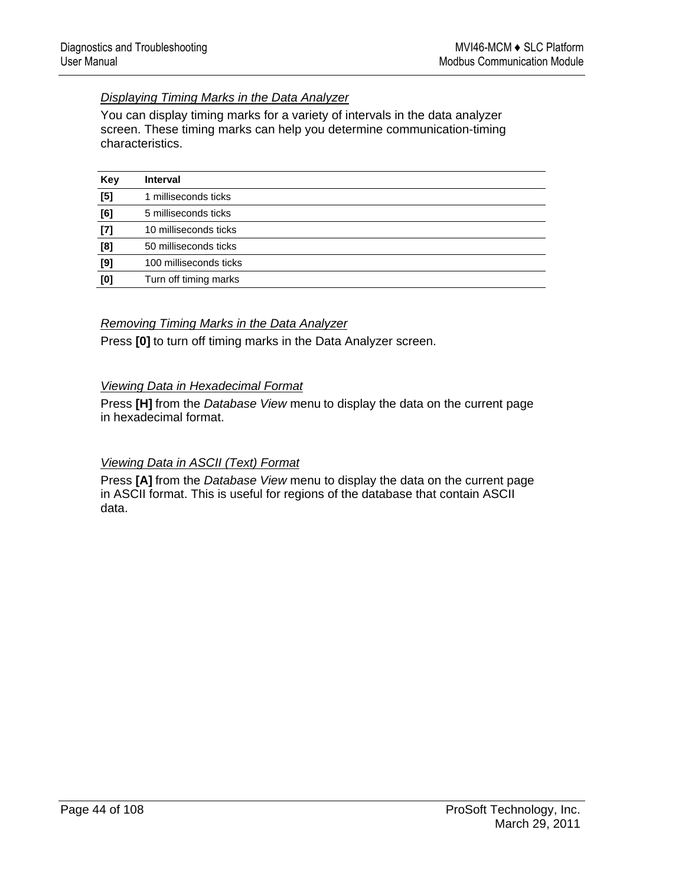# *Displaying Timing Marks in the Data Analyzer*

You can display timing marks for a variety of intervals in the data analyzer screen. These timing marks can help you determine communication-timing characteristics.

| Key   | <b>Interval</b>        |
|-------|------------------------|
| $[5]$ | 1 milliseconds ticks   |
| [6]   | 5 milliseconds ticks   |
| $[7]$ | 10 milliseconds ticks  |
| [8]   | 50 milliseconds ticks  |
| [9]   | 100 milliseconds ticks |
| [0]   | Turn off timing marks  |

# *Removing Timing Marks in the Data Analyzer*

Press **[0]** to turn off timing marks in the Data Analyzer screen.

# *Viewing Data in Hexadecimal Format*

Press **[H]** from the *Database View* menu to display the data on the current page in hexadecimal format.

# *Viewing Data in ASCII (Text) Format*

Press **[A]** from the *Database View* menu to display the data on the current page in ASCII format. This is useful for regions of the database that contain ASCII data.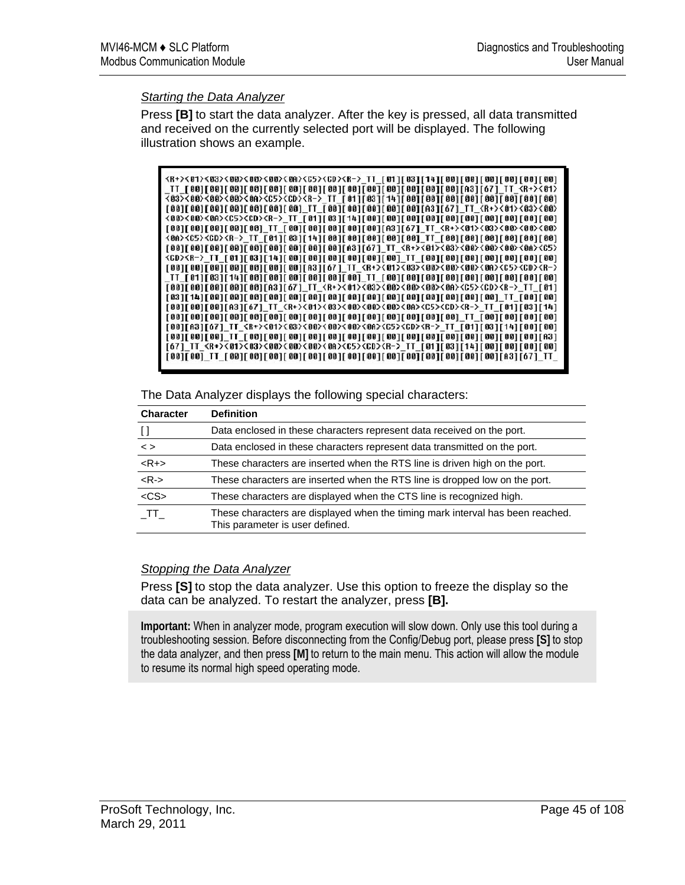### *Starting the Data Analyzer*

Press **[B]** to start the data analyzer. After the key is pressed, all data transmitted and received on the currently selected port will be displayed. The following illustration shows an example.

| <83><88><88><88><86><88+>>>>>>>>>>>>+R-> TT [81][83][14][88][88][88][88][88][88][88][88]                                                      |
|-----------------------------------------------------------------------------------------------------------------------------------------------|
|                                                                                                                                               |
|                                                                                                                                               |
| [00][00][00][00][00] TT [00][00][00][00][00][A3][67] TT <r+>&lt;01&gt;&lt;03&gt;&lt;00&gt;&lt;00&gt;&lt;00&gt;</r+>                           |
|                                                                                                                                               |
| <8A> <c5><cd><r-> TT [81][83][14][88][88][88][88][88] TT [88][88][88][88][88][88]</r-></cd></c5>                                              |
|                                                                                                                                               |
| <cd><r-> TT [81][83][14][88][38][88][88][88][88][88] TT [88][88][88][88][88][88][88]</r-></cd>                                                |
| [00][00][00][00][00][00][00][00][A3][67]_TT_ <r+>&lt;01&gt;&lt;03&gt;&lt;00&gt;&lt;00&gt;&lt;00&gt;&lt;00&gt;<c5><cd><r-></r-></cd></c5></r+> |
|                                                                                                                                               |
| [00][00][00][00][00][00][A3][67]_TT_ <r+>&lt;01&gt;&lt;03&gt;&lt;00&gt;&lt;00&gt;&lt;00&gt;&lt;06+<c5><cd><r->_TT_[01]</r-></cd></c5></r+>    |
|                                                                                                                                               |
| [00][00][00][A3][67] TT <r+>&lt;01&gt;&lt;03&gt;&lt;00&gt;&lt;00&gt;&lt;00&gt;&lt;0A&gt;<c5><cd><r-> TT [01][03][14]</r-></cd></c5></r+>      |
|                                                                                                                                               |
| [00][A3][67] TT <r+>&lt;01&gt;&lt;03&gt;&lt;00&gt;&lt;00&gt;&lt;00&gt;&lt;0A&gt;<c5><cd><r-> TT [01][03][14][00][00]</r-></cd></c5></r+>      |
|                                                                                                                                               |
|                                                                                                                                               |
| [67] TT <r+>&lt;01&gt;&lt;03&gt;&lt;00&gt;&lt;00&gt;&lt;00&gt;&lt;0A&gt;<c5><cd><r-> TT [01][03][14][00][00][00][00]</r-></cd></c5></r+>      |
|                                                                                                                                               |

The Data Analyzer displays the following special characters:

| <b>Character</b> | <b>Definition</b>                                                                                                 |
|------------------|-------------------------------------------------------------------------------------------------------------------|
|                  | Data enclosed in these characters represent data received on the port.                                            |
| $\leq$           | Data enclosed in these characters represent data transmitted on the port.                                         |
| $<$ R+ $>$       | These characters are inserted when the RTS line is driven high on the port.                                       |
| $R$ ->           | These characters are inserted when the RTS line is dropped low on the port.                                       |
| $<$ CS>          | These characters are displayed when the CTS line is recognized high.                                              |
| TT               | These characters are displayed when the timing mark interval has been reached.<br>This parameter is user defined. |

# *Stopping the Data Analyzer*

Press **[S]** to stop the data analyzer. Use this option to freeze the display so the data can be analyzed. To restart the analyzer, press **[B].**

**Important:** When in analyzer mode, program execution will slow down. Only use this tool during a troubleshooting session. Before disconnecting from the Config/Debug port, please press **[S]** to stop the data analyzer, and then press **[M]** to return to the main menu. This action will allow the module to resume its normal high speed operating mode.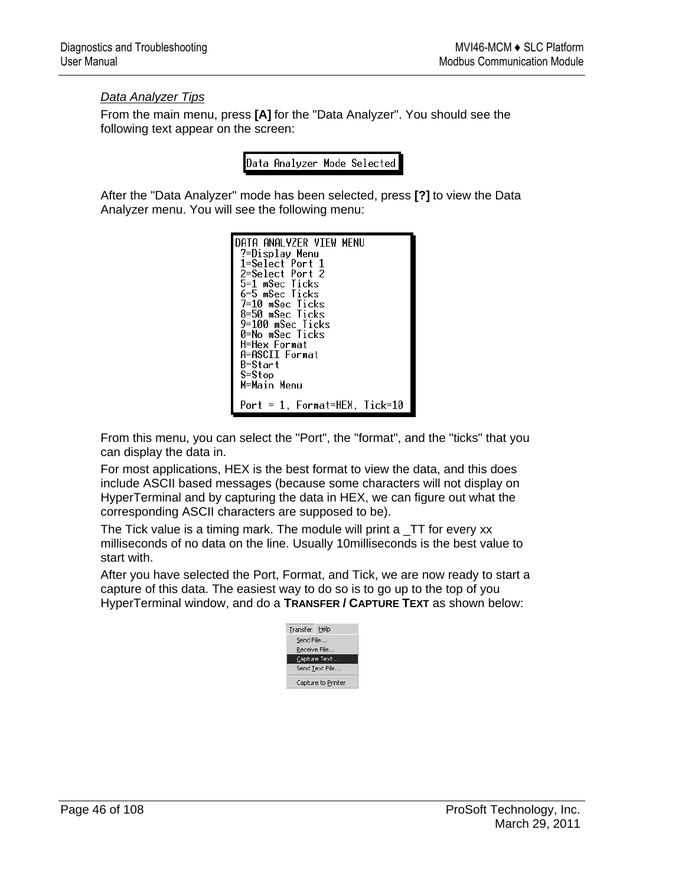### *Data Analyzer Tips*

From the main menu, press **[A]** for the "Data Analyzer". You should see the following text appear on the screen:

Data Analyzer Mode Selected

After the "Data Analyzer" mode has been selected, press **[?]** to view the Data Analyzer menu. You will see the following menu:

| DATA ANALYZER VIEW MENU       |
|-------------------------------|
| ?=Display Menu                |
| 1=Select Port 1               |
| 2=Select Port 2               |
| 5=1 mSec Ticks                |
| 6=5 mSec Ticks                |
| 7=10 mSec Ticks               |
| 8=50 mSec Ticks               |
| 9=100 mSec Ticks              |
| 0=No mSec Ticks               |
| H=Hex Format                  |
| A=ASCII Format                |
| B=Start                       |
| S=Stop                        |
| M=Main Menu                   |
|                               |
| Port = 1, Format=HEX, Tick=10 |

From this menu, you can select the "Port", the "format", and the "ticks" that you can display the data in.

For most applications, HEX is the best format to view the data, and this does include ASCII based messages (because some characters will not display on HyperTerminal and by capturing the data in HEX, we can figure out what the corresponding ASCII characters are supposed to be).

The Tick value is a timing mark. The module will print a \_TT for every xx milliseconds of no data on the line. Usually 10milliseconds is the best value to start with.

After you have selected the Port, Format, and Tick, we are now ready to start a capture of this data. The easiest way to do so is to go up to the top of you HyperTerminal window, and do a **TRANSFER / CAPTURE TEXT** as shown below:

| Transfer Help |                    |
|---------------|--------------------|
| Send File     |                    |
| Receive File  |                    |
|               | Capture Text       |
|               | Send Text File     |
|               | Capture to Printer |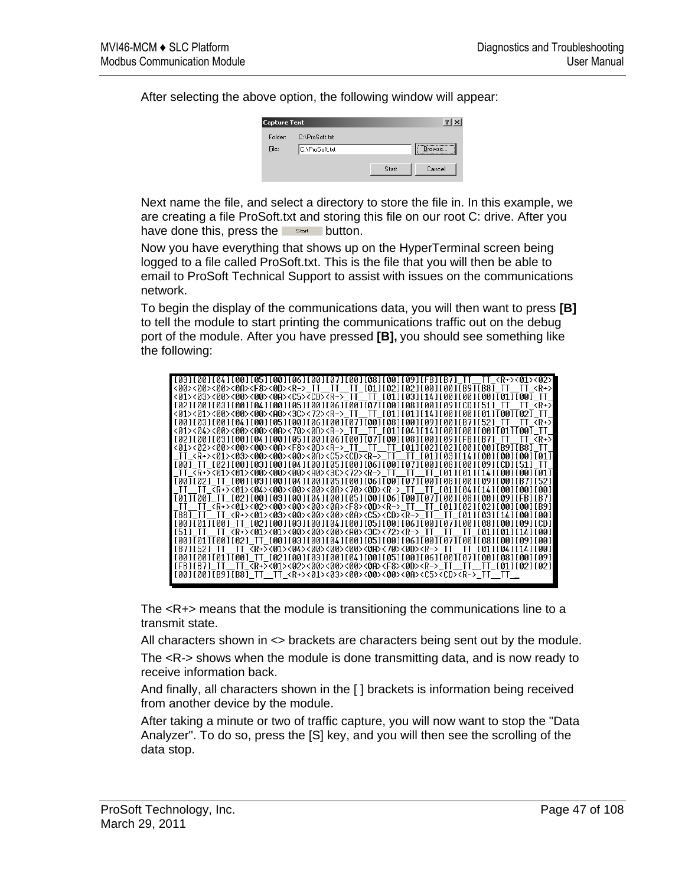After selecting the above option, the following window will appear:

| <b>Capture Text</b> |                |       | 2       |
|---------------------|----------------|-------|---------|
| Folder:             | C:\ProSoft.txt |       |         |
| File:               | C:\ProSoft.txt |       | Browse. |
|                     |                | Start | Cancel  |

Next name the file, and select a directory to store the file in. In this example, we are creating a file ProSoft.txt and storing this file on our root C: drive. After you have done this, press the  $\frac{1}{\sqrt{2}}$  button.

Now you have everything that shows up on the HyperTerminal screen being logged to a file called ProSoft.txt. This is the file that you will then be able to email to ProSoft Technical Support to assist with issues on the communications network.

To begin the display of the communications data, you will then want to press **[B]** to tell the module to start printing the communications traffic out on the debug port of the module. After you have pressed **[B],** you should see something like the following:

| [03][00][04][00][05][00][06][00][07][00][08][00][09][FB][B7] TT TT <r+>&lt;01&gt;&lt;02&gt;<br/>&lt;00&gt;&lt;00&gt;&lt;00&gt;&lt;00&gt;&lt;0A&gt;<f8>&lt;0D&gt;<r-> TT TT TT [01][02][02][00][00][B9][B8] TT TT <r+></r+></r-></f8></r+> |
|-------------------------------------------------------------------------------------------------------------------------------------------------------------------------------------------------------------------------------------------|
|                                                                                                                                                                                                                                           |
|                                                                                                                                                                                                                                           |
|                                                                                                                                                                                                                                           |
| <01><03><08>><08><08><00><08> <ccd><ccd><r->_TT__TT_[01][03][14][00][00][00][01][00]_TT__TT_<r+<br> CO11[00][03][00][04][00][05][00][06][00][07][00][08][00][09][CD][51]_TT__TT__R+&gt;</r+<br></r-></ccd></ccd>                          |
| <01><01><00><00><00><00>>>>>><00><3C><72> <r-> TT TT [01][01][14][00][00][01][00][02] TT</r->                                                                                                                                             |
| $(0.001103110011041100110511001106110011007)$ $(0.001100110011001100116711521)$ tt $(0.001100110011001167)$                                                                                                                               |
| <01><04><00><00><00><00><00><00>>>>>>>+F TT TT [01][04][14][00][00][00][01][00] TT                                                                                                                                                        |
| \[02][00][03][00][04][00][05][00][06][00][07][00][08][08][00][07][FB][B7]_TT__TT_ <r+></r+>                                                                                                                                               |
| <01><02><00><00><00><00><00> <f8>&lt;0D&gt;<r-> TT__TT__TT__Q11[02][02][00][00][B9][B8]_TT</r-></f8>                                                                                                                                      |
|                                                                                                                                                                                                                                           |
| _TT_ <r+>&lt;01&gt;&lt;03&gt;&lt;00&gt;&lt;00&gt;&lt;00&gt;&lt;0A&gt;<cd><cd><r->_TT_TT_[01][03][14][00][00][00][01][01]<br/>[00]_TT_[02][00][03][00][04][00][05][00][06][00][07][00][08][09][09][CD][51]_TT_</r-></cd></cd></r+>         |
| TT <r+>&lt;01&gt;&lt;01&gt;&lt;00&gt;&lt;00&gt;&lt;00&gt;&lt;00&gt;&lt;40&gt;&lt;3C&gt;&lt;72&gt;<r-> TT TT TT [01][01][14][00][00][01]</r-></r+>                                                                                         |
| [[00][02]_TT_[00][03][00][04][00][05][00][06][00][07][00][08][08][00][09][00][B7][52]                                                                                                                                                     |
| TT <r+>&lt;01&gt;&lt;04&gt;&lt;00&gt;&lt;00&gt;&lt;00&gt;&lt;00&gt;&lt;0A&gt;&lt;70&gt;&lt;0D&gt;<r-> TT TT [01][04][14][00][00][00]</r-></r+>                                                                                            |
| [01][00] TT [02][00][03][00][04][00][05][00][06][06][07][00][03][09][09][FB][B7]                                                                                                                                                          |
| TT <r+>&lt;01&gt;&lt;02&gt;&lt;00&gt;&lt;00&gt;&lt;00&gt;&lt;00&gt;&lt;0A&gt;<f8>&lt;0D&gt;<r-> TT TT [01][02][02][00][00][B9]</r-></f8></r+>                                                                                             |
| [B8] TT _TT <r+>&lt;01&gt;&lt;03&gt;&lt;00&gt;&lt;00&gt;&lt;00&gt;&lt;00&gt;<c5><cd><r->_TT _TT [01][03][14][00][00]</r-></cd></c5></r+>                                                                                                  |
| [00][01][00] TT [02][00][03][00][04][00][05][00][06][00][07][00][08][00][09][CD]                                                                                                                                                          |
| [51] TT _TT <r+>&lt;01&gt;&lt;01&gt;&lt;00&gt;&lt;00&gt;&lt;00&gt;<a0>&lt;3C&gt;&lt;72&gt;<r->_TT _TT _TT [01][01][14][00]</r-></a0></r+>                                                                                                 |
| [001[011[001[02] TT [001[03][001[04][001[05][001[06][001[071[001[03][001[091[00]                                                                                                                                                          |
| [B7][52] TT _TT <r+>&lt;01&gt;&lt;04&gt;&lt;00&gt;&lt;00&gt;&lt;00&gt;&lt;00&gt;&lt;70&gt;&lt;70&gt;<r->_TT _TT [01][04][14][00]</r-></r+>                                                                                                |
| [00][00][01][00] TT [02][00][03][00][04][00][05][00][06][00][07][00][08][00][09]                                                                                                                                                          |
| [[FB][B7] TT _TT <r+>&lt;01&gt;&lt;02&gt;&lt;00&gt;&lt;00&gt;&lt;00&gt;&lt;00&gt;&lt;68&gt;&lt;0D&gt;<r->_TT _TT _TT [01][02][02]</r-></r+>                                                                                               |
| [00][00][B9][B8] TT _TT <r+>&lt;01&gt;&lt;03&gt;&lt;00&gt;&lt;00&gt;&lt;00&gt;&lt;0A&gt;<c5><cd><r->_TT _TT _</r-></cd></c5></r+>                                                                                                         |
|                                                                                                                                                                                                                                           |

The  $<$ R+ $>$  means that the module is transitioning the communications line to a transmit state.

All characters shown in <> brackets are characters being sent out by the module.

The <R-> shows when the module is done transmitting data, and is now ready to receive information back.

And finally, all characters shown in the [ ] brackets is information being received from another device by the module.

After taking a minute or two of traffic capture, you will now want to stop the "Data Analyzer". To do so, press the [S] key, and you will then see the scrolling of the data stop.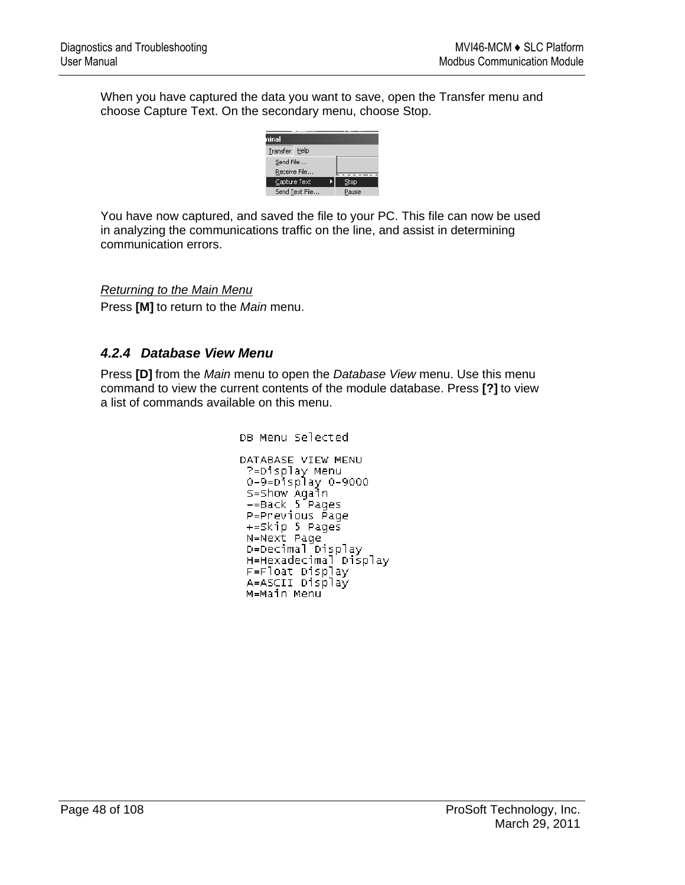When you have captured the data you want to save, open the Transfer menu and choose Capture Text. On the secondary menu, choose Stop.



You have now captured, and saved the file to your PC. This file can now be used in analyzing the communications traffic on the line, and assist in determining communication errors.

*Returning to the Main Menu*

Press **[M]** to return to the *Main* menu.

# *4.2.4 Database View Menu*

Press **[D]** from the *Main* menu to open the *Database View* menu. Use this menu command to view the current contents of the module database. Press **[?]** to view a list of commands available on this menu.

> DB Menu Selected DATABASE VIEW MENU ?=Display Menu<br>0-9=Display 0-9000 S=Show Again<br>-=Back 5 Pages P=Previous Page +=Skip 5 Pages H=Hexadecimal Display F=Float Display<br>A=ASCII Display M=Main Menu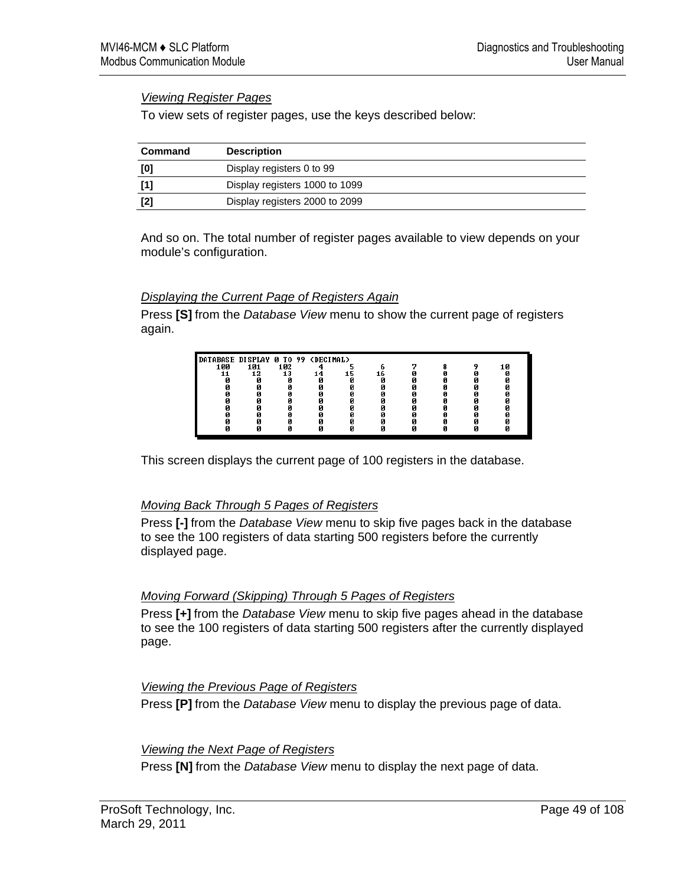# *Viewing Register Pages*

To view sets of register pages, use the keys described below:

| <b>Command</b> | <b>Description</b>             |
|----------------|--------------------------------|
| [0]            | Display registers 0 to 99      |
| [1]            | Display registers 1000 to 1099 |
| [2]            | Display registers 2000 to 2099 |

And so on. The total number of register pages available to view depends on your module's configuration.

# *Displaying the Current Page of Registers Again*

Press **[S]** from the *Database View* menu to show the current page of registers again.

| Й<br>И<br>Й | DATABASE<br>100 | DISPLAY<br>101<br>12 | <b>0 TO 99</b><br>102<br>13 | 14 | <b>(DECIMAL)</b><br>15 |  |  |  |
|-------------|-----------------|----------------------|-----------------------------|----|------------------------|--|--|--|
|             |                 |                      |                             |    |                        |  |  |  |

This screen displays the current page of 100 registers in the database.

# *Moving Back Through 5 Pages of Registers*

Press **[-]** from the *Database View* menu to skip five pages back in the database to see the 100 registers of data starting 500 registers before the currently displayed page.

# *Moving Forward (Skipping) Through 5 Pages of Registers*

Press **[+]** from the *Database View* menu to skip five pages ahead in the database to see the 100 registers of data starting 500 registers after the currently displayed page.

# *Viewing the Previous Page of Registers*

Press **[P]** from the *Database View* menu to display the previous page of data.

*Viewing the Next Page of Registers*

Press **[N]** from the *Database View* menu to display the next page of data.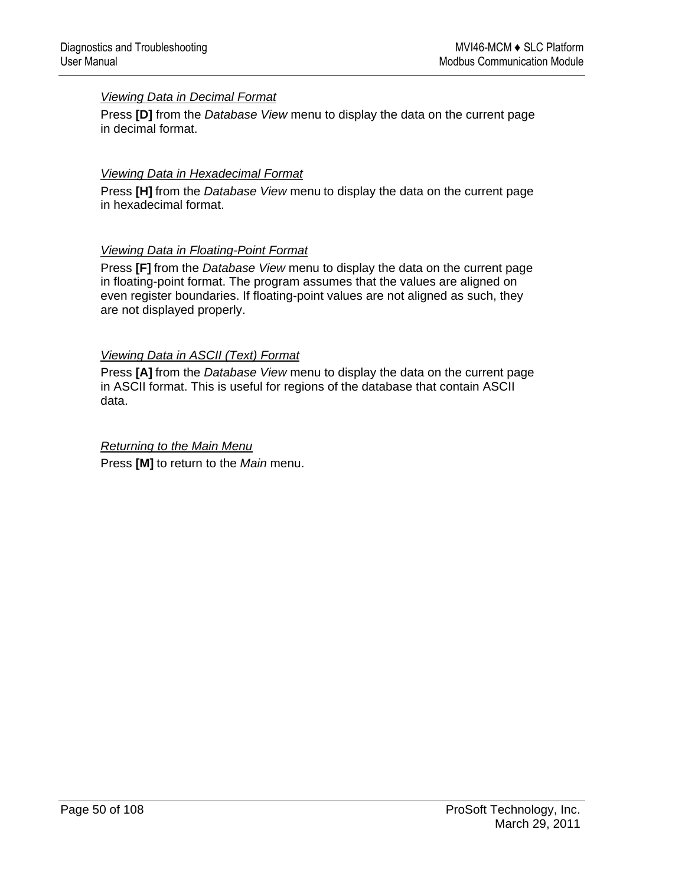### *Viewing Data in Decimal Format*

Press **[D]** from the *Database View* menu to display the data on the current page in decimal format.

#### *Viewing Data in Hexadecimal Format*

Press **[H]** from the *Database View* menu to display the data on the current page in hexadecimal format.

### *Viewing Data in Floating-Point Format*

Press **[F]** from the *Database View* menu to display the data on the current page in floating-point format. The program assumes that the values are aligned on even register boundaries. If floating-point values are not aligned as such, they are not displayed properly.

### *Viewing Data in ASCII (Text) Format*

Press **[A]** from the *Database View* menu to display the data on the current page in ASCII format. This is useful for regions of the database that contain ASCII data.

#### *Returning to the Main Menu*

Press **[M]** to return to the *Main* menu.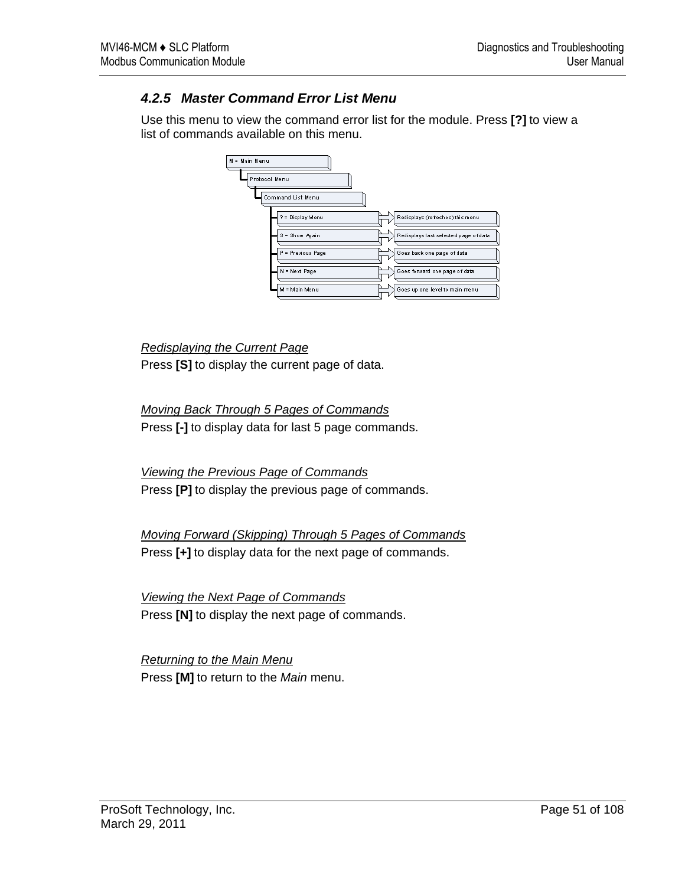# *4.2.5 Master Command Error List Menu*

Use this menu to view the command error list for the module. Press **[?]** to view a list of commands available on this menu.



# *Redisplaying the Current Page*

Press **[S]** to display the current page of data.

# *Moving Back Through 5 Pages of Commands*

Press **[-]** to display data for last 5 page commands.

*Viewing the Previous Page of Commands* Press **[P]** to display the previous page of commands.

*Moving Forward (Skipping) Through 5 Pages of Commands* Press **[+]** to display data for the next page of commands.

*Viewing the Next Page of Commands* Press **[N]** to display the next page of commands.

*Returning to the Main Menu* Press **[M]** to return to the *Main* menu.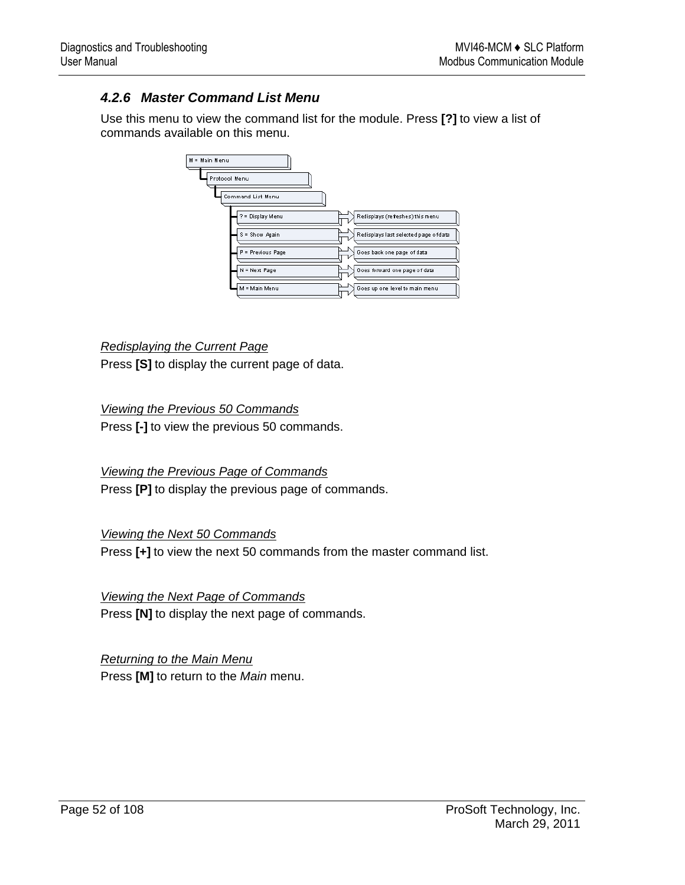# *4.2.6 Master Command List Menu*

Use this menu to view the command list for the module. Press **[?]** to view a list of commands available on this menu.



# *Redisplaying the Current Page*

Press **[S]** to display the current page of data.

# *Viewing the Previous 50 Commands*

Press **[-]** to view the previous 50 commands.

# *Viewing the Previous Page of Commands*

Press **[P]** to display the previous page of commands.

# *Viewing the Next 50 Commands*

Press **[+]** to view the next 50 commands from the master command list.

# *Viewing the Next Page of Commands*

Press **[N]** to display the next page of commands.

# *Returning to the Main Menu* Press **[M]** to return to the *Main* menu.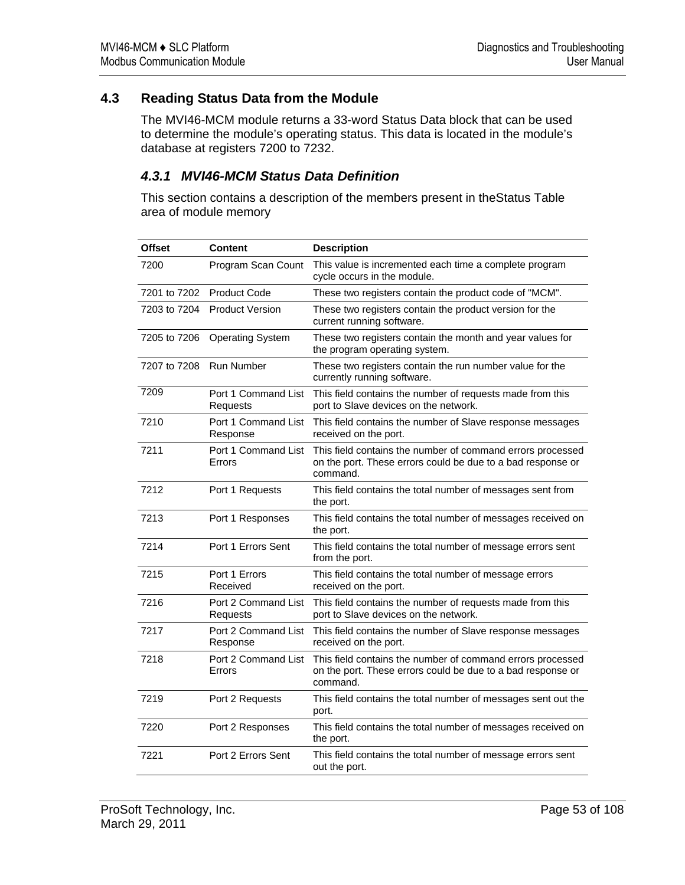# **4.3 Reading Status Data from the Module**

The MVI46-MCM module returns a 33-word Status Data block that can be used to determine the module's operating status. This data is located in the module's database at registers 7200 to 7232.

# *4.3.1 MVI46-MCM Status Data Definition*

This section contains a description of the members present in theStatus Table area of module memory

| <b>Offset</b>           | Content                         | <b>Description</b>                                                                                                                    |
|-------------------------|---------------------------------|---------------------------------------------------------------------------------------------------------------------------------------|
| 7200                    | Program Scan Count              | This value is incremented each time a complete program<br>cycle occurs in the module.                                                 |
| 7201 to 7202            | <b>Product Code</b>             | These two registers contain the product code of "MCM".                                                                                |
| 7203 to 7204            | <b>Product Version</b>          | These two registers contain the product version for the<br>current running software.                                                  |
| 7205 to 7206            | <b>Operating System</b>         | These two registers contain the month and year values for<br>the program operating system.                                            |
| 7207 to 7208 Run Number |                                 | These two registers contain the run number value for the<br>currently running software.                                               |
| 7209                    | Port 1 Command List<br>Requests | This field contains the number of requests made from this<br>port to Slave devices on the network.                                    |
| 7210                    | Port 1 Command List<br>Response | This field contains the number of Slave response messages<br>received on the port.                                                    |
| 7211                    | Port 1 Command List<br>Errors   | This field contains the number of command errors processed<br>on the port. These errors could be due to a bad response or<br>command. |
| 7212                    | Port 1 Requests                 | This field contains the total number of messages sent from<br>the port.                                                               |
| 7213                    | Port 1 Responses                | This field contains the total number of messages received on<br>the port.                                                             |
| 7214                    | Port 1 Errors Sent              | This field contains the total number of message errors sent<br>from the port.                                                         |
| 7215                    | Port 1 Errors<br>Received       | This field contains the total number of message errors<br>received on the port.                                                       |
| 7216                    | Port 2 Command List<br>Requests | This field contains the number of requests made from this<br>port to Slave devices on the network.                                    |
| 7217                    | Port 2 Command List<br>Response | This field contains the number of Slave response messages<br>received on the port.                                                    |
| 7218                    | Port 2 Command List<br>Errors   | This field contains the number of command errors processed<br>on the port. These errors could be due to a bad response or<br>command. |
| 7219                    | Port 2 Requests                 | This field contains the total number of messages sent out the<br>port.                                                                |
| 7220                    | Port 2 Responses                | This field contains the total number of messages received on<br>the port.                                                             |
| 7221                    | Port 2 Errors Sent              | This field contains the total number of message errors sent<br>out the port.                                                          |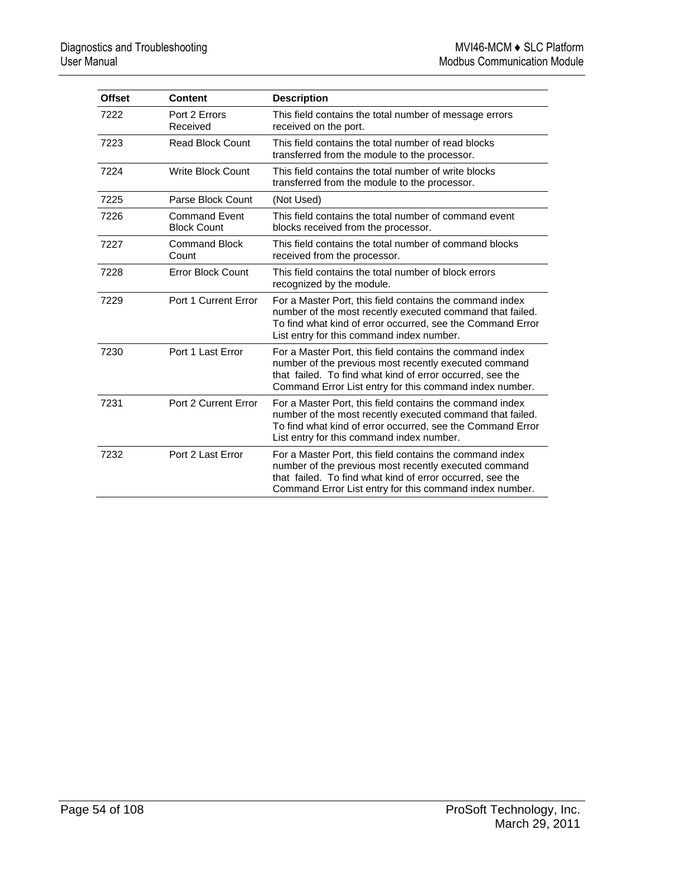| <b>Offset</b> | <b>Content</b>                             | <b>Description</b>                                                                                                                                                                                                                        |
|---------------|--------------------------------------------|-------------------------------------------------------------------------------------------------------------------------------------------------------------------------------------------------------------------------------------------|
| 7222          | Port 2 Errors<br>Received                  | This field contains the total number of message errors<br>received on the port.                                                                                                                                                           |
| 7223          | <b>Read Block Count</b>                    | This field contains the total number of read blocks<br>transferred from the module to the processor.                                                                                                                                      |
| 7224          | <b>Write Block Count</b>                   | This field contains the total number of write blocks<br>transferred from the module to the processor.                                                                                                                                     |
| 7225          | Parse Block Count                          | (Not Used)                                                                                                                                                                                                                                |
| 7226          | <b>Command Event</b><br><b>Block Count</b> | This field contains the total number of command event<br>blocks received from the processor.                                                                                                                                              |
| 7227          | <b>Command Block</b><br>Count              | This field contains the total number of command blocks<br>received from the processor.                                                                                                                                                    |
| 7228          | <b>Error Block Count</b>                   | This field contains the total number of block errors<br>recognized by the module.                                                                                                                                                         |
| 7229          | Port 1 Current Error                       | For a Master Port, this field contains the command index<br>number of the most recently executed command that failed.<br>To find what kind of error occurred, see the Command Error<br>List entry for this command index number.          |
| 7230          | Port 1 Last Error                          | For a Master Port, this field contains the command index<br>number of the previous most recently executed command<br>that failed. To find what kind of error occurred, see the<br>Command Error List entry for this command index number. |
| 7231          | Port 2 Current Error                       | For a Master Port, this field contains the command index<br>number of the most recently executed command that failed.<br>To find what kind of error occurred, see the Command Error<br>List entry for this command index number.          |
| 7232          | Port 2 Last Error                          | For a Master Port, this field contains the command index<br>number of the previous most recently executed command<br>that failed. To find what kind of error occurred, see the<br>Command Error List entry for this command index number. |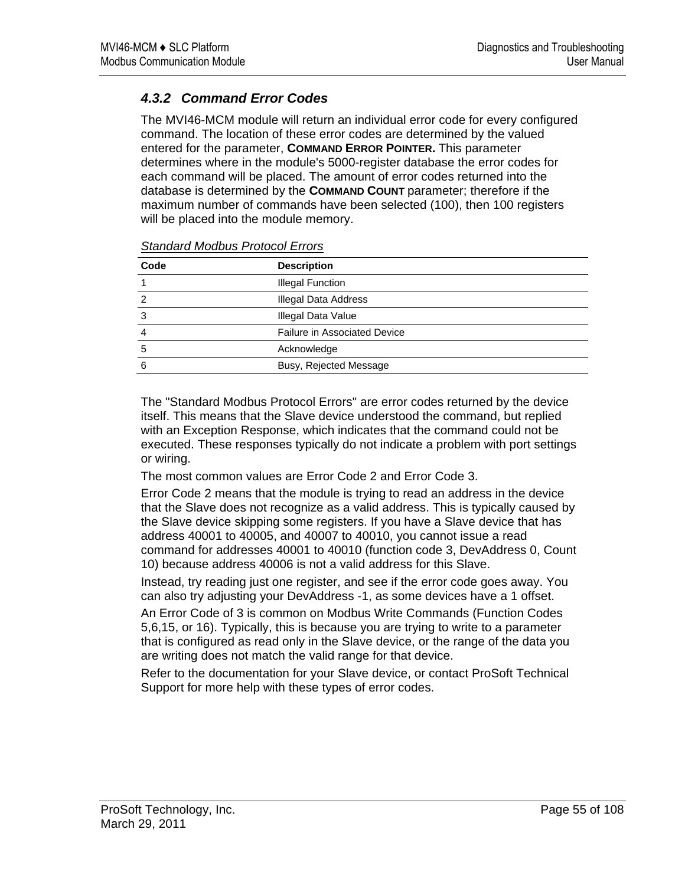# *4.3.2 Command Error Codes*

The MVI46-MCM module will return an individual error code for every configured command. The location of these error codes are determined by the valued entered for the parameter, **COMMAND ERROR POINTER.** This parameter determines where in the module's 5000-register database the error codes for each command will be placed. The amount of error codes returned into the database is determined by the **COMMAND COUNT** parameter; therefore if the maximum number of commands have been selected (100), then 100 registers will be placed into the module memory.

| Code | <b>Description</b>                  |
|------|-------------------------------------|
|      | <b>Illegal Function</b>             |
| 2    | <b>Illegal Data Address</b>         |
| 3    | Illegal Data Value                  |
| 4    | <b>Failure in Associated Device</b> |
| 5    | Acknowledge                         |
| 6    | Busy, Rejected Message              |

| <b>Standard Modbus Protocol Errors</b> |  |  |
|----------------------------------------|--|--|
|                                        |  |  |

The "Standard Modbus Protocol Errors" are error codes returned by the device itself. This means that the Slave device understood the command, but replied with an Exception Response, which indicates that the command could not be executed. These responses typically do not indicate a problem with port settings or wiring.

The most common values are Error Code 2 and Error Code 3.

Error Code 2 means that the module is trying to read an address in the device that the Slave does not recognize as a valid address. This is typically caused by the Slave device skipping some registers. If you have a Slave device that has address 40001 to 40005, and 40007 to 40010, you cannot issue a read command for addresses 40001 to 40010 (function code 3, DevAddress 0, Count 10) because address 40006 is not a valid address for this Slave.

Instead, try reading just one register, and see if the error code goes away. You can also try adjusting your DevAddress -1, as some devices have a 1 offset.

An Error Code of 3 is common on Modbus Write Commands (Function Codes 5,6,15, or 16). Typically, this is because you are trying to write to a parameter that is configured as read only in the Slave device, or the range of the data you are writing does not match the valid range for that device.

Refer to the documentation for your Slave device, or contact ProSoft Technical Support for more help with these types of error codes.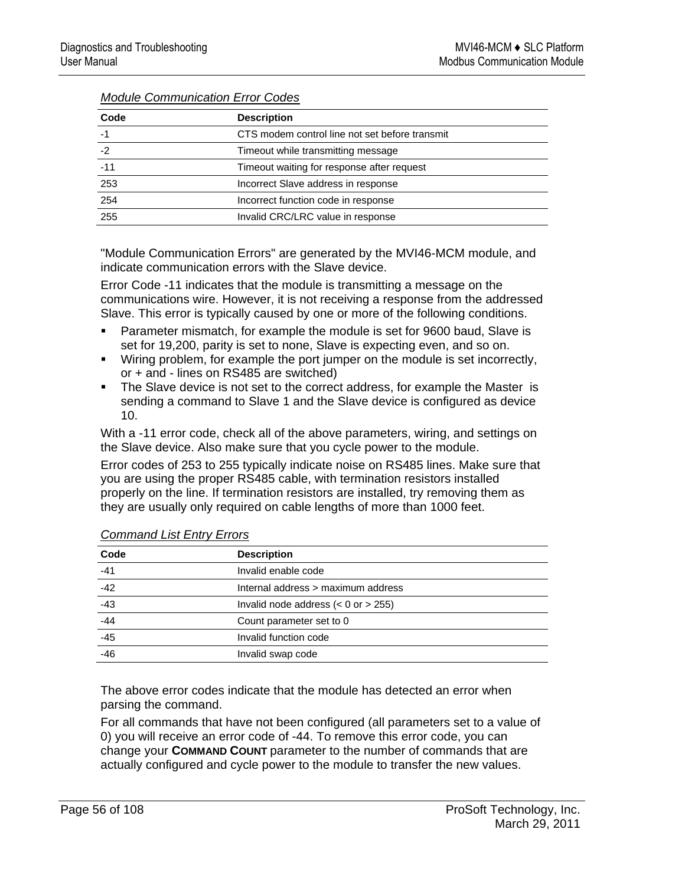| Code  | <b>Description</b>                             |
|-------|------------------------------------------------|
|       | CTS modem control line not set before transmit |
| $-2$  | Timeout while transmitting message             |
| $-11$ | Timeout waiting for response after request     |
| 253   | Incorrect Slave address in response            |
| 254   | Incorrect function code in response            |
| 255   | Invalid CRC/LRC value in response              |
|       |                                                |

#### *Module Communication Error Codes*

"Module Communication Errors" are generated by the MVI46-MCM module, and indicate communication errors with the Slave device.

Error Code -11 indicates that the module is transmitting a message on the communications wire. However, it is not receiving a response from the addressed Slave. This error is typically caused by one or more of the following conditions.

- Parameter mismatch, for example the module is set for 9600 baud, Slave is set for 19,200, parity is set to none, Slave is expecting even, and so on.
- Wiring problem, for example the port jumper on the module is set incorrectly, or + and - lines on RS485 are switched)
- The Slave device is not set to the correct address, for example the Master is sending a command to Slave 1 and the Slave device is configured as device 10.

With a -11 error code, check all of the above parameters, wiring, and settings on the Slave device. Also make sure that you cycle power to the module.

Error codes of 253 to 255 typically indicate noise on RS485 lines. Make sure that you are using the proper RS485 cable, with termination resistors installed properly on the line. If termination resistors are installed, try removing them as they are usually only required on cable lengths of more than 1000 feet.

| Code              | <b>Description</b>                       |
|-------------------|------------------------------------------|
| $-41$             | Invalid enable code                      |
| $-42$             | Internal address > maximum address       |
| $-43$             | Invalid node address $(< 0$ or $> 255$ ) |
| $-44$             | Count parameter set to 0                 |
| $\frac{-45}{-46}$ | Invalid function code                    |
|                   | Invalid swap code                        |

# *Command List Entry Errors*

The above error codes indicate that the module has detected an error when parsing the command.

For all commands that have not been configured (all parameters set to a value of 0) you will receive an error code of -44. To remove this error code, you can change your **COMMAND COUNT** parameter to the number of commands that are actually configured and cycle power to the module to transfer the new values.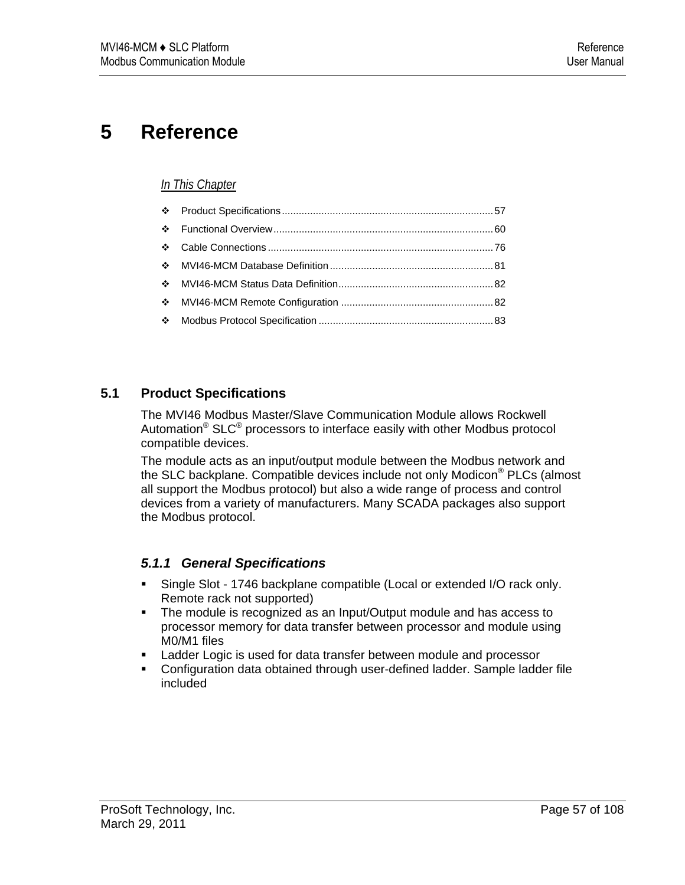# **5 Reference**

# *In This Chapter*

# **5.1 Product Specifications**

The MVI46 Modbus Master/Slave Communication Module allows Rockwell Automation<sup>®</sup> SLC<sup>®</sup> processors to interface easily with other Modbus protocol compatible devices.

The module acts as an input/output module between the Modbus network and the SLC backplane. Compatible devices include not only Modicon<sup>®</sup> PLCs (almost all support the Modbus protocol) but also a wide range of process and control devices from a variety of manufacturers. Many SCADA packages also support the Modbus protocol.

# *5.1.1 General Specifications*

- **Single Slot 1746 backplane compatible (Local or extended I/O rack only.** Remote rack not supported)
- The module is recognized as an Input/Output module and has access to processor memory for data transfer between processor and module using M0/M1 files
- **EXEC** Ladder Logic is used for data transfer between module and processor
- Configuration data obtained through user-defined ladder. Sample ladder file included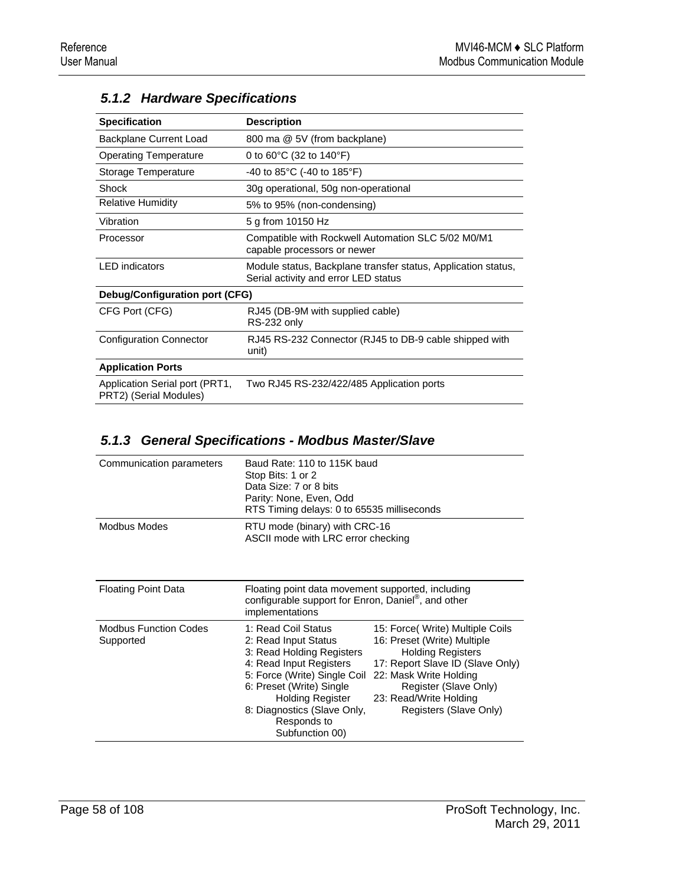| <b>Specification</b>                                     | <b>Description</b>                                                                                    |  |
|----------------------------------------------------------|-------------------------------------------------------------------------------------------------------|--|
| <b>Backplane Current Load</b>                            | 800 ma @ 5V (from backplane)                                                                          |  |
| <b>Operating Temperature</b>                             | 0 to 60 $\degree$ C (32 to 140 $\degree$ F)                                                           |  |
| Storage Temperature                                      | -40 to 85 $^{\circ}$ C (-40 to 185 $^{\circ}$ F)                                                      |  |
| Shock                                                    | 30g operational, 50g non-operational                                                                  |  |
| <b>Relative Humidity</b>                                 | 5% to 95% (non-condensing)                                                                            |  |
| Vibration                                                | 5 g from 10150 Hz                                                                                     |  |
| Processor                                                | Compatible with Rockwell Automation SLC 5/02 M0/M1<br>capable processors or newer                     |  |
| <b>LED</b> indicators                                    | Module status, Backplane transfer status, Application status,<br>Serial activity and error LED status |  |
| <b>Debug/Configuration port (CFG)</b>                    |                                                                                                       |  |
| CFG Port (CFG)                                           | RJ45 (DB-9M with supplied cable)<br>RS-232 only                                                       |  |
| <b>Configuration Connector</b>                           | RJ45 RS-232 Connector (RJ45 to DB-9 cable shipped with<br>unit)                                       |  |
| <b>Application Ports</b>                                 |                                                                                                       |  |
| Application Serial port (PRT1,<br>PRT2) (Serial Modules) | Two RJ45 RS-232/422/485 Application ports                                                             |  |

# *5.1.2 Hardware Specifications*

# *5.1.3 General Specifications - Modbus Master/Slave*

| Communication parameters                  | Baud Rate: 110 to 115K baud<br>Stop Bits: 1 or 2<br>Data Size: 7 or 8 bits<br>Parity: None, Even, Odd<br>RTS Timing delays: 0 to 65535 milliseconds                                                                                                         |                                                                                                                                                                                                                                        |
|-------------------------------------------|-------------------------------------------------------------------------------------------------------------------------------------------------------------------------------------------------------------------------------------------------------------|----------------------------------------------------------------------------------------------------------------------------------------------------------------------------------------------------------------------------------------|
| Modbus Modes                              | RTU mode (binary) with CRC-16<br>ASCII mode with LRC error checking                                                                                                                                                                                         |                                                                                                                                                                                                                                        |
| <b>Floating Point Data</b>                | Floating point data movement supported, including<br>configurable support for Enron, Daniel®, and other<br>implementations                                                                                                                                  |                                                                                                                                                                                                                                        |
| <b>Modbus Function Codes</b><br>Supported | 1: Read Coil Status<br>2: Read Input Status<br>3: Read Holding Registers<br>4: Read Input Registers<br>5: Force (Write) Single Coil<br>6: Preset (Write) Single<br><b>Holding Register</b><br>8: Diagnostics (Slave Only,<br>Responds to<br>Subfunction 00) | 15: Force (Write) Multiple Coils<br>16: Preset (Write) Multiple<br><b>Holding Registers</b><br>17: Report Slave ID (Slave Only)<br>22: Mask Write Holding<br>Register (Slave Only)<br>23: Read/Write Holding<br>Registers (Slave Only) |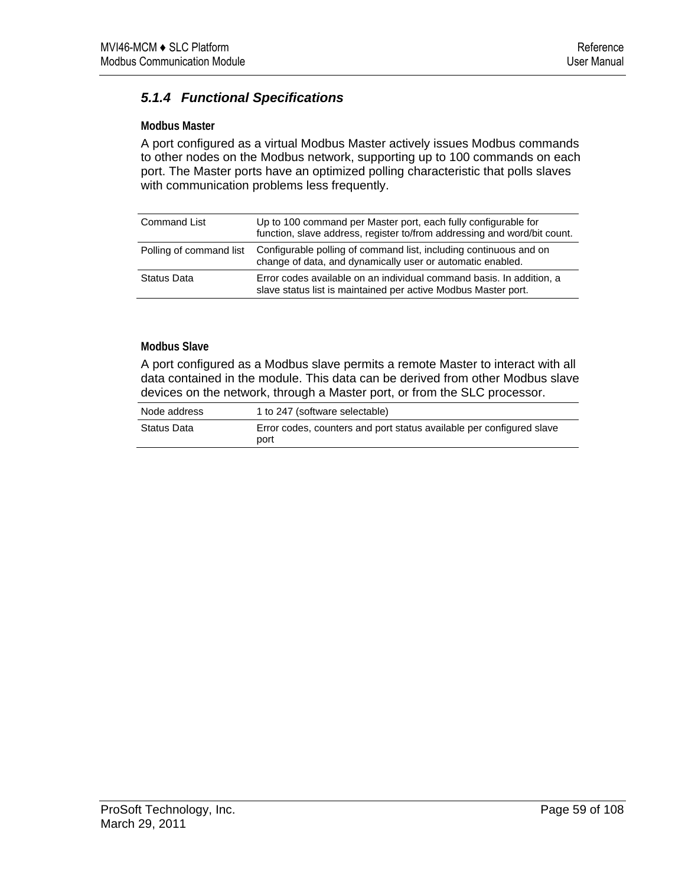# *5.1.4 Functional Specifications*

#### **Modbus Master**

A port configured as a virtual Modbus Master actively issues Modbus commands to other nodes on the Modbus network, supporting up to 100 commands on each port. The Master ports have an optimized polling characteristic that polls slaves with communication problems less frequently.

| <b>Command List</b>     | Up to 100 command per Master port, each fully configurable for<br>function, slave address, register to/from addressing and word/bit count. |
|-------------------------|--------------------------------------------------------------------------------------------------------------------------------------------|
| Polling of command list | Configurable polling of command list, including continuous and on<br>change of data, and dynamically user or automatic enabled.            |
| Status Data             | Error codes available on an individual command basis. In addition, a<br>slave status list is maintained per active Modbus Master port.     |

### **Modbus Slave**

A port configured as a Modbus slave permits a remote Master to interact with all data contained in the module. This data can be derived from other Modbus slave devices on the network, through a Master port, or from the SLC processor.

| Node address | 1 to 247 (software selectable)                                               |
|--------------|------------------------------------------------------------------------------|
| Status Data  | Error codes, counters and port status available per configured slave<br>port |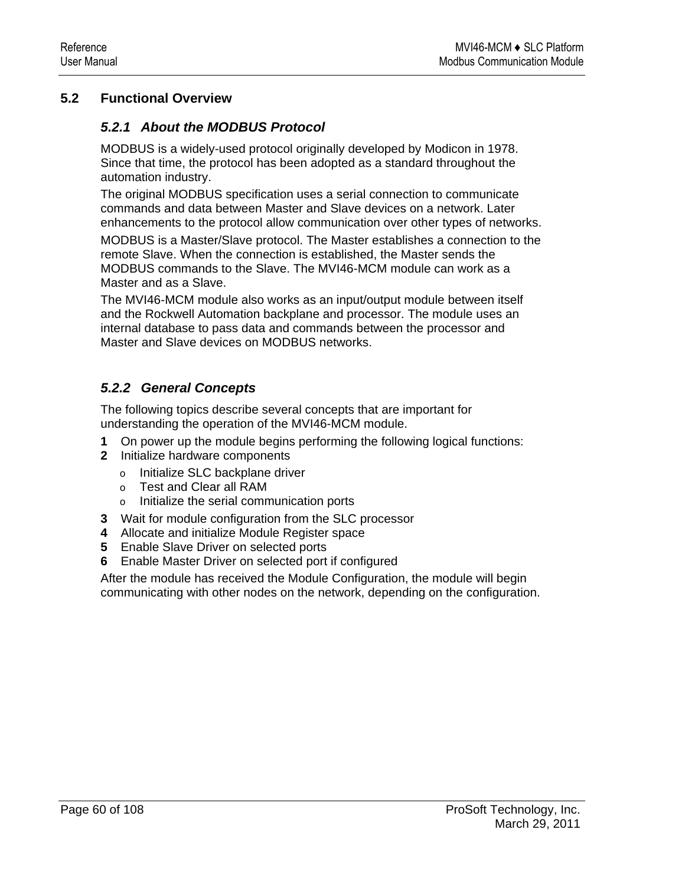# **5.2 Functional Overview**

# *5.2.1 About the MODBUS Protocol*

MODBUS is a widely-used protocol originally developed by Modicon in 1978. Since that time, the protocol has been adopted as a standard throughout the automation industry.

The original MODBUS specification uses a serial connection to communicate commands and data between Master and Slave devices on a network. Later enhancements to the protocol allow communication over other types of networks.

MODBUS is a Master/Slave protocol. The Master establishes a connection to the remote Slave. When the connection is established, the Master sends the MODBUS commands to the Slave. The MVI46-MCM module can work as a Master and as a Slave.

The MVI46-MCM module also works as an input/output module between itself and the Rockwell Automation backplane and processor. The module uses an internal database to pass data and commands between the processor and Master and Slave devices on MODBUS networks.

# *5.2.2 General Concepts*

The following topics describe several concepts that are important for understanding the operation of the MVI46-MCM module.

- **1** On power up the module begins performing the following logical functions:
- **2** Initialize hardware components
	- o Initialize SLC backplane driver
	- o Test and Clear all RAM
	- o Initialize the serial communication ports
- **3** Wait for module configuration from the SLC processor
- **4** Allocate and initialize Module Register space
- **5** Enable Slave Driver on selected ports
- **6** Enable Master Driver on selected port if configured

After the module has received the Module Configuration, the module will begin communicating with other nodes on the network, depending on the configuration.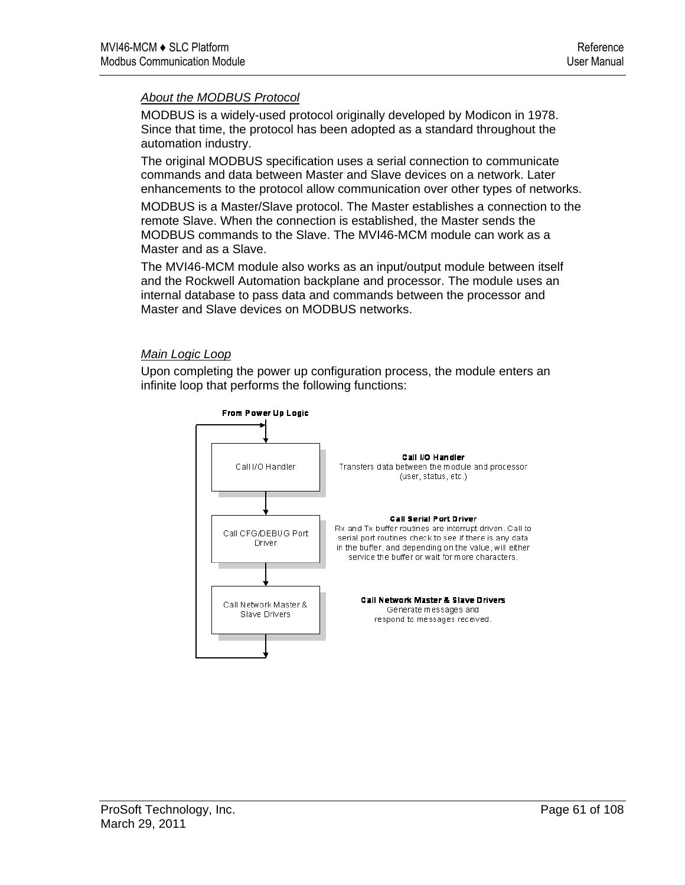### *About the MODBUS Protocol*

MODBUS is a widely-used protocol originally developed by Modicon in 1978. Since that time, the protocol has been adopted as a standard throughout the automation industry.

The original MODBUS specification uses a serial connection to communicate commands and data between Master and Slave devices on a network. Later enhancements to the protocol allow communication over other types of networks.

MODBUS is a Master/Slave protocol. The Master establishes a connection to the remote Slave. When the connection is established, the Master sends the MODBUS commands to the Slave. The MVI46-MCM module can work as a Master and as a Slave.

The MVI46-MCM module also works as an input/output module between itself and the Rockwell Automation backplane and processor. The module uses an internal database to pass data and commands between the processor and Master and Slave devices on MODBUS networks.

#### *Main Logic Loop*

Upon completing the power up configuration process, the module enters an infinite loop that performs the following functions:

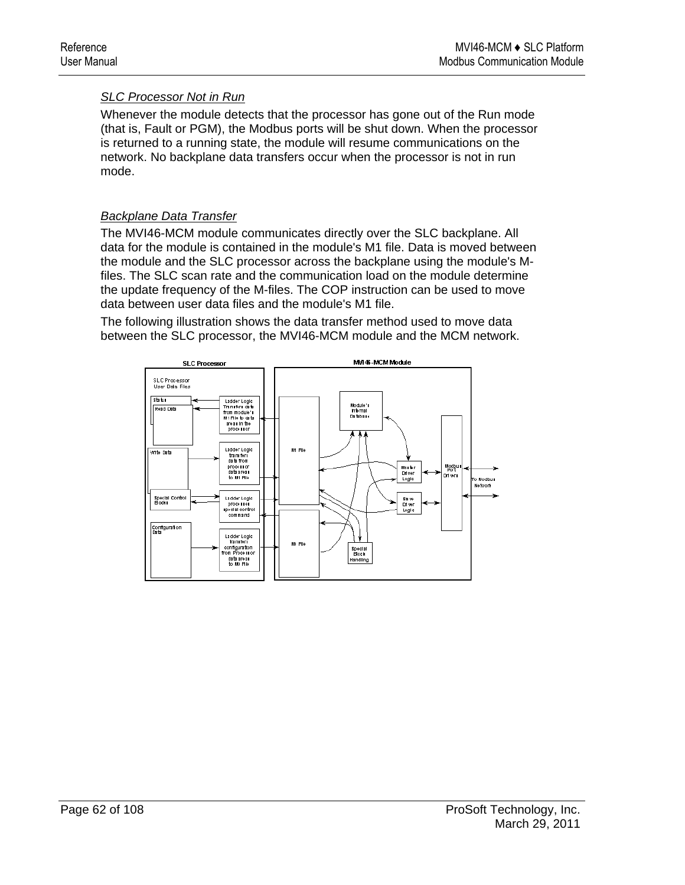# *SLC Processor Not in Run*

Whenever the module detects that the processor has gone out of the Run mode (that is, Fault or PGM), the Modbus ports will be shut down. When the processor is returned to a running state, the module will resume communications on the network. No backplane data transfers occur when the processor is not in run mode.

# *Backplane Data Transfer*

The MVI46-MCM module communicates directly over the SLC backplane. All data for the module is contained in the module's M1 file. Data is moved between the module and the SLC processor across the backplane using the module's Mfiles. The SLC scan rate and the communication load on the module determine the update frequency of the M-files. The COP instruction can be used to move data between user data files and the module's M1 file.

The following illustration shows the data transfer method used to move data between the SLC processor, the MVI46-MCM module and the MCM network.

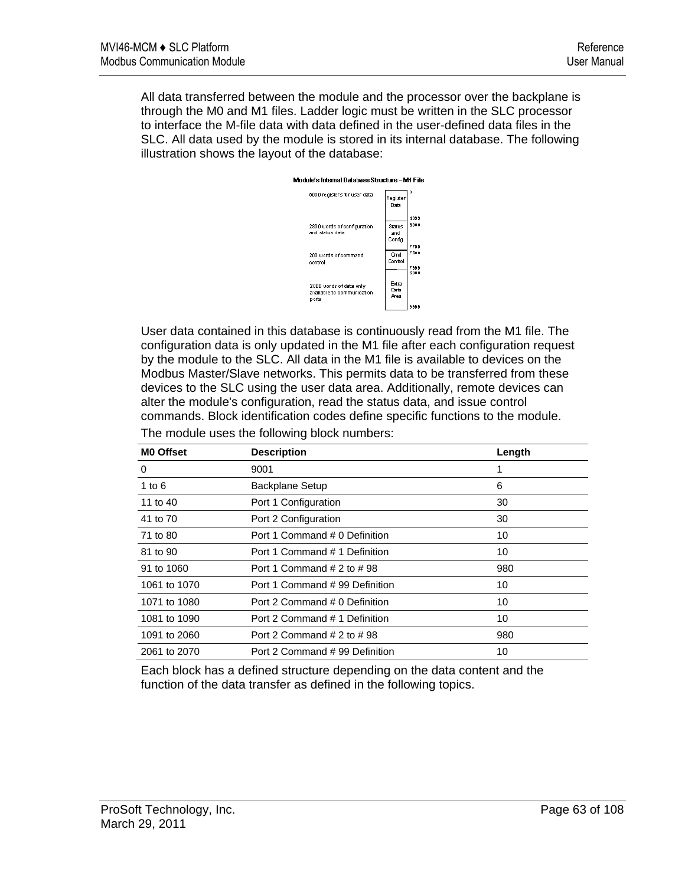All data transferred between the module and the processor over the backplane is through the M0 and M1 files. Ladder logic must be written in the SLC processor to interface the M-file data with data defined in the user-defined data files in the SLC. All data used by the module is stored in its internal database. The following illustration shows the layout of the database:



User data contained in this database is continuously read from the M1 file. The configuration data is only updated in the M1 file after each configuration request by the module to the SLC. All data in the M1 file is available to devices on the Modbus Master/Slave networks. This permits data to be transferred from these devices to the SLC using the user data area. Additionally, remote devices can alter the module's configuration, read the status data, and issue control commands. Block identification codes define specific functions to the module.

| <b>MO Offset</b> | <b>Description</b>             | Length |
|------------------|--------------------------------|--------|
| 0                | 9001                           |        |
| 1 to $6$         | <b>Backplane Setup</b>         | 6      |
| 11 to 40         | Port 1 Configuration           | 30     |
| 41 to 70         | Port 2 Configuration           | 30     |
| 71 to 80         | Port 1 Command # 0 Definition  | 10     |
| 81 to 90         | Port 1 Command # 1 Definition  | 10     |
| 91 to 1060       | Port 1 Command $# 2$ to $# 98$ | 980    |
| 1061 to 1070     | Port 1 Command # 99 Definition | 10     |
| 1071 to 1080     | Port 2 Command # 0 Definition  | 10     |
| 1081 to 1090     | Port 2 Command # 1 Definition  | 10     |
| 1091 to 2060     | Port 2 Command $# 2$ to $# 98$ | 980    |
| 2061 to 2070     | Port 2 Command # 99 Definition | 10     |

Each block has a defined structure depending on the data content and the function of the data transfer as defined in the following topics.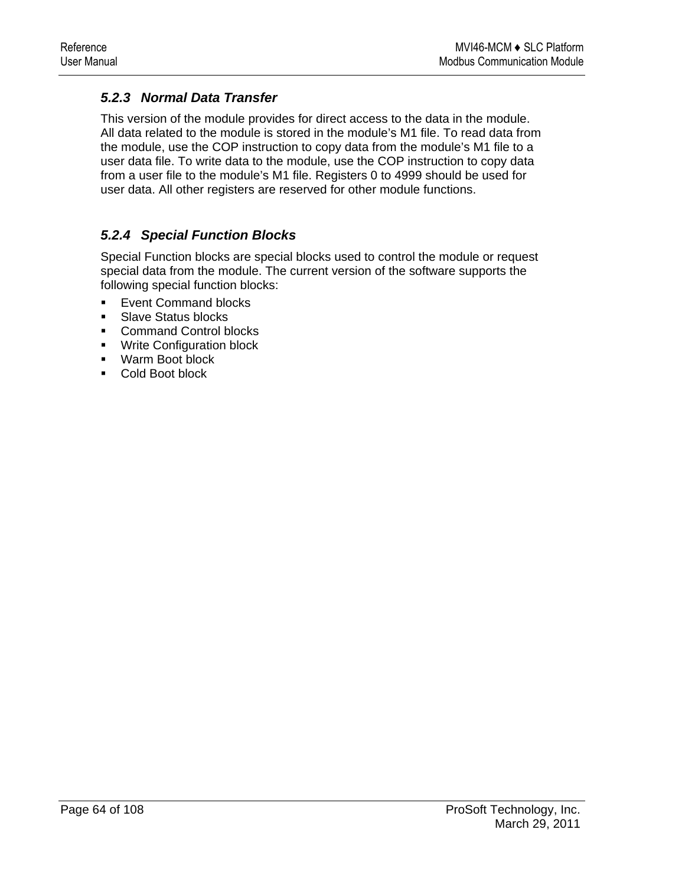# *5.2.3 Normal Data Transfer*

This version of the module provides for direct access to the data in the module. All data related to the module is stored in the module's M1 file. To read data from the module, use the COP instruction to copy data from the module's M1 file to a user data file. To write data to the module, use the COP instruction to copy data from a user file to the module's M1 file. Registers 0 to 4999 should be used for user data. All other registers are reserved for other module functions.

# *5.2.4 Special Function Blocks*

Special Function blocks are special blocks used to control the module or request special data from the module. The current version of the software supports the following special function blocks:

- **Event Command blocks**
- Slave Status blocks
- **Command Control blocks**
- **Write Configuration block**
- Warm Boot block
- Cold Boot block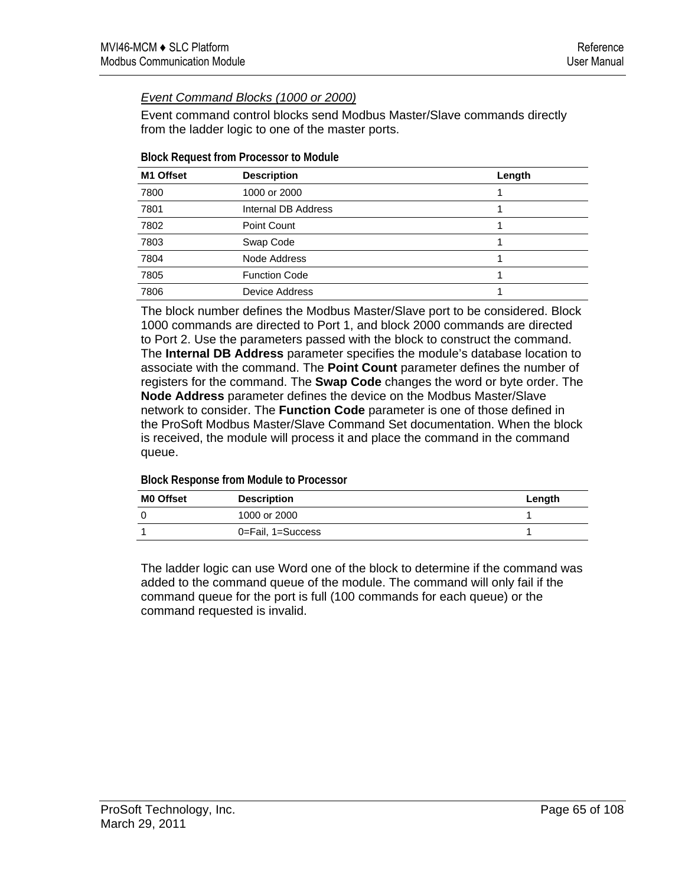# *Event Command Blocks (1000 or 2000)*

Event command control blocks send Modbus Master/Slave commands directly from the ladder logic to one of the master ports.

#### **Block Request from Processor to Module**

| M1 Offset | <b>Description</b>   | Length |
|-----------|----------------------|--------|
| 7800      | 1000 or 2000         |        |
| 7801      | Internal DB Address  |        |
| 7802      | Point Count          |        |
| 7803      | Swap Code            |        |
| 7804      | Node Address         |        |
| 7805      | <b>Function Code</b> |        |
| 7806      | Device Address       |        |

The block number defines the Modbus Master/Slave port to be considered. Block 1000 commands are directed to Port 1, and block 2000 commands are directed to Port 2. Use the parameters passed with the block to construct the command. The **Internal DB Address** parameter specifies the module's database location to associate with the command. The **Point Count** parameter defines the number of registers for the command. The **Swap Code** changes the word or byte order. The **Node Address** parameter defines the device on the Modbus Master/Slave network to consider. The **Function Code** parameter is one of those defined in the ProSoft Modbus Master/Slave Command Set documentation. When the block is received, the module will process it and place the command in the command queue.

**Block Response from Module to Processor** 

| <b>MO Offset</b> | <b>Description</b> | Length |
|------------------|--------------------|--------|
|                  | 1000 or 2000       |        |
|                  | 0=Fail, 1=Success  |        |

The ladder logic can use Word one of the block to determine if the command was added to the command queue of the module. The command will only fail if the command queue for the port is full (100 commands for each queue) or the command requested is invalid.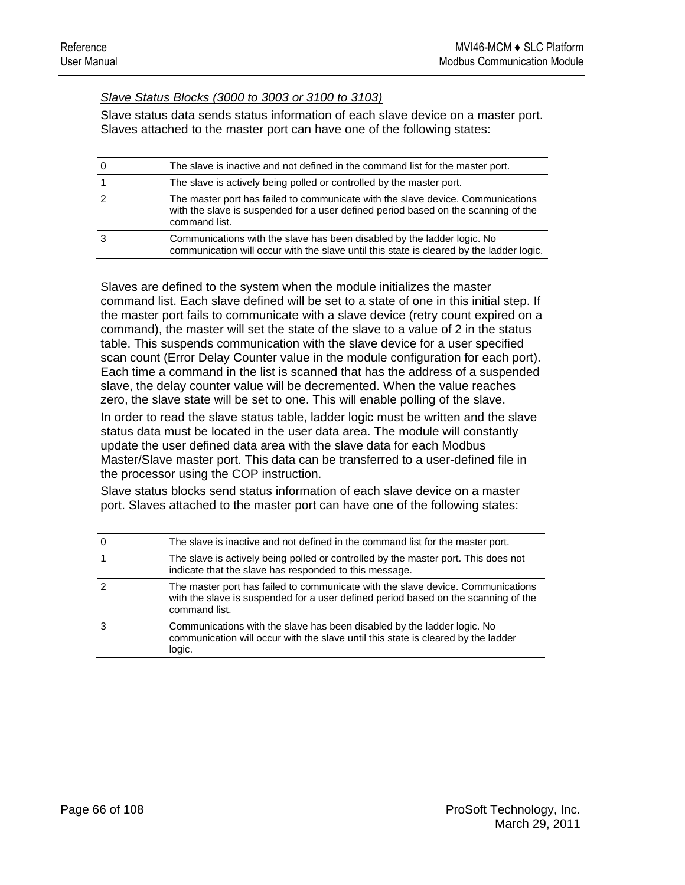# *Slave Status Blocks (3000 to 3003 or 3100 to 3103)*

Slave status data sends status information of each slave device on a master port. Slaves attached to the master port can have one of the following states:

| 0 | The slave is inactive and not defined in the command list for the master port.                                                                                                         |
|---|----------------------------------------------------------------------------------------------------------------------------------------------------------------------------------------|
|   | The slave is actively being polled or controlled by the master port.                                                                                                                   |
|   | The master port has failed to communicate with the slave device. Communications<br>with the slave is suspended for a user defined period based on the scanning of the<br>command list. |
|   | Communications with the slave has been disabled by the ladder logic. No<br>communication will occur with the slave until this state is cleared by the ladder logic.                    |

Slaves are defined to the system when the module initializes the master command list. Each slave defined will be set to a state of one in this initial step. If the master port fails to communicate with a slave device (retry count expired on a command), the master will set the state of the slave to a value of 2 in the status table. This suspends communication with the slave device for a user specified scan count (Error Delay Counter value in the module configuration for each port). Each time a command in the list is scanned that has the address of a suspended slave, the delay counter value will be decremented. When the value reaches zero, the slave state will be set to one. This will enable polling of the slave.

In order to read the slave status table, ladder logic must be written and the slave status data must be located in the user data area. The module will constantly update the user defined data area with the slave data for each Modbus Master/Slave master port. This data can be transferred to a user-defined file in the processor using the COP instruction.

Slave status blocks send status information of each slave device on a master port. Slaves attached to the master port can have one of the following states:

| 0 | The slave is inactive and not defined in the command list for the master port.                                                                                                         |
|---|----------------------------------------------------------------------------------------------------------------------------------------------------------------------------------------|
|   | The slave is actively being polled or controlled by the master port. This does not<br>indicate that the slave has responded to this message.                                           |
| 2 | The master port has failed to communicate with the slave device. Communications<br>with the slave is suspended for a user defined period based on the scanning of the<br>command list. |
| 3 | Communications with the slave has been disabled by the ladder logic. No<br>communication will occur with the slave until this state is cleared by the ladder<br>logic.                 |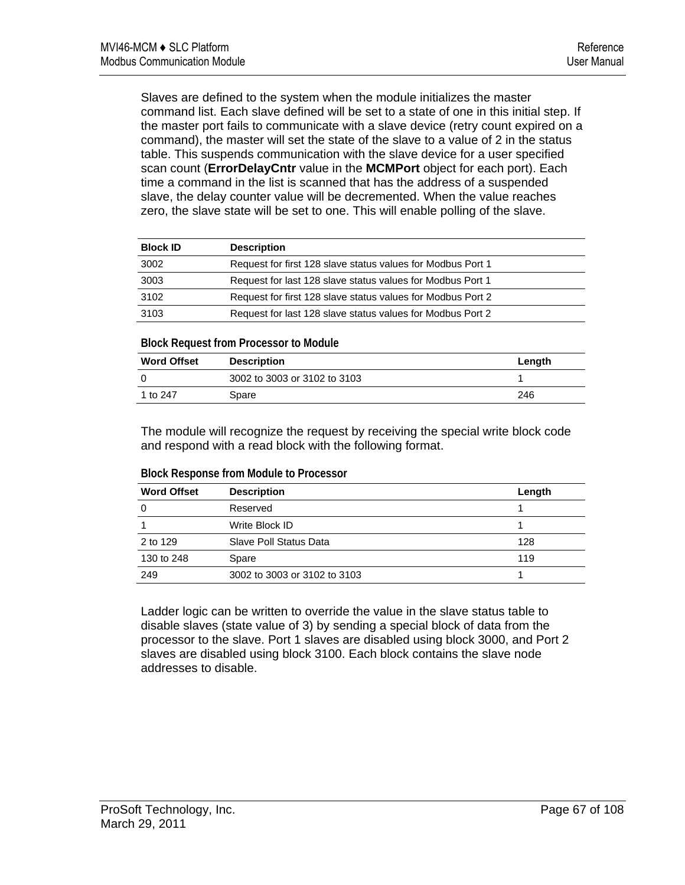Slaves are defined to the system when the module initializes the master command list. Each slave defined will be set to a state of one in this initial step. If the master port fails to communicate with a slave device (retry count expired on a command), the master will set the state of the slave to a value of 2 in the status table. This suspends communication with the slave device for a user specified scan count (**ErrorDelayCntr** value in the **MCMPort** object for each port). Each time a command in the list is scanned that has the address of a suspended slave, the delay counter value will be decremented. When the value reaches zero, the slave state will be set to one. This will enable polling of the slave.

| <b>Block ID</b> | <b>Description</b>                                          |
|-----------------|-------------------------------------------------------------|
| 3002            | Request for first 128 slave status values for Modbus Port 1 |
| 3003            | Request for last 128 slave status values for Modbus Port 1  |
| 3102            | Request for first 128 slave status values for Modbus Port 2 |
| 3103            | Request for last 128 slave status values for Modbus Port 2  |

**Block Request from Processor to Module** 

| <b>Word Offset</b> | <b>Description</b>           | Length |
|--------------------|------------------------------|--------|
|                    | 3002 to 3003 or 3102 to 3103 |        |
| 1 to 247           | Spare                        | 246    |

The module will recognize the request by receiving the special write block code and respond with a read block with the following format.

| <b>Word Offset</b> | <b>Description</b>           | Length |
|--------------------|------------------------------|--------|
|                    | Reserved                     |        |
|                    | Write Block ID               |        |
| 2 to 129           | Slave Poll Status Data       | 128    |
| 130 to 248         | Spare                        | 119    |
| 249                | 3002 to 3003 or 3102 to 3103 |        |

Ladder logic can be written to override the value in the slave status table to disable slaves (state value of 3) by sending a special block of data from the processor to the slave. Port 1 slaves are disabled using block 3000, and Port 2 slaves are disabled using block 3100. Each block contains the slave node addresses to disable.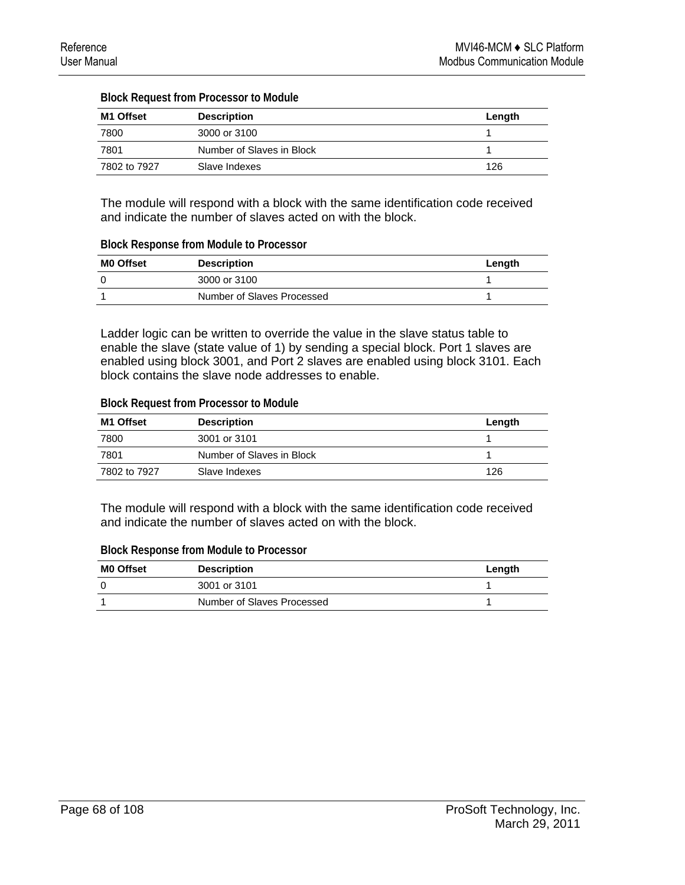### **Block Request from Processor to Module**

| M1 Offset    | <b>Description</b>        | Length |
|--------------|---------------------------|--------|
| 7800         | 3000 or 3100              |        |
| 7801         | Number of Slaves in Block |        |
| 7802 to 7927 | Slave Indexes             | 126    |

The module will respond with a block with the same identification code received and indicate the number of slaves acted on with the block.

### **Block Response from Module to Processor**

| <b>MO Offset</b> | <b>Description</b>         | Length |
|------------------|----------------------------|--------|
|                  | 3000 or 3100               |        |
|                  | Number of Slaves Processed |        |

Ladder logic can be written to override the value in the slave status table to enable the slave (state value of 1) by sending a special block. Port 1 slaves are enabled using block 3001, and Port 2 slaves are enabled using block 3101. Each block contains the slave node addresses to enable.

# **Block Request from Processor to Module**

| M1 Offset    | <b>Description</b>        | Length |
|--------------|---------------------------|--------|
| 7800         | 3001 or 3101              |        |
| 7801         | Number of Slaves in Block |        |
| 7802 to 7927 | Slave Indexes             | 126    |
|              |                           |        |

The module will respond with a block with the same identification code received and indicate the number of slaves acted on with the block.

# **Block Response from Module to Processor**

| <b>MO Offset</b> | <b>Description</b>         | Length |
|------------------|----------------------------|--------|
|                  | 3001 or 3101               |        |
|                  | Number of Slaves Processed |        |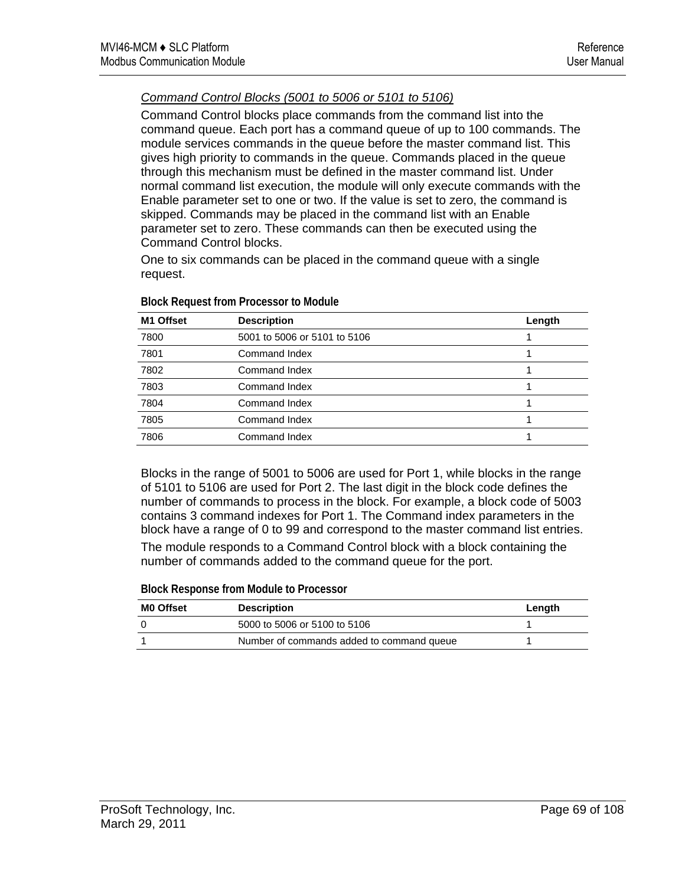# *Command Control Blocks (5001 to 5006 or 5101 to 5106)*

Command Control blocks place commands from the command list into the command queue. Each port has a command queue of up to 100 commands. The module services commands in the queue before the master command list. This gives high priority to commands in the queue. Commands placed in the queue through this mechanism must be defined in the master command list. Under normal command list execution, the module will only execute commands with the Enable parameter set to one or two. If the value is set to zero, the command is skipped. Commands may be placed in the command list with an Enable parameter set to zero. These commands can then be executed using the Command Control blocks.

One to six commands can be placed in the command queue with a single request.

| M1 Offset | <b>Description</b>           | Length |
|-----------|------------------------------|--------|
| 7800      | 5001 to 5006 or 5101 to 5106 |        |
| 7801      | Command Index                |        |
| 7802      | Command Index                |        |
| 7803      | Command Index                |        |
| 7804      | Command Index                |        |
| 7805      | Command Index                |        |
| 7806      | Command Index                |        |

#### **Block Request from Processor to Module**

Blocks in the range of 5001 to 5006 are used for Port 1, while blocks in the range of 5101 to 5106 are used for Port 2. The last digit in the block code defines the number of commands to process in the block. For example, a block code of 5003 contains 3 command indexes for Port 1. The Command index parameters in the block have a range of 0 to 99 and correspond to the master command list entries.

The module responds to a Command Control block with a block containing the number of commands added to the command queue for the port.

**Block Response from Module to Processor** 

| <b>M0 Offset</b> | <b>Description</b>                        | Length |
|------------------|-------------------------------------------|--------|
|                  | 5000 to 5006 or 5100 to 5106              |        |
|                  | Number of commands added to command queue |        |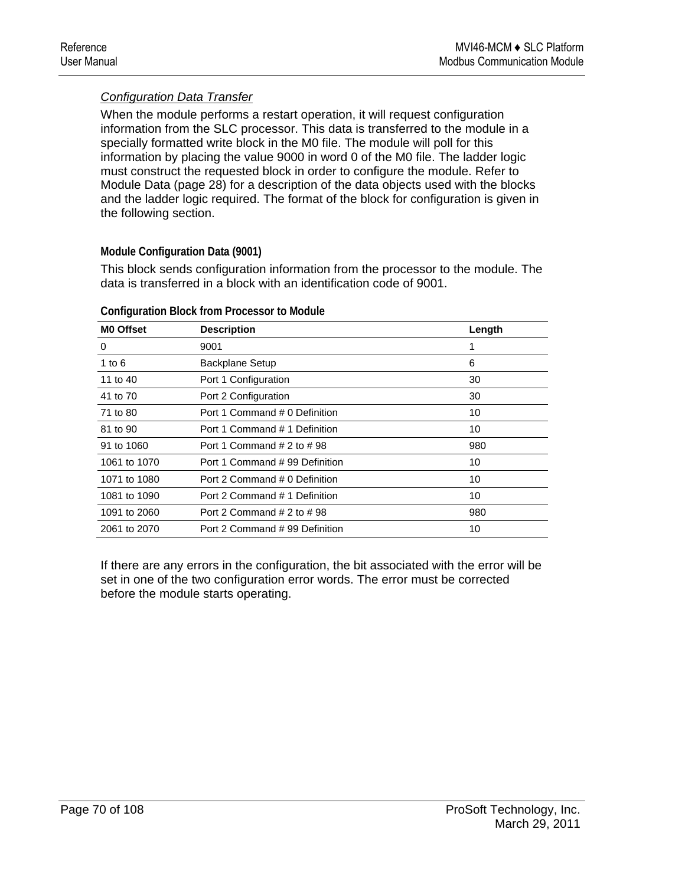# *Configuration Data Transfer*

When the module performs a restart operation, it will request configuration information from the SLC processor. This data is transferred to the module in a specially formatted write block in the M0 file. The module will poll for this information by placing the value 9000 in word 0 of the M0 file. The ladder logic must construct the requested block in order to configure the module. Refer to Module Data (page 28) for a description of the data objects used with the blocks and the ladder logic required. The format of the block for configuration is given in the following section.

# **Module Configuration Data (9001)**

This block sends configuration information from the processor to the module. The data is transferred in a block with an identification code of 9001.

| <b>MO Offset</b> | <b>Description</b>             | Length |
|------------------|--------------------------------|--------|
| 0                | 9001                           |        |
| 1 to $6$         | <b>Backplane Setup</b>         | 6      |
| 11 to 40         | Port 1 Configuration           | 30     |
| 41 to 70         | Port 2 Configuration           | 30     |
| 71 to 80         | Port 1 Command # 0 Definition  | 10     |
| 81 to 90         | Port 1 Command # 1 Definition  | 10     |
| 91 to 1060       | Port 1 Command $# 2$ to $# 98$ | 980    |
| 1061 to 1070     | Port 1 Command # 99 Definition | 10     |
| 1071 to 1080     | Port 2 Command # 0 Definition  | 10     |
| 1081 to 1090     | Port 2 Command # 1 Definition  | 10     |
| 1091 to 2060     | Port 2 Command $# 2$ to $# 98$ | 980    |
| 2061 to 2070     | Port 2 Command # 99 Definition | 10     |

#### **Configuration Block from Processor to Module**

If there are any errors in the configuration, the bit associated with the error will be set in one of the two configuration error words. The error must be corrected before the module starts operating.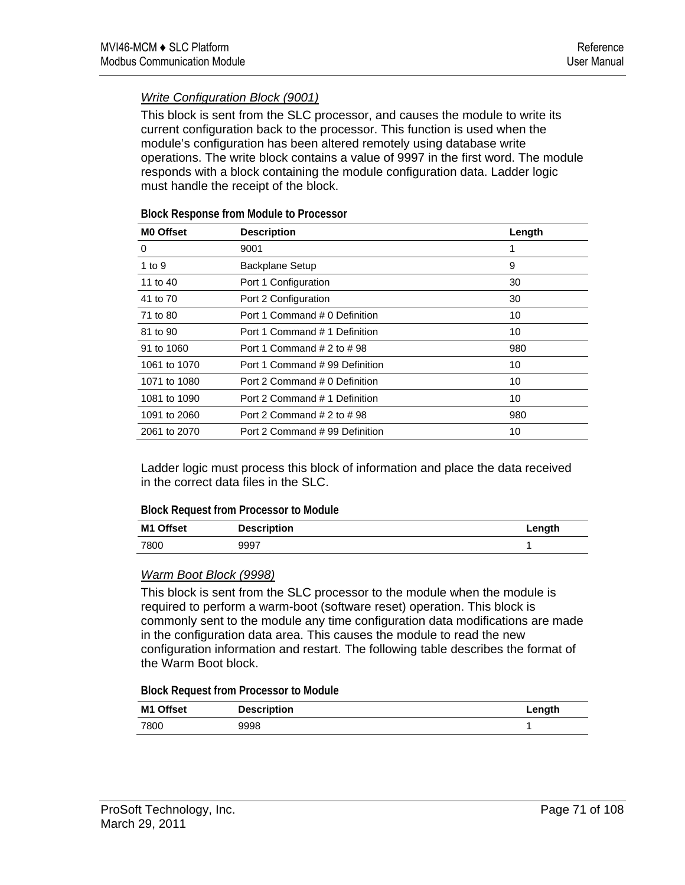# *Write Configuration Block (9001)*

This block is sent from the SLC processor, and causes the module to write its current configuration back to the processor. This function is used when the module's configuration has been altered remotely using database write operations. The write block contains a value of 9997 in the first word. The module responds with a block containing the module configuration data. Ladder logic must handle the receipt of the block.

| <b>MO Offset</b> | <b>Description</b>             | Length |
|------------------|--------------------------------|--------|
| 0                | 9001                           | 1      |
| 1 to 9           | <b>Backplane Setup</b>         | 9      |
| 11 to 40         | Port 1 Configuration           | 30     |
| 41 to 70         | Port 2 Configuration           | 30     |
| 71 to 80         | Port 1 Command # 0 Definition  | 10     |
| 81 to 90         | Port 1 Command # 1 Definition  | 10     |
| 91 to 1060       | Port 1 Command $# 2$ to $# 98$ | 980    |
| 1061 to 1070     | Port 1 Command # 99 Definition | 10     |
| 1071 to 1080     | Port 2 Command # 0 Definition  | 10     |
| 1081 to 1090     | Port 2 Command # 1 Definition  | 10     |
| 1091 to 2060     | Port 2 Command $# 2$ to $# 98$ | 980    |
| 2061 to 2070     | Port 2 Command # 99 Definition | 10     |

#### **Block Response from Module to Processor**

Ladder logic must process this block of information and place the data received in the correct data files in the SLC.

#### **Block Request from Processor to Module**

| M1 Offset | <b>Description</b> | Length |
|-----------|--------------------|--------|
| 7800      | 9997               |        |

#### *Warm Boot Block (9998)*

This block is sent from the SLC processor to the module when the module is required to perform a warm-boot (software reset) operation. This block is commonly sent to the module any time configuration data modifications are made in the configuration data area. This causes the module to read the new configuration information and restart. The following table describes the format of the Warm Boot block.

#### **Block Request from Processor to Module**

| M1 Offset | <b>Description</b> | Length |
|-----------|--------------------|--------|
| 7800      | 9998               |        |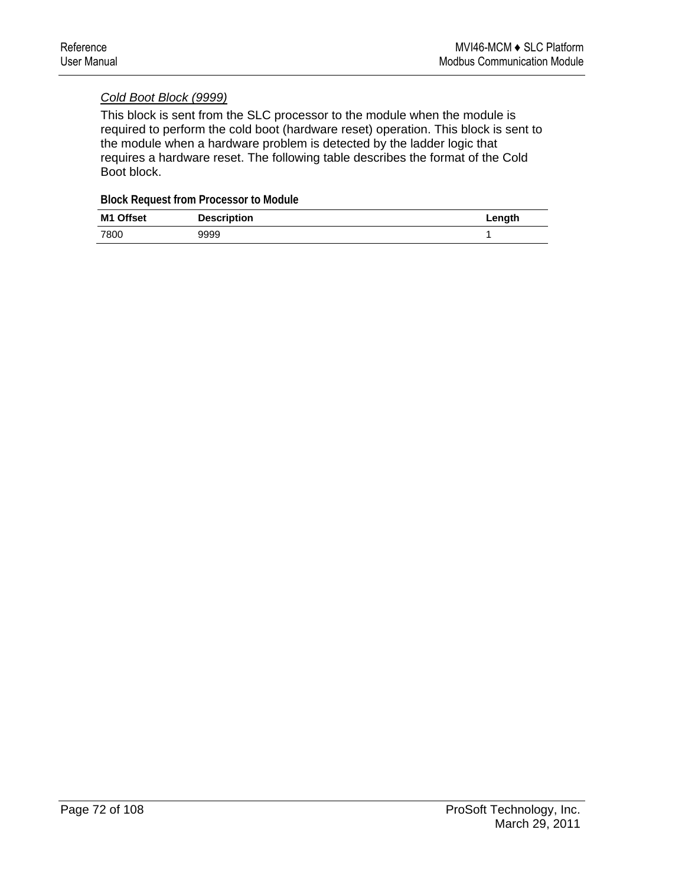# *Cold Boot Block (9999)*

This block is sent from the SLC processor to the module when the module is required to perform the cold boot (hardware reset) operation. This block is sent to the module when a hardware problem is detected by the ladder logic that requires a hardware reset. The following table describes the format of the Cold Boot block.

|  |  | <b>Block Request from Processor to Module</b> |
|--|--|-----------------------------------------------|
|--|--|-----------------------------------------------|

| M1 Offset | <b>Description</b> | Length |
|-----------|--------------------|--------|
| 7800      | 9999               |        |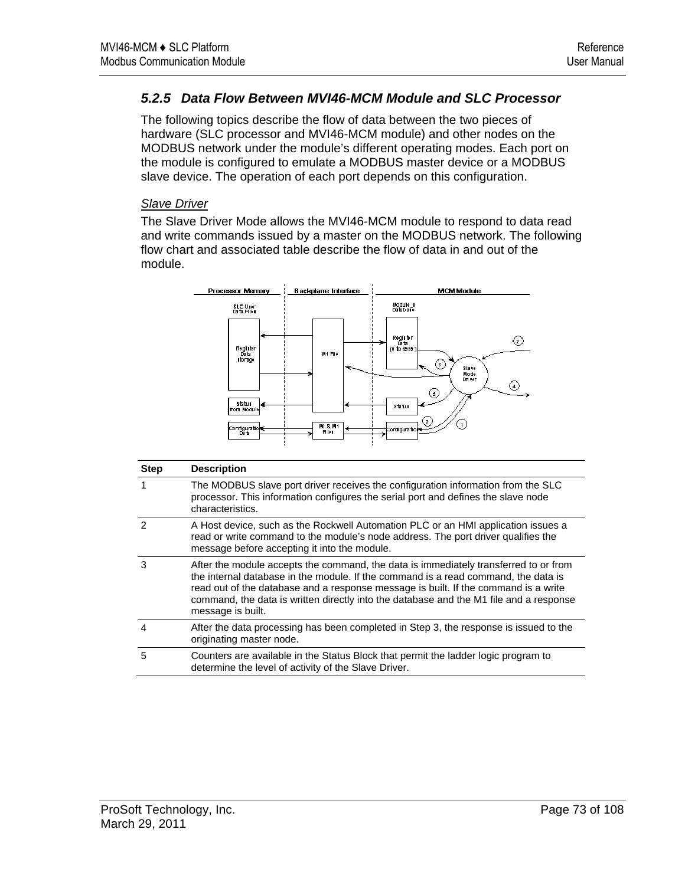### *5.2.5 Data Flow Between MVI46-MCM Module and SLC Processor*

The following topics describe the flow of data between the two pieces of hardware (SLC processor and MVI46-MCM module) and other nodes on the MODBUS network under the module's different operating modes. Each port on the module is configured to emulate a MODBUS master device or a MODBUS slave device. The operation of each port depends on this configuration.

#### *Slave Driver*

The Slave Driver Mode allows the MVI46-MCM module to respond to data read and write commands issued by a master on the MODBUS network. The following flow chart and associated table describe the flow of data in and out of the module.



| <b>Step</b> | <b>Description</b>                                                                                                                                                                                                                                                                                                                                                               |
|-------------|----------------------------------------------------------------------------------------------------------------------------------------------------------------------------------------------------------------------------------------------------------------------------------------------------------------------------------------------------------------------------------|
|             | The MODBUS slave port driver receives the configuration information from the SLC<br>processor. This information configures the serial port and defines the slave node<br>characteristics.                                                                                                                                                                                        |
| 2           | A Host device, such as the Rockwell Automation PLC or an HMI application issues a<br>read or write command to the module's node address. The port driver qualifies the<br>message before accepting it into the module.                                                                                                                                                           |
| 3           | After the module accepts the command, the data is immediately transferred to or from<br>the internal database in the module. If the command is a read command, the data is<br>read out of the database and a response message is built. If the command is a write<br>command, the data is written directly into the database and the M1 file and a response<br>message is built. |
| 4           | After the data processing has been completed in Step 3, the response is issued to the<br>originating master node.                                                                                                                                                                                                                                                                |
| 5           | Counters are available in the Status Block that permit the ladder logic program to<br>determine the level of activity of the Slave Driver.                                                                                                                                                                                                                                       |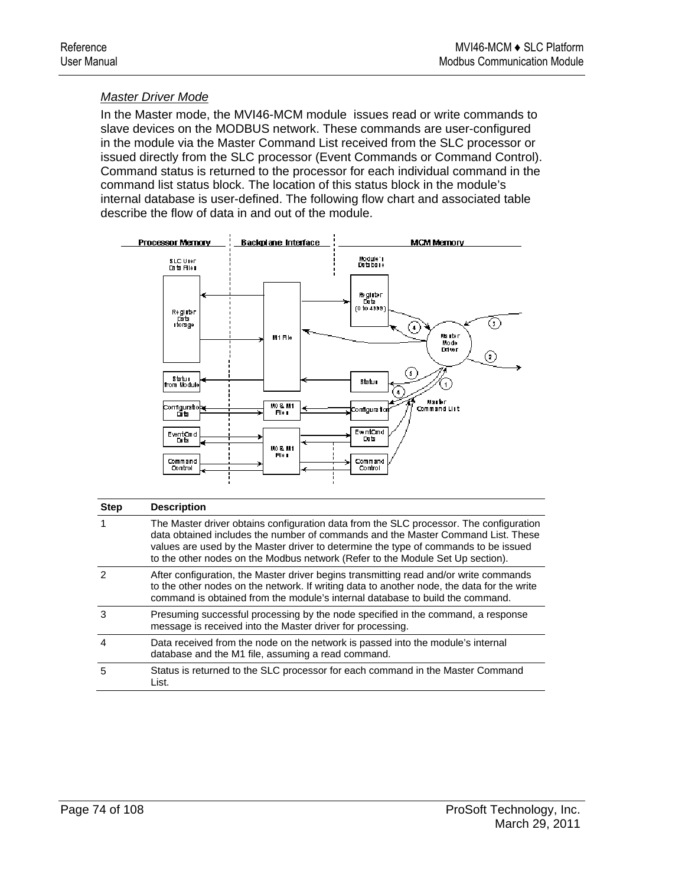### *Master Driver Mode*

In the Master mode, the MVI46-MCM module issues read or write commands to slave devices on the MODBUS network. These commands are user-configured in the module via the Master Command List received from the SLC processor or issued directly from the SLC processor (Event Commands or Command Control). Command status is returned to the processor for each individual command in the command list status block. The location of this status block in the module's internal database is user-defined. The following flow chart and associated table describe the flow of data in and out of the module.



| <b>Step</b> | <b>Description</b>                                                                                                                                                                                                                                                                                                                                  |
|-------------|-----------------------------------------------------------------------------------------------------------------------------------------------------------------------------------------------------------------------------------------------------------------------------------------------------------------------------------------------------|
|             | The Master driver obtains configuration data from the SLC processor. The configuration<br>data obtained includes the number of commands and the Master Command List. These<br>values are used by the Master driver to determine the type of commands to be issued<br>to the other nodes on the Modbus network (Refer to the Module Set Up section). |
|             | After configuration, the Master driver begins transmitting read and/or write commands<br>to the other nodes on the network. If writing data to another node, the data for the write<br>command is obtained from the module's internal database to build the command.                                                                                |
|             | Presuming successful processing by the node specified in the command, a response<br>message is received into the Master driver for processing.                                                                                                                                                                                                      |
| 4           | Data received from the node on the network is passed into the module's internal<br>database and the M1 file, assuming a read command.                                                                                                                                                                                                               |
| 5           | Status is returned to the SLC processor for each command in the Master Command<br>List.                                                                                                                                                                                                                                                             |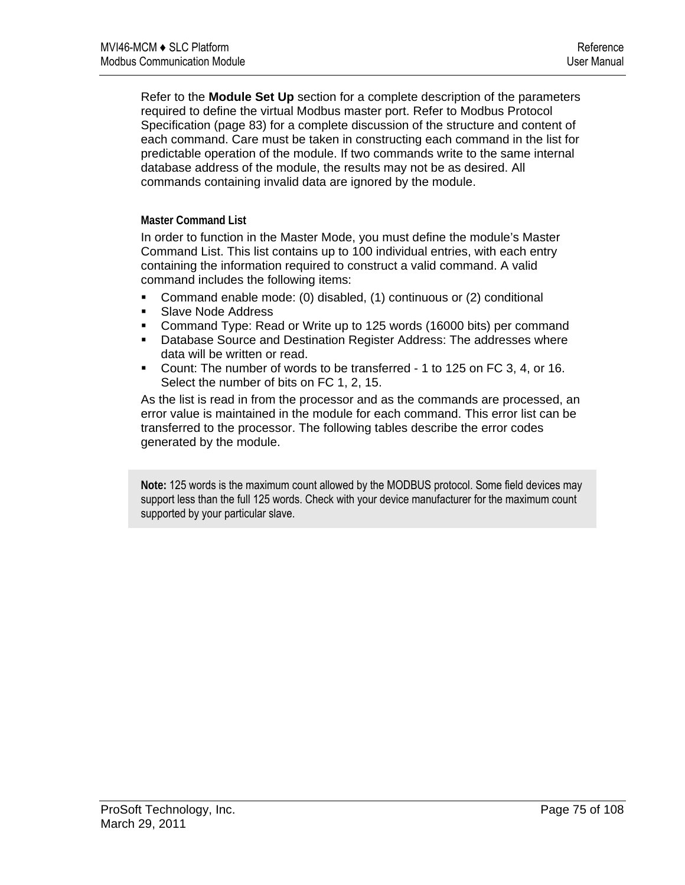Refer to the **Module Set Up** section for a complete description of the parameters required to define the virtual Modbus master port. Refer to Modbus Protocol Specification (page 83) for a complete discussion of the structure and content of each command. Care must be taken in constructing each command in the list for predictable operation of the module. If two commands write to the same internal database address of the module, the results may not be as desired. All commands containing invalid data are ignored by the module.

### **Master Command List**

In order to function in the Master Mode, you must define the module's Master Command List. This list contains up to 100 individual entries, with each entry containing the information required to construct a valid command. A valid command includes the following items:

- Command enable mode: (0) disabled, (1) continuous or (2) conditional
- Slave Node Address
- Command Type: Read or Write up to 125 words (16000 bits) per command
- **Database Source and Destination Register Address: The addresses where** data will be written or read.
- Count: The number of words to be transferred 1 to 125 on FC 3, 4, or 16. Select the number of bits on FC 1, 2, 15.

As the list is read in from the processor and as the commands are processed, an error value is maintained in the module for each command. This error list can be transferred to the processor. The following tables describe the error codes generated by the module.

**Note:** 125 words is the maximum count allowed by the MODBUS protocol. Some field devices may support less than the full 125 words. Check with your device manufacturer for the maximum count supported by your particular slave.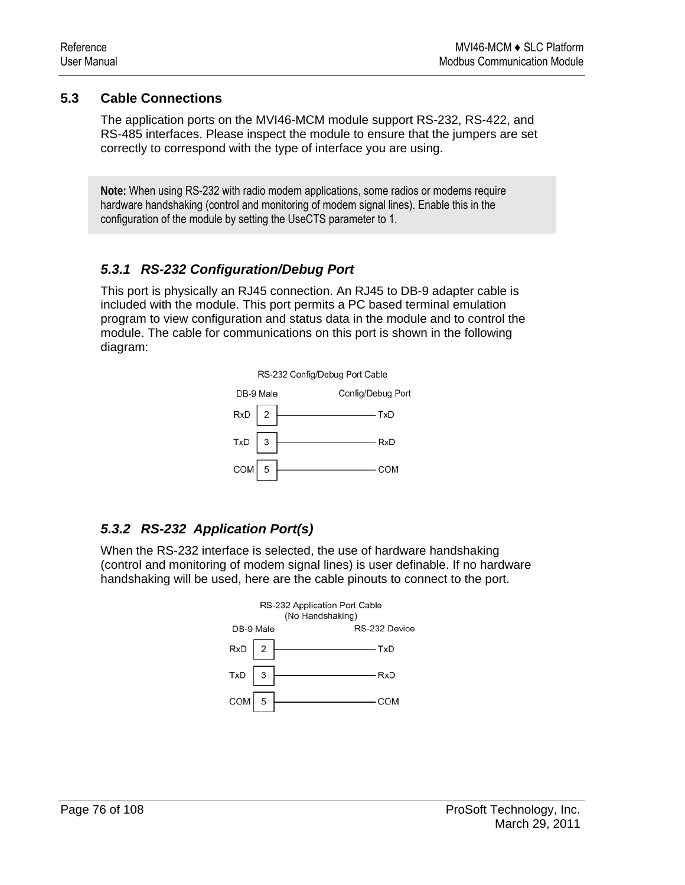### **5.3 Cable Connections**

The application ports on the MVI46-MCM module support RS-232, RS-422, and RS-485 interfaces. Please inspect the module to ensure that the jumpers are set correctly to correspond with the type of interface you are using.

**Note:** When using RS-232 with radio modem applications, some radios or modems require hardware handshaking (control and monitoring of modem signal lines). Enable this in the configuration of the module by setting the UseCTS parameter to 1.

# *5.3.1 RS-232 Configuration/Debug Port*

This port is physically an RJ45 connection. An RJ45 to DB-9 adapter cable is included with the module. This port permits a PC based terminal emulation program to view configuration and status data in the module and to control the module. The cable for communications on this port is shown in the following diagram:



# *5.3.2 RS-232 Application Port(s)*

When the RS-232 interface is selected, the use of hardware handshaking (control and monitoring of modem signal lines) is user definable. If no hardware handshaking will be used, here are the cable pinouts to connect to the port.

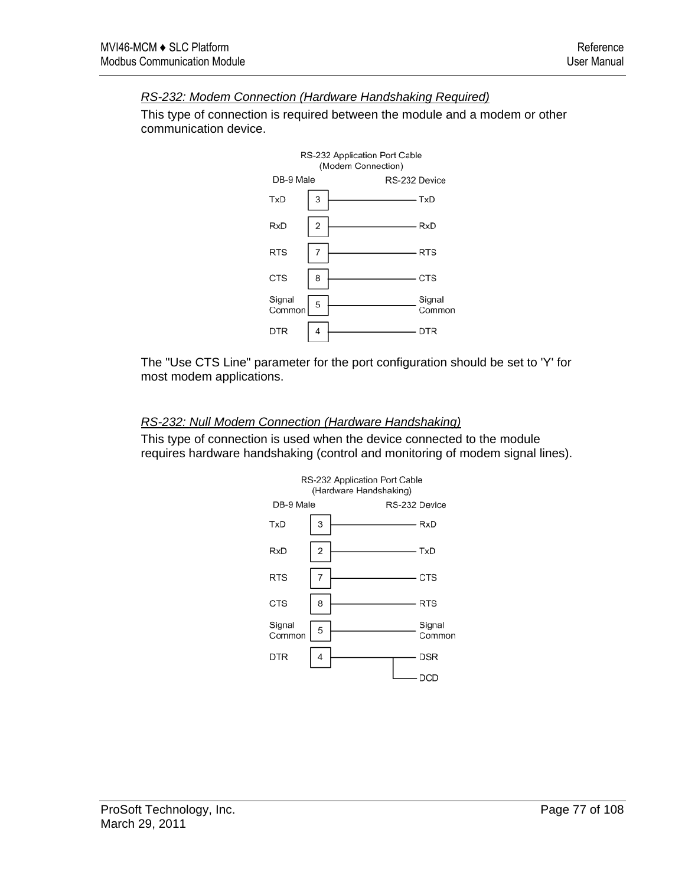#### *RS-232: Modem Connection (Hardware Handshaking Required)*

This type of connection is required between the module and a modem or other communication device.



The "Use CTS Line" parameter for the port configuration should be set to 'Y' for most modem applications.

#### *RS-232: Null Modem Connection (Hardware Handshaking)*

This type of connection is used when the device connected to the module requires hardware handshaking (control and monitoring of modem signal lines).

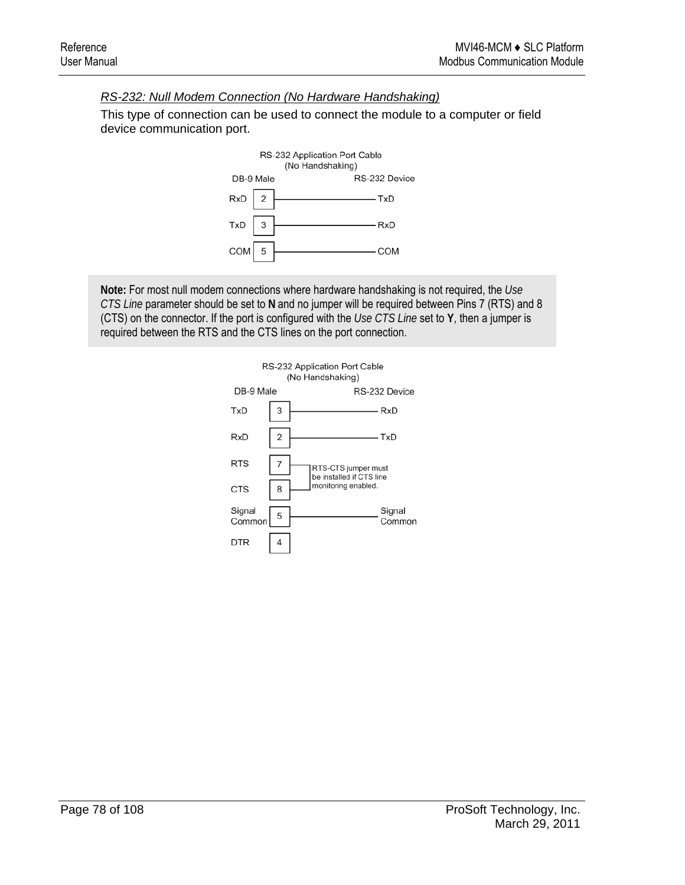### *RS-232: Null Modem Connection (No Hardware Handshaking)*

This type of connection can be used to connect the module to a computer or field device communication port.



**Note:** For most null modem connections where hardware handshaking is not required, the *Use CTS Line* parameter should be set to **N** and no jumper will be required between Pins 7 (RTS) and 8 (CTS) on the connector. If the port is configured with the *Use CTS Line* set to **Y**, then a jumper is required between the RTS and the CTS lines on the port connection.

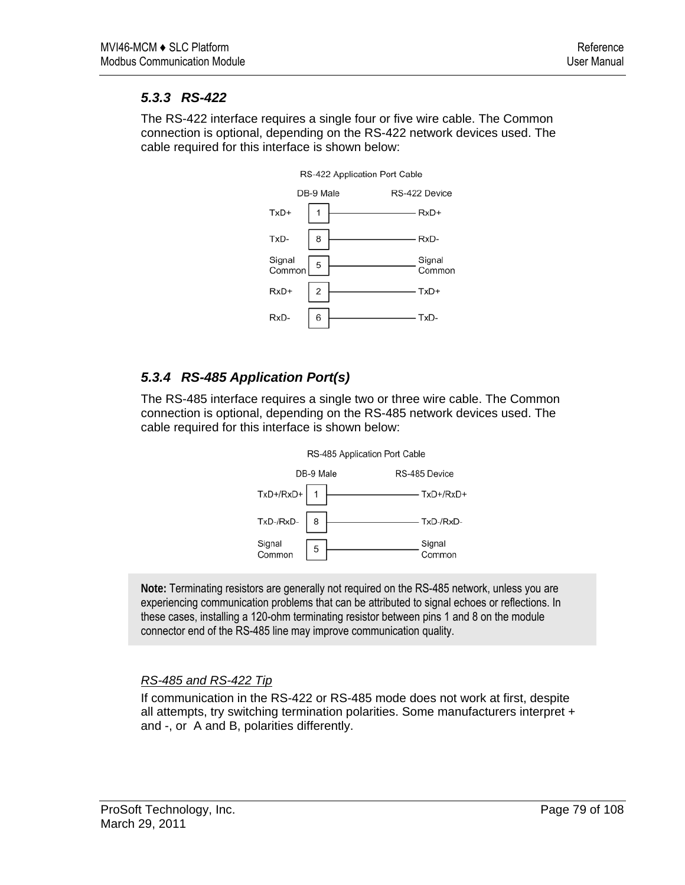# *5.3.3 RS-422*

The RS-422 interface requires a single four or five wire cable. The Common connection is optional, depending on the RS-422 network devices used. The cable required for this interface is shown below:



# *5.3.4 RS-485 Application Port(s)*

The RS-485 interface requires a single two or three wire cable. The Common connection is optional, depending on the RS-485 network devices used. The cable required for this interface is shown below:



**Note:** Terminating resistors are generally not required on the RS-485 network, unless you are experiencing communication problems that can be attributed to signal echoes or reflections. In these cases, installing a 120-ohm terminating resistor between pins 1 and 8 on the module connector end of the RS-485 line may improve communication quality.

### *RS-485 and RS-422 Tip*

If communication in the RS-422 or RS-485 mode does not work at first, despite all attempts, try switching termination polarities. Some manufacturers interpret + and -, or A and B, polarities differently.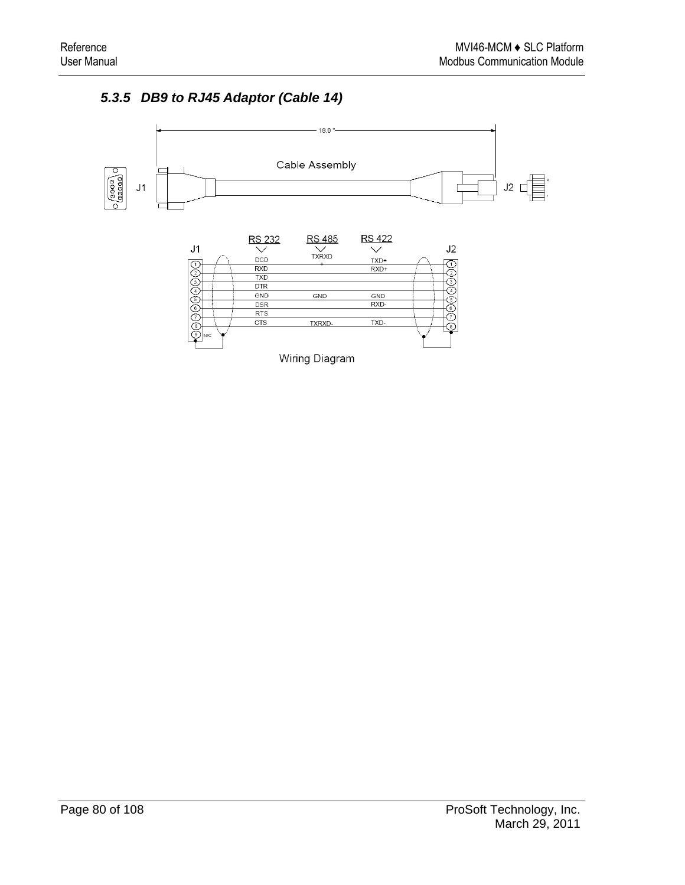# *5.3.5 DB9 to RJ45 Adaptor (Cable 14)*

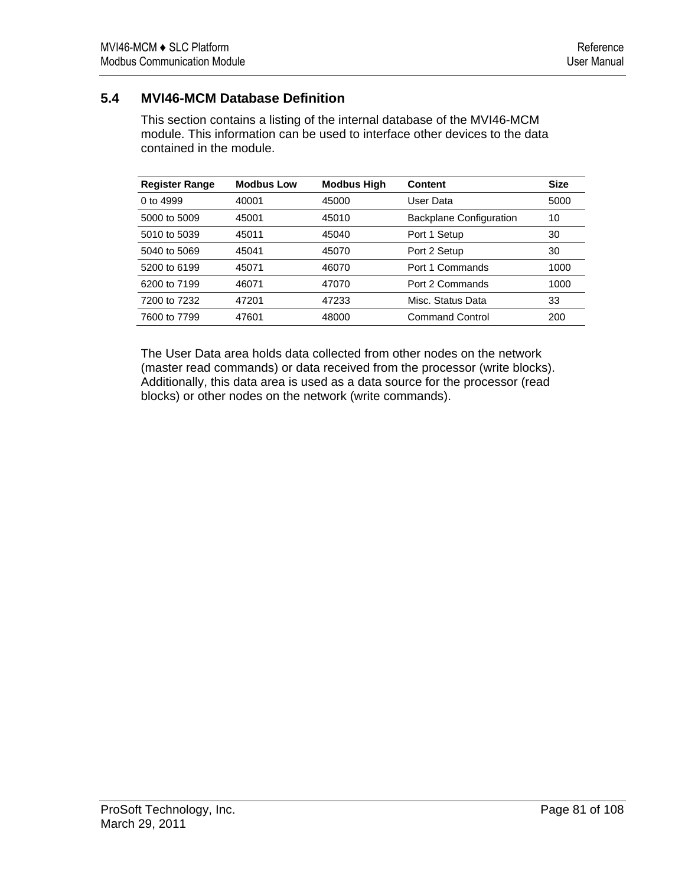### **5.4 MVI46-MCM Database Definition**

This section contains a listing of the internal database of the MVI46-MCM module. This information can be used to interface other devices to the data contained in the module.

| <b>Register Range</b> | <b>Modbus Low</b> | <b>Modbus High</b> | <b>Content</b>                 | <b>Size</b> |
|-----------------------|-------------------|--------------------|--------------------------------|-------------|
| 0 to 4999             | 40001             | 45000              | User Data                      | 5000        |
| 5000 to 5009          | 45001             | 45010              | <b>Backplane Configuration</b> | 10          |
| 5010 to 5039          | 45011             | 45040              | Port 1 Setup                   | 30          |
| 5040 to 5069          | 45041             | 45070              | Port 2 Setup                   | 30          |
| 5200 to 6199          | 45071             | 46070              | Port 1 Commands                | 1000        |
| 6200 to 7199          | 46071             | 47070              | Port 2 Commands                | 1000        |
| 7200 to 7232          | 47201             | 47233              | Misc. Status Data              | 33          |
| 7600 to 7799          | 47601             | 48000              | <b>Command Control</b>         | 200         |

The User Data area holds data collected from other nodes on the network (master read commands) or data received from the processor (write blocks). Additionally, this data area is used as a data source for the processor (read blocks) or other nodes on the network (write commands).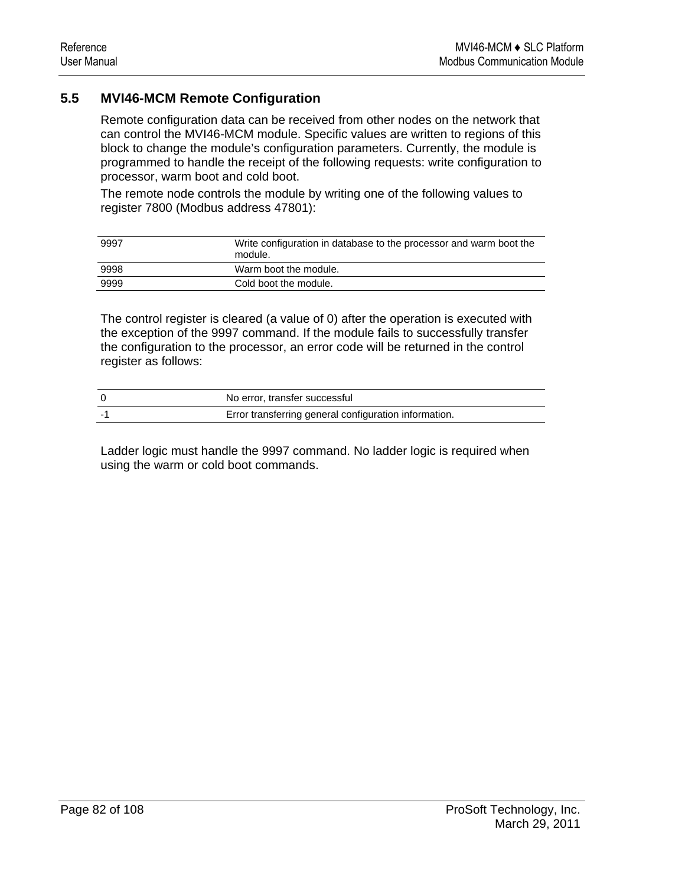### **5.5 MVI46-MCM Remote Configuration**

Remote configuration data can be received from other nodes on the network that can control the MVI46-MCM module. Specific values are written to regions of this block to change the module's configuration parameters. Currently, the module is programmed to handle the receipt of the following requests: write configuration to processor, warm boot and cold boot.

The remote node controls the module by writing one of the following values to register 7800 (Modbus address 47801):

| 9997 | Write configuration in database to the processor and warm boot the<br>module. |
|------|-------------------------------------------------------------------------------|
| 9998 | Warm boot the module.                                                         |
| 9999 | Cold boot the module.                                                         |

The control register is cleared (a value of 0) after the operation is executed with the exception of the 9997 command. If the module fails to successfully transfer the configuration to the processor, an error code will be returned in the control register as follows:

| No error, transfer successful                         |
|-------------------------------------------------------|
| Error transferring general configuration information. |

Ladder logic must handle the 9997 command. No ladder logic is required when using the warm or cold boot commands.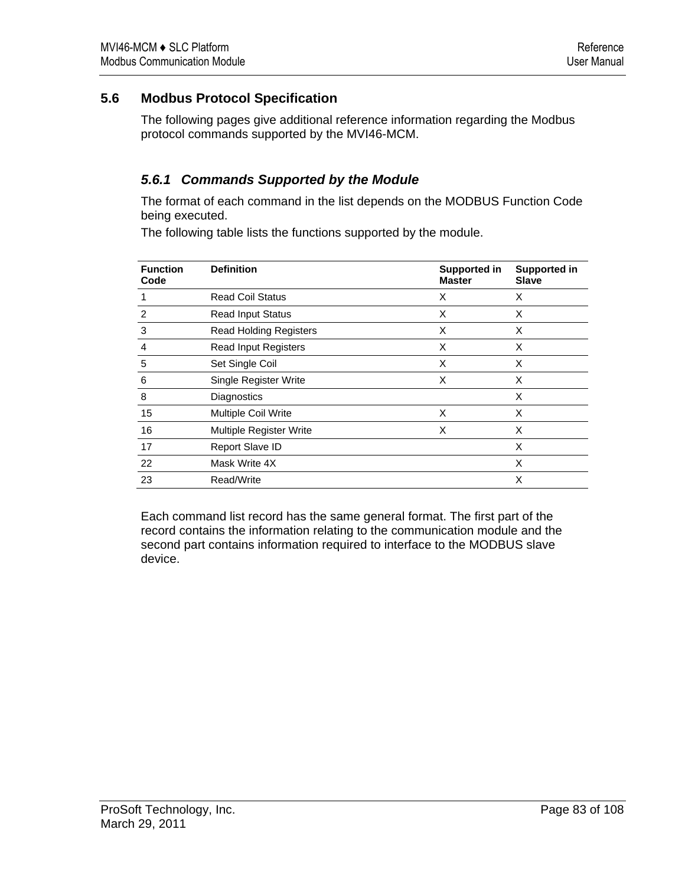# **5.6 Modbus Protocol Specification**

The following pages give additional reference information regarding the Modbus protocol commands supported by the MVI46-MCM.

# *5.6.1 Commands Supported by the Module*

The format of each command in the list depends on the MODBUS Function Code being executed.

The following table lists the functions supported by the module.

| <b>Function</b><br>Code | <b>Definition</b>             | Supported in<br><b>Master</b> | Supported in<br><b>Slave</b> |
|-------------------------|-------------------------------|-------------------------------|------------------------------|
|                         | <b>Read Coil Status</b>       | X                             | X                            |
| 2                       | <b>Read Input Status</b>      | X                             | X                            |
| 3                       | <b>Read Holding Registers</b> | X                             | X                            |
| $\overline{4}$          | <b>Read Input Registers</b>   | X                             | X                            |
| 5                       | Set Single Coil               | X                             | X                            |
| 6                       | Single Register Write         | X                             | X                            |
| 8                       | Diagnostics                   |                               | X                            |
| 15                      | <b>Multiple Coil Write</b>    | X                             | X                            |
| 16                      | Multiple Register Write       | X                             | X                            |
| 17                      | Report Slave ID               |                               | X                            |
| 22                      | Mask Write 4X                 |                               | X                            |
| 23                      | Read/Write                    |                               | X                            |

Each command list record has the same general format. The first part of the record contains the information relating to the communication module and the second part contains information required to interface to the MODBUS slave device.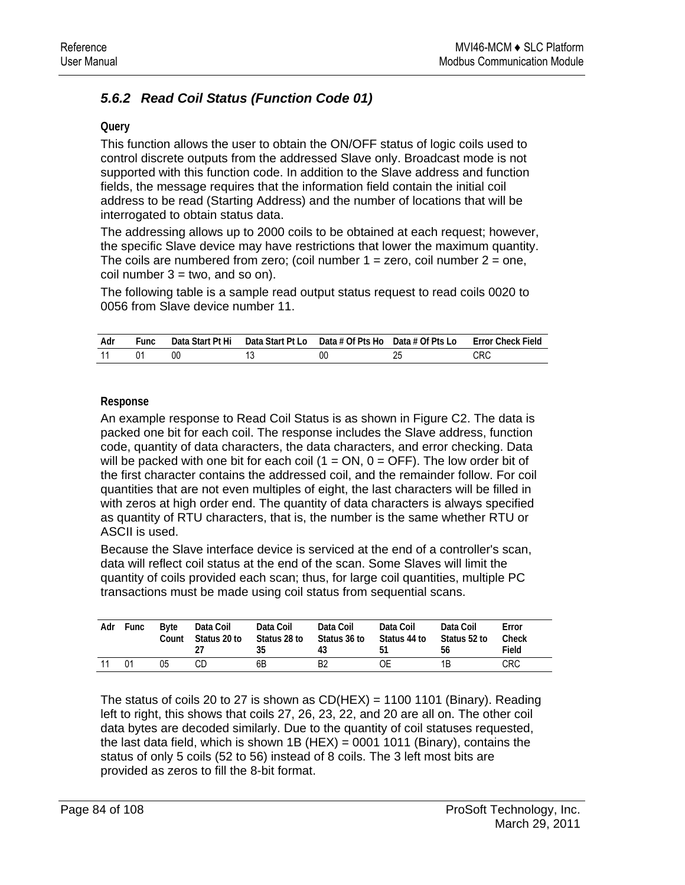# *5.6.2 Read Coil Status (Function Code 01)*

#### **Query**

This function allows the user to obtain the ON/OFF status of logic coils used to control discrete outputs from the addressed Slave only. Broadcast mode is not supported with this function code. In addition to the Slave address and function fields, the message requires that the information field contain the initial coil address to be read (Starting Address) and the number of locations that will be interrogated to obtain status data.

The addressing allows up to 2000 coils to be obtained at each request; however, the specific Slave device may have restrictions that lower the maximum quantity. The coils are numbered from zero; (coil number  $1 =$  zero, coil number  $2 =$  one, coil number  $3 = two$ , and so on).

The following table is a sample read output status request to read coils 0020 to 0056 from Slave device number 11.

| Adr | Func | Data Start Pt Hi | Data Start Pt Lo | Data # Of Pts Ho Data # Of Pts Lo |    | <b>Error Check Field</b> |
|-----|------|------------------|------------------|-----------------------------------|----|--------------------------|
|     |      | 00               |                  | 00                                | クト | CRC                      |

### **Response**

An example response to Read Coil Status is as shown in Figure C2. The data is packed one bit for each coil. The response includes the Slave address, function code, quantity of data characters, the data characters, and error checking. Data will be packed with one bit for each coil  $(1 = ON, 0 = OFF)$ . The low order bit of the first character contains the addressed coil, and the remainder follow. For coil quantities that are not even multiples of eight, the last characters will be filled in with zeros at high order end. The quantity of data characters is always specified as quantity of RTU characters, that is, the number is the same whether RTU or ASCII is used.

Because the Slave interface device is serviced at the end of a controller's scan, data will reflect coil status at the end of the scan. Some Slaves will limit the quantity of coils provided each scan; thus, for large coil quantities, multiple PC transactions must be made using coil status from sequential scans.

| Adr | Func | Byte<br>Count | Data Coil<br>Status 20 to | Data Coil<br>Status 28 to<br>35 | Data Coil<br>Status 36 to<br>43 | Data Coil<br>Status 44 to | Data Coil<br>Status 52 to<br>56 | Error<br>Check<br>Field |
|-----|------|---------------|---------------------------|---------------------------------|---------------------------------|---------------------------|---------------------------------|-------------------------|
|     |      | 05            |                           | 6B                              | B2                              | DЕ                        | 1В                              | <b>CRC</b>              |

The status of coils 20 to 27 is shown as  $CD(HEX) = 1100 1101$  (Binary). Reading left to right, this shows that coils 27, 26, 23, 22, and 20 are all on. The other coil data bytes are decoded similarly. Due to the quantity of coil statuses requested, the last data field, which is shown 1B (HEX) = 0001 1011 (Binary), contains the status of only 5 coils (52 to 56) instead of 8 coils. The 3 left most bits are provided as zeros to fill the 8-bit format.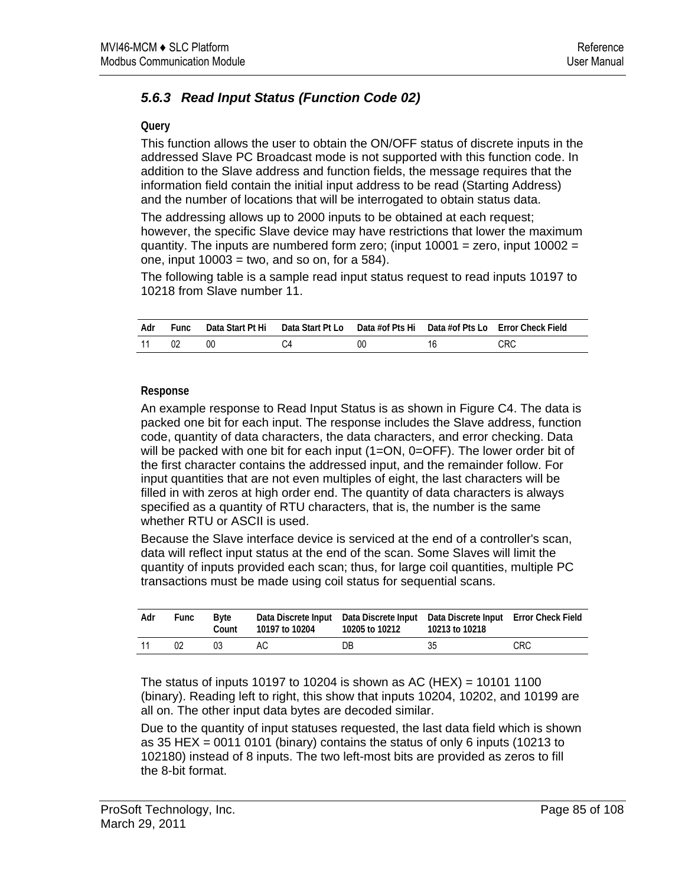# *5.6.3 Read Input Status (Function Code 02)*

#### **Query**

This function allows the user to obtain the ON/OFF status of discrete inputs in the addressed Slave PC Broadcast mode is not supported with this function code. In addition to the Slave address and function fields, the message requires that the information field contain the initial input address to be read (Starting Address) and the number of locations that will be interrogated to obtain status data.

The addressing allows up to 2000 inputs to be obtained at each request; however, the specific Slave device may have restrictions that lower the maximum quantity. The inputs are numbered form zero; (input  $10001$  = zero, input  $10002$  = one, input  $10003 =$  two, and so on, for a 584).

The following table is a sample read input status request to read inputs 10197 to 10218 from Slave number 11.

| Adr  | Func |    |    | Data Start Pt Hi Data Start Pt Lo Data #of Pts Hi Data #of Pts Lo Error Check Field |
|------|------|----|----|-------------------------------------------------------------------------------------|
| - 11 | 02   | 00 | 00 | <b>CRC</b>                                                                          |

### **Response**

An example response to Read Input Status is as shown in Figure C4. The data is packed one bit for each input. The response includes the Slave address, function code, quantity of data characters, the data characters, and error checking. Data will be packed with one bit for each input (1=ON, 0=OFF). The lower order bit of the first character contains the addressed input, and the remainder follow. For input quantities that are not even multiples of eight, the last characters will be filled in with zeros at high order end. The quantity of data characters is always specified as a quantity of RTU characters, that is, the number is the same whether RTU or ASCII is used.

Because the Slave interface device is serviced at the end of a controller's scan, data will reflect input status at the end of the scan. Some Slaves will limit the quantity of inputs provided each scan; thus, for large coil quantities, multiple PC transactions must be made using coil status for sequential scans.

| Adr | Func | <b>Byte</b><br>Count | 10197 to 10204 | Data Discrete Input Data Discrete Input Data Discrete Input Error Check Field<br>10205 to 10212 | 10213 to 10218 |            |
|-----|------|----------------------|----------------|-------------------------------------------------------------------------------------------------|----------------|------------|
| 11  | ሰ2   | 03                   | AC             | DB                                                                                              | 35             | <b>CRC</b> |

The status of inputs 10197 to 10204 is shown as AC (HEX) = 10101 1100 (binary). Reading left to right, this show that inputs 10204, 10202, and 10199 are all on. The other input data bytes are decoded similar.

Due to the quantity of input statuses requested, the last data field which is shown as 35 HEX = 0011 0101 (binary) contains the status of only 6 inputs (10213 to 102180) instead of 8 inputs. The two left-most bits are provided as zeros to fill the 8-bit format.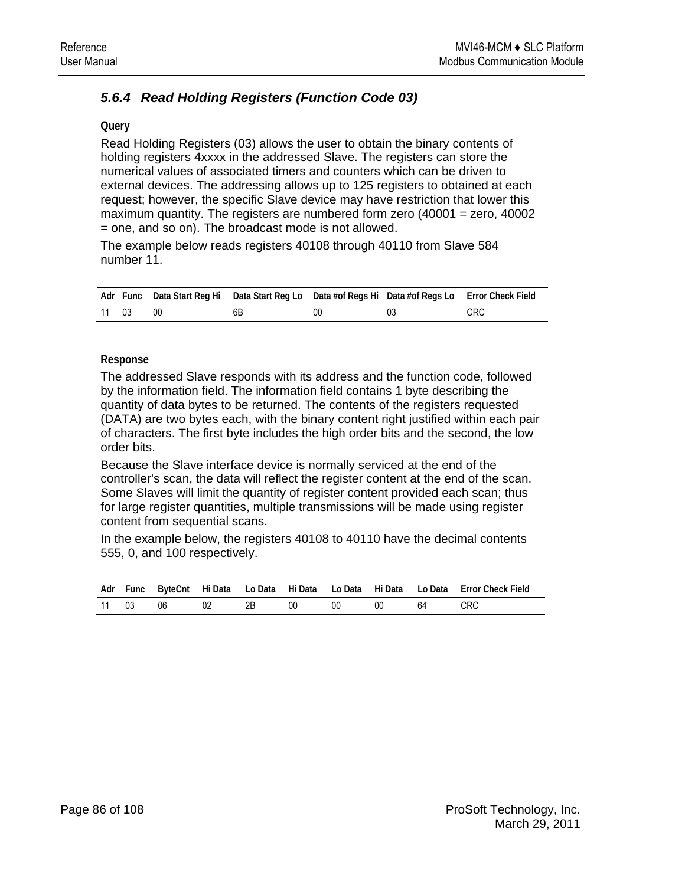# *5.6.4 Read Holding Registers (Function Code 03)*

#### **Query**

Read Holding Registers (03) allows the user to obtain the binary contents of holding registers 4xxxx in the addressed Slave. The registers can store the numerical values of associated timers and counters which can be driven to external devices. The addressing allows up to 125 registers to obtained at each request; however, the specific Slave device may have restriction that lower this maximum quantity. The registers are numbered form zero  $(40001 =$  zero,  $40002$ = one, and so on). The broadcast mode is not allowed.

The example below reads registers 40108 through 40110 from Slave 584 number 11.

|       |      | Adr Func Data Start Reg Hi Data Start Reg Lo Data #of Regs Hi Data #of Regs Lo Error Check Field |    |      |
|-------|------|--------------------------------------------------------------------------------------------------|----|------|
| 11 03 | - 00 | 6B                                                                                               | 00 | CRC. |

#### **Response**

The addressed Slave responds with its address and the function code, followed by the information field. The information field contains 1 byte describing the quantity of data bytes to be returned. The contents of the registers requested (DATA) are two bytes each, with the binary content right justified within each pair of characters. The first byte includes the high order bits and the second, the low order bits.

Because the Slave interface device is normally serviced at the end of the controller's scan, the data will reflect the register content at the end of the scan. Some Slaves will limit the quantity of register content provided each scan; thus for large register quantities, multiple transmissions will be made using register content from sequential scans.

In the example below, the registers 40108 to 40110 have the decimal contents 555, 0, and 100 respectively.

|       |      |    |    |    |     | Adr Func ByteCnt Hi Data Lo Data Hi Data Lo Data Hi Data Lo Data Error Check Field |
|-------|------|----|----|----|-----|------------------------------------------------------------------------------------|
| 11 03 | - 06 | 2В | 00 | 00 | 64. | <b>CRC</b>                                                                         |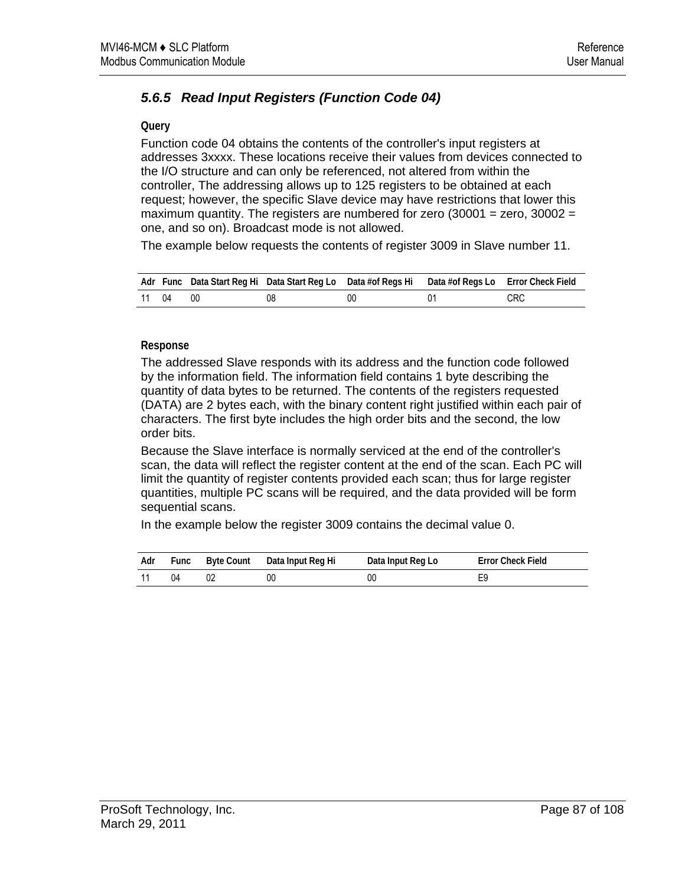# *5.6.5 Read Input Registers (Function Code 04)*

#### **Query**

Function code 04 obtains the contents of the controller's input registers at addresses 3xxxx. These locations receive their values from devices connected to the I/O structure and can only be referenced, not altered from within the controller, The addressing allows up to 125 registers to be obtained at each request; however, the specific Slave device may have restrictions that lower this maximum quantity. The registers are numbered for zero  $(30001 =$  zero,  $30002 =$ one, and so on). Broadcast mode is not allowed.

The example below requests the contents of register 3009 in Slave number 11.

|          |    |    | Adr Func Data Start Reg Hi Data Start Reg Lo Data #of Regs Hi Data #of Regs Lo Error Check Field |     |
|----------|----|----|--------------------------------------------------------------------------------------------------|-----|
| 11 04 00 | 08 | 00 |                                                                                                  | CRC |

#### **Response**

The addressed Slave responds with its address and the function code followed by the information field. The information field contains 1 byte describing the quantity of data bytes to be returned. The contents of the registers requested (DATA) are 2 bytes each, with the binary content right justified within each pair of characters. The first byte includes the high order bits and the second, the low order bits.

Because the Slave interface is normally serviced at the end of the controller's scan, the data will reflect the register content at the end of the scan. Each PC will limit the quantity of register contents provided each scan; thus for large register quantities, multiple PC scans will be required, and the data provided will be form sequential scans.

In the example below the register 3009 contains the decimal value 0.

| Adr |    | Func Byte Count Data Input Reg Hi | Data Input Reg Lo | <b>Error Check Field</b> |
|-----|----|-----------------------------------|-------------------|--------------------------|
| 11  | 04 | 00                                | 00                | E9                       |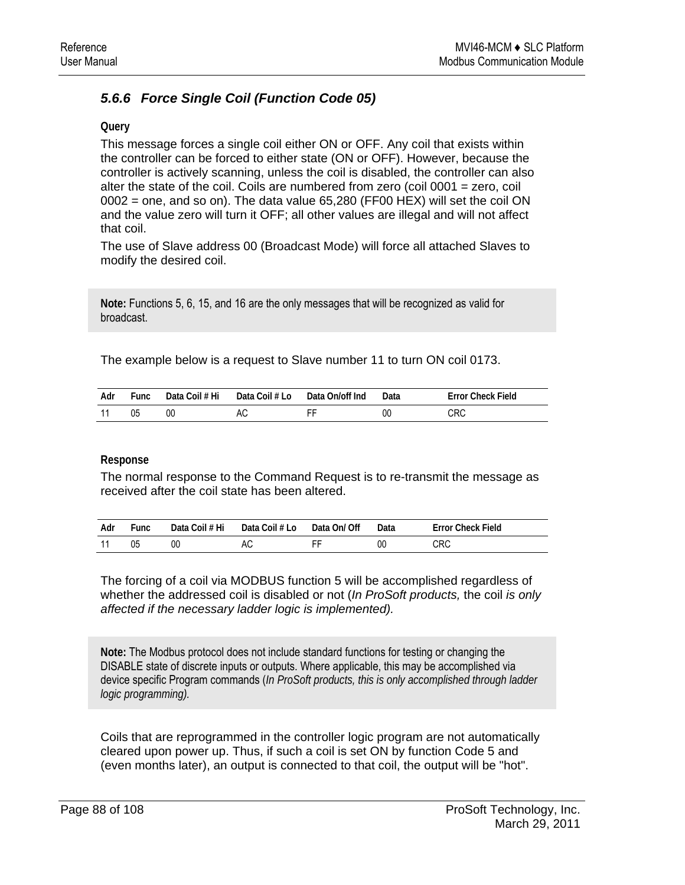# *5.6.6 Force Single Coil (Function Code 05)*

### **Query**

This message forces a single coil either ON or OFF. Any coil that exists within the controller can be forced to either state (ON or OFF). However, because the controller is actively scanning, unless the coil is disabled, the controller can also alter the state of the coil. Coils are numbered from zero (coil 0001 = zero, coil 0002 = one, and so on). The data value 65,280 (FF00 HEX) will set the coil ON and the value zero will turn it OFF; all other values are illegal and will not affect that coil.

The use of Slave address 00 (Broadcast Mode) will force all attached Slaves to modify the desired coil.

**Note:** Functions 5, 6, 15, and 16 are the only messages that will be recognized as valid for broadcast.

The example below is a request to Slave number 11 to turn ON coil 0173.

| Adr | Func | Data Coil # Hi | Data Coil # Lo | Data On/off Ind | Data | <b>Error Check Field</b> |
|-----|------|----------------|----------------|-----------------|------|--------------------------|
|     | 05   | 00             | АC             |                 | OC   | CRC                      |

### **Response**

The normal response to the Command Request is to re-transmit the message as received after the coil state has been altered.

| Adr | Func | Data Coil # Hi | Data Coil # Lo | Data On/ Off | Data | <b>Error Check Field</b> |
|-----|------|----------------|----------------|--------------|------|--------------------------|
| 11  | 05   | 00             | AC             | FF           | 00   | CRC                      |

The forcing of a coil via MODBUS function 5 will be accomplished regardless of whether the addressed coil is disabled or not (*In ProSoft products,* the coil *is only affected if the necessary ladder logic is implemented).*

**Note:** The Modbus protocol does not include standard functions for testing or changing the DISABLE state of discrete inputs or outputs. Where applicable, this may be accomplished via device specific Program commands (*In ProSoft products, this is only accomplished through ladder logic programming).*

Coils that are reprogrammed in the controller logic program are not automatically cleared upon power up. Thus, if such a coil is set ON by function Code 5 and (even months later), an output is connected to that coil, the output will be "hot".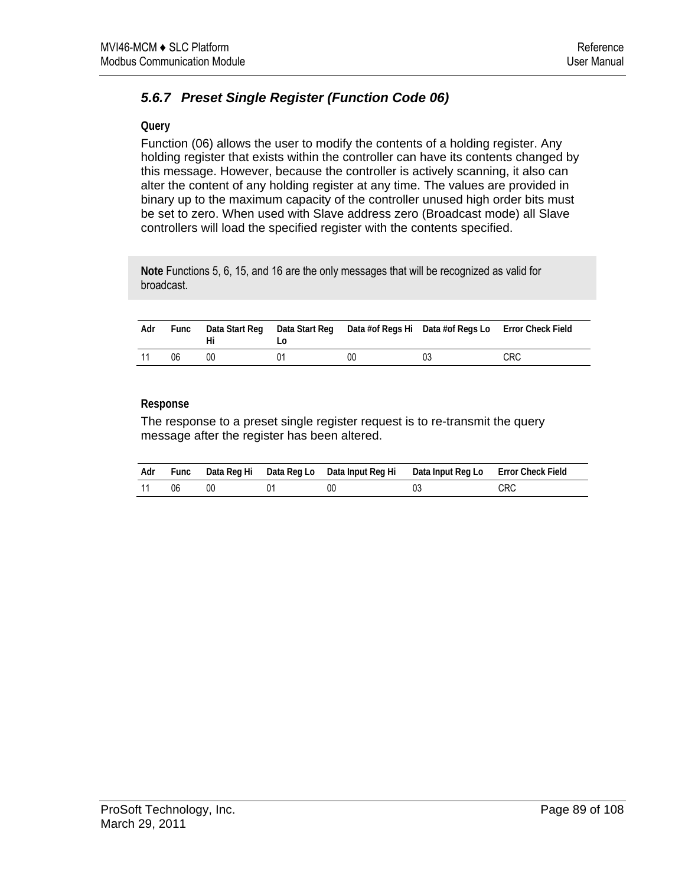# *5.6.7 Preset Single Register (Function Code 06)*

#### **Query**

Function (06) allows the user to modify the contents of a holding register. Any holding register that exists within the controller can have its contents changed by this message. However, because the controller is actively scanning, it also can alter the content of any holding register at any time. The values are provided in binary up to the maximum capacity of the controller unused high order bits must be set to zero. When used with Slave address zero (Broadcast mode) all Slave controllers will load the specified register with the contents specified.

**Note** Functions 5, 6, 15, and 16 are the only messages that will be recognized as valid for broadcast.

| Adr | Func |    |    | Data Start Reg Data Start Reg Data #of Regs Hi Data #of Regs Lo Error Check Field |     |
|-----|------|----|----|-----------------------------------------------------------------------------------|-----|
| 11  | 06   | 00 | 00 | 03                                                                                | CRC |

#### **Response**

The response to a preset single register request is to re-transmit the query message after the register has been altered.

| Adr |    |     |    | Func Data Reg Hi Data Reg Lo Data Input Reg Hi Data Input Reg Lo Error Check Field |     |
|-----|----|-----|----|------------------------------------------------------------------------------------|-----|
| 11  | 06 | -00 | 00 | 03                                                                                 | CRC |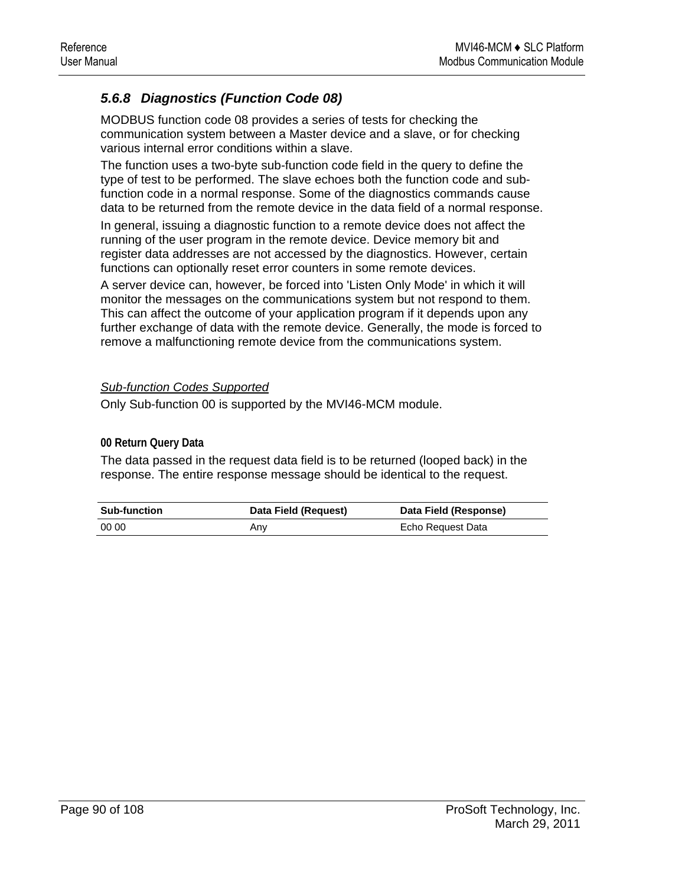# *5.6.8 Diagnostics (Function Code 08)*

MODBUS function code 08 provides a series of tests for checking the communication system between a Master device and a slave, or for checking various internal error conditions within a slave.

The function uses a two-byte sub-function code field in the query to define the type of test to be performed. The slave echoes both the function code and subfunction code in a normal response. Some of the diagnostics commands cause data to be returned from the remote device in the data field of a normal response.

In general, issuing a diagnostic function to a remote device does not affect the running of the user program in the remote device. Device memory bit and register data addresses are not accessed by the diagnostics. However, certain functions can optionally reset error counters in some remote devices.

A server device can, however, be forced into 'Listen Only Mode' in which it will monitor the messages on the communications system but not respond to them. This can affect the outcome of your application program if it depends upon any further exchange of data with the remote device. Generally, the mode is forced to remove a malfunctioning remote device from the communications system.

### *Sub-function Codes Supported*

Only Sub-function 00 is supported by the MVI46-MCM module.

### **00 Return Query Data**

The data passed in the request data field is to be returned (looped back) in the response. The entire response message should be identical to the request.

| Sub-function | Data Field (Request) | Data Field (Response) |
|--------------|----------------------|-----------------------|
| 00 00        | Any                  | Echo Request Data     |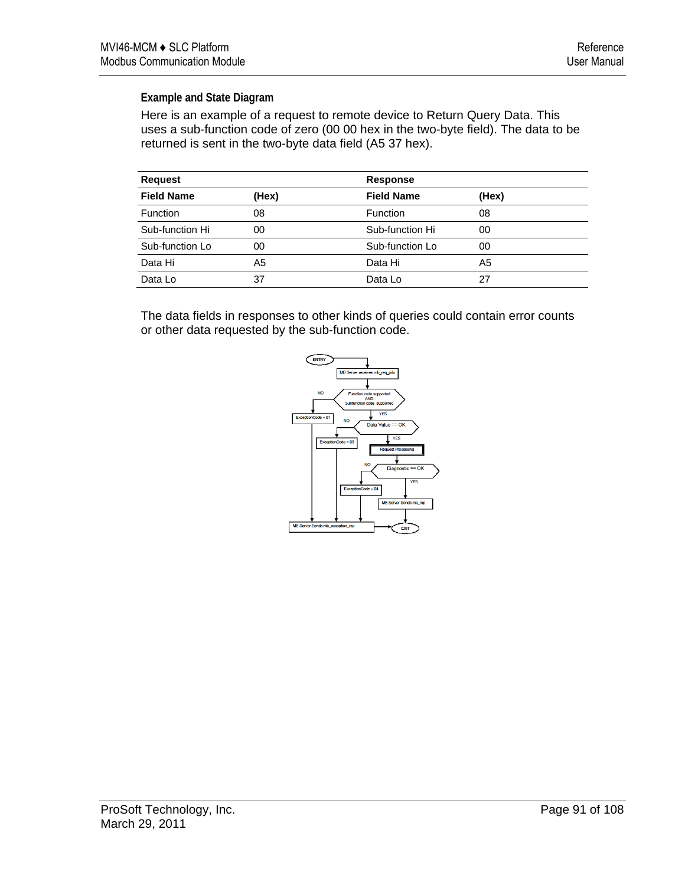### **Example and State Diagram**

Here is an example of a request to remote device to Return Query Data. This uses a sub-function code of zero (00 00 hex in the two-byte field). The data to be returned is sent in the two-byte data field (A5 37 hex).

| <b>Request</b>    |       | <b>Response</b>   |       |  |
|-------------------|-------|-------------------|-------|--|
| <b>Field Name</b> | (Hex) | <b>Field Name</b> | (Hex) |  |
| Function          | 08    | <b>Function</b>   | 08    |  |
| Sub-function Hi   | 00    | Sub-function Hi   | 00    |  |
| Sub-function Lo   | 00    | Sub-function Lo   | 00    |  |
| Data Hi           | A5    | Data Hi           | A5    |  |
| Data Lo           | 37    | Data Lo           | 27    |  |

The data fields in responses to other kinds of queries could contain error counts or other data requested by the sub-function code.

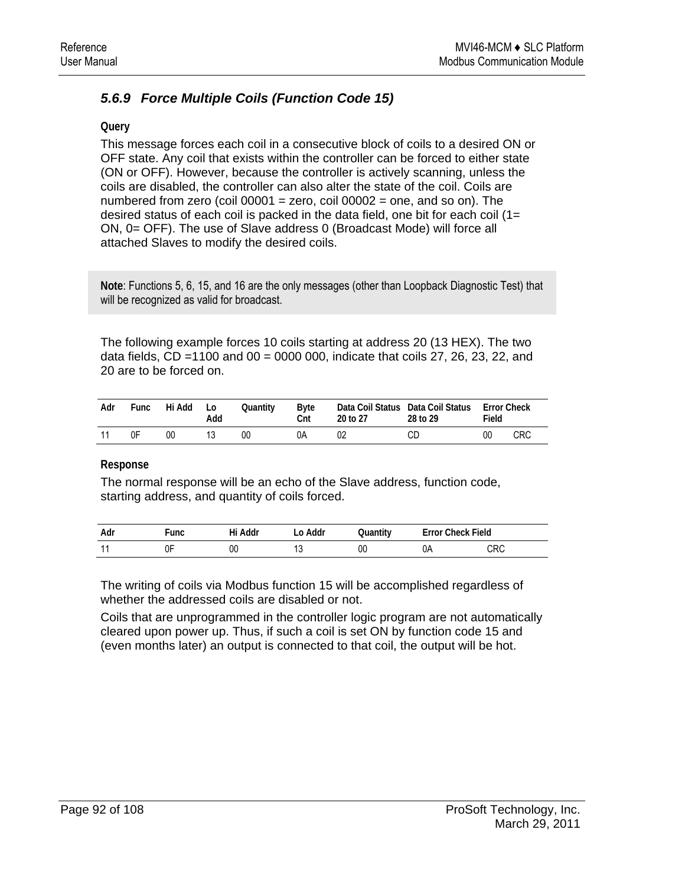# *5.6.9 Force Multiple Coils (Function Code 15)*

### **Query**

This message forces each coil in a consecutive block of coils to a desired ON or OFF state. Any coil that exists within the controller can be forced to either state (ON or OFF). However, because the controller is actively scanning, unless the coils are disabled, the controller can also alter the state of the coil. Coils are numbered from zero (coil  $00001$  = zero, coil  $00002$  = one, and so on). The desired status of each coil is packed in the data field, one bit for each coil  $(1=$ ON, 0= OFF). The use of Slave address 0 (Broadcast Mode) will force all attached Slaves to modify the desired coils.

**Note**: Functions 5, 6, 15, and 16 are the only messages (other than Loopback Diagnostic Test) that will be recognized as valid for broadcast.

The following example forces 10 coils starting at address 20 (13 HEX). The two data fields,  $CD = 1100$  and  $00 = 0000$  000, indicate that coils 27, 26, 23, 22, and 20 are to be forced on.

| Adr | Func | Hi Add | - Lo<br>Add | Quantity | <b>Byte</b><br>Cnt | 20 to 27 | Data Coil Status Data Coil Status Error Check<br>28 to 29 | Field |     |
|-----|------|--------|-------------|----------|--------------------|----------|-----------------------------------------------------------|-------|-----|
| 11  | 0F   | 00     |             | 00       | 0Α                 | 02       | CС                                                        | 00    | CRC |

**Response** 

The normal response will be an echo of the Slave address, function code, starting address, and quantity of coils forced.

| Adr                             | unc | Hi Addr | Addr | <b>Juantity</b> | <b>Error Check Field</b> |     |
|---------------------------------|-----|---------|------|-----------------|--------------------------|-----|
| $\overline{\phantom{a}}$<br>. . | υı  | OC      | Ιu   | 00              | 0A                       | CRC |

The writing of coils via Modbus function 15 will be accomplished regardless of whether the addressed coils are disabled or not.

Coils that are unprogrammed in the controller logic program are not automatically cleared upon power up. Thus, if such a coil is set ON by function code 15 and (even months later) an output is connected to that coil, the output will be hot.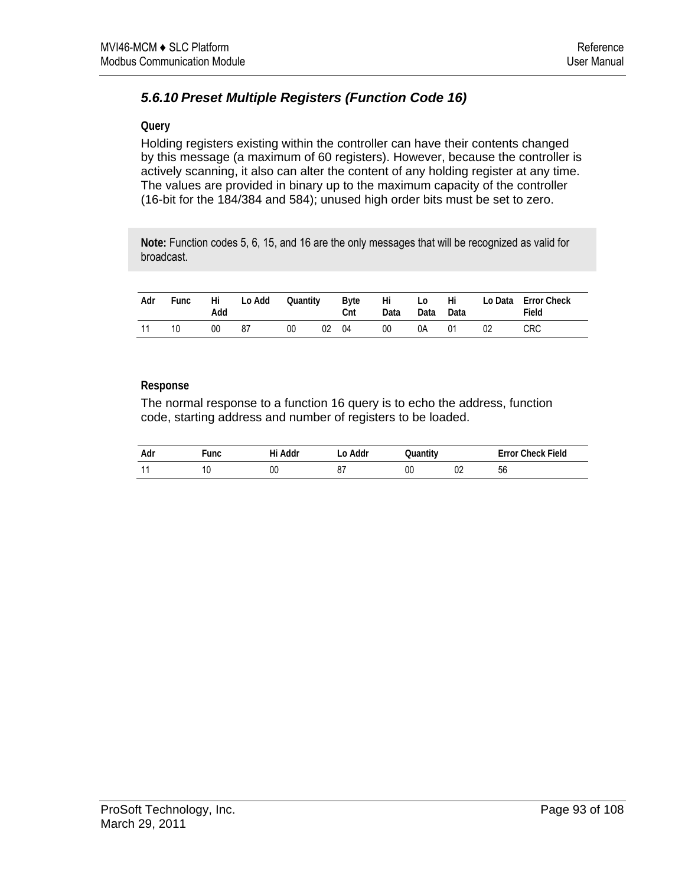# *5.6.10 Preset Multiple Registers (Function Code 16)*

#### **Query**

Holding registers existing within the controller can have their contents changed by this message (a maximum of 60 registers). However, because the controller is actively scanning, it also can alter the content of any holding register at any time. The values are provided in binary up to the maximum capacity of the controller (16-bit for the 184/384 and 584); unused high order bits must be set to zero.

**Note:** Function codes 5, 6, 15, and 16 are the only messages that will be recognized as valid for broadcast.

| Adr | Func | Hi<br>Add | Lo Add | Quantity |    | Byte<br>Cnt | , Hi 1<br>Data | Lo<br>Data | Hi<br>Data |    | Lo Data Error Check<br>Field |
|-----|------|-----------|--------|----------|----|-------------|----------------|------------|------------|----|------------------------------|
| 11  | 10   | 00        | 87     | 00       | 02 | 04          | 00             | 0A         | 01         | 02 | <b>CRC</b>                   |

#### **Response**

The normal response to a function 16 query is to echo the address, function code, starting address and number of registers to be loaded.

| Adr | unc | Addr<br>Hi | Addr | <b>Juantity</b> |          | <b>Check Field</b><br>Error ( |
|-----|-----|------------|------|-----------------|----------|-------------------------------|
|     | ٠U  | 00         | ັບ.  | OC              | n٢<br>◡▵ | 56                            |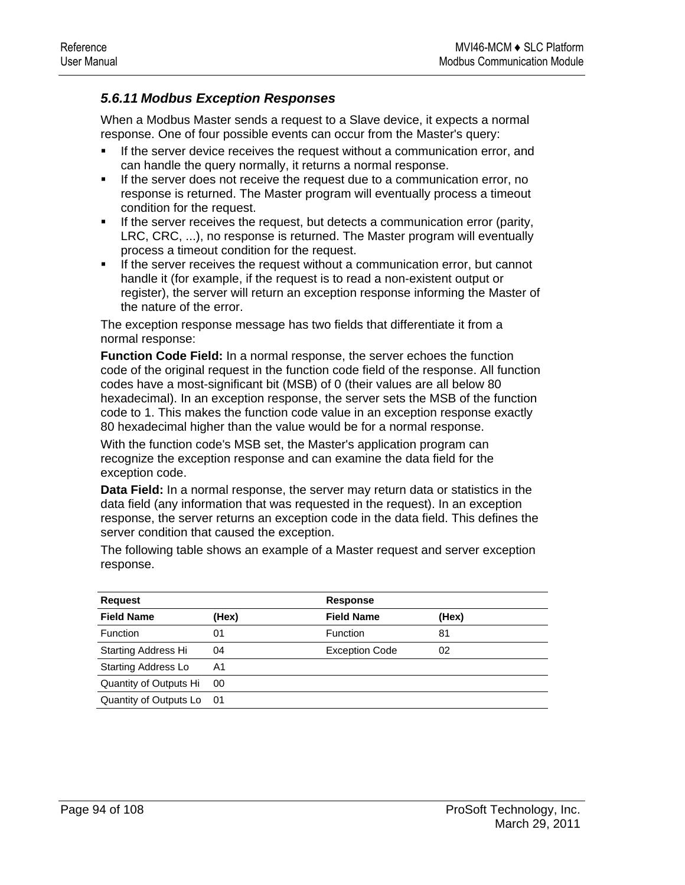### *5.6.11 Modbus Exception Responses*

When a Modbus Master sends a request to a Slave device, it expects a normal response. One of four possible events can occur from the Master's query:

- **If the server device receives the request without a communication error, and** can handle the query normally, it returns a normal response.
- If the server does not receive the request due to a communication error, no response is returned. The Master program will eventually process a timeout condition for the request.
- If the server receives the request, but detects a communication error (parity, LRC, CRC, ...), no response is returned. The Master program will eventually process a timeout condition for the request.
- **If the server receives the request without a communication error, but cannot** handle it (for example, if the request is to read a non-existent output or register), the server will return an exception response informing the Master of the nature of the error.

The exception response message has two fields that differentiate it from a normal response:

**Function Code Field:** In a normal response, the server echoes the function code of the original request in the function code field of the response. All function codes have a most-significant bit (MSB) of 0 (their values are all below 80 hexadecimal). In an exception response, the server sets the MSB of the function code to 1. This makes the function code value in an exception response exactly 80 hexadecimal higher than the value would be for a normal response.

With the function code's MSB set, the Master's application program can recognize the exception response and can examine the data field for the exception code.

**Data Field:** In a normal response, the server may return data or statistics in the data field (any information that was requested in the request). In an exception response, the server returns an exception code in the data field. This defines the server condition that caused the exception.

The following table shows an example of a Master request and server exception response.

|       | <b>Response</b>       |       |  |
|-------|-----------------------|-------|--|
| (Hex) | <b>Field Name</b>     | (Hex) |  |
| 01    | <b>Function</b>       | 81    |  |
| 04    | <b>Exception Code</b> | 02    |  |
| A1    |                       |       |  |
| 00    |                       |       |  |
| 01    |                       |       |  |
|       |                       |       |  |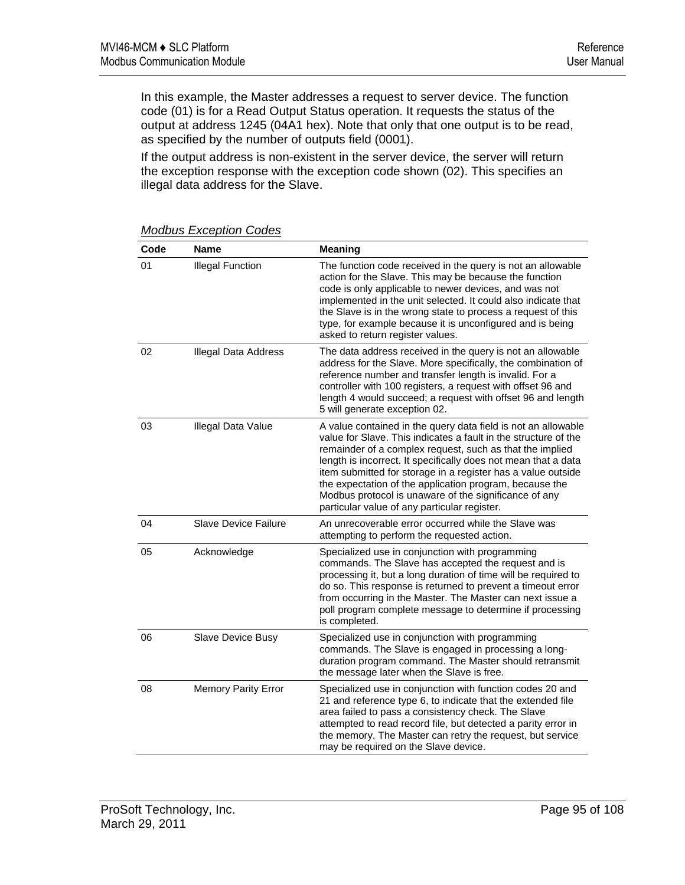In this example, the Master addresses a request to server device. The function code (01) is for a Read Output Status operation. It requests the status of the output at address 1245 (04A1 hex). Note that only that one output is to be read, as specified by the number of outputs field (0001).

If the output address is non-existent in the server device, the server will return the exception response with the exception code shown (02). This specifies an illegal data address for the Slave.

| Code | <b>Name</b>                | <b>Meaning</b>                                                                                                                                                                                                                                                                                                                                                                                                                                                                                     |
|------|----------------------------|----------------------------------------------------------------------------------------------------------------------------------------------------------------------------------------------------------------------------------------------------------------------------------------------------------------------------------------------------------------------------------------------------------------------------------------------------------------------------------------------------|
| 01   | <b>Illegal Function</b>    | The function code received in the query is not an allowable<br>action for the Slave. This may be because the function<br>code is only applicable to newer devices, and was not<br>implemented in the unit selected. It could also indicate that<br>the Slave is in the wrong state to process a request of this<br>type, for example because it is unconfigured and is being<br>asked to return register values.                                                                                   |
| 02   | Illegal Data Address       | The data address received in the query is not an allowable<br>address for the Slave. More specifically, the combination of<br>reference number and transfer length is invalid. For a<br>controller with 100 registers, a request with offset 96 and<br>length 4 would succeed; a request with offset 96 and length<br>5 will generate exception 02.                                                                                                                                                |
| 03   | Illegal Data Value         | A value contained in the query data field is not an allowable<br>value for Slave. This indicates a fault in the structure of the<br>remainder of a complex request, such as that the implied<br>length is incorrect. It specifically does not mean that a data<br>item submitted for storage in a register has a value outside<br>the expectation of the application program, because the<br>Modbus protocol is unaware of the significance of any<br>particular value of any particular register. |
| 04   | Slave Device Failure       | An unrecoverable error occurred while the Slave was<br>attempting to perform the requested action.                                                                                                                                                                                                                                                                                                                                                                                                 |
| 05   | Acknowledge                | Specialized use in conjunction with programming<br>commands. The Slave has accepted the request and is<br>processing it, but a long duration of time will be required to<br>do so. This response is returned to prevent a timeout error<br>from occurring in the Master. The Master can next issue a<br>poll program complete message to determine if processing<br>is completed.                                                                                                                  |
| 06   | Slave Device Busy          | Specialized use in conjunction with programming<br>commands. The Slave is engaged in processing a long-<br>duration program command. The Master should retransmit<br>the message later when the Slave is free.                                                                                                                                                                                                                                                                                     |
| 08   | <b>Memory Parity Error</b> | Specialized use in conjunction with function codes 20 and<br>21 and reference type 6, to indicate that the extended file<br>area failed to pass a consistency check. The Slave<br>attempted to read record file, but detected a parity error in<br>the memory. The Master can retry the request, but service<br>may be required on the Slave device.                                                                                                                                               |

| <b>Modbus Exception Codes</b> |
|-------------------------------|
|-------------------------------|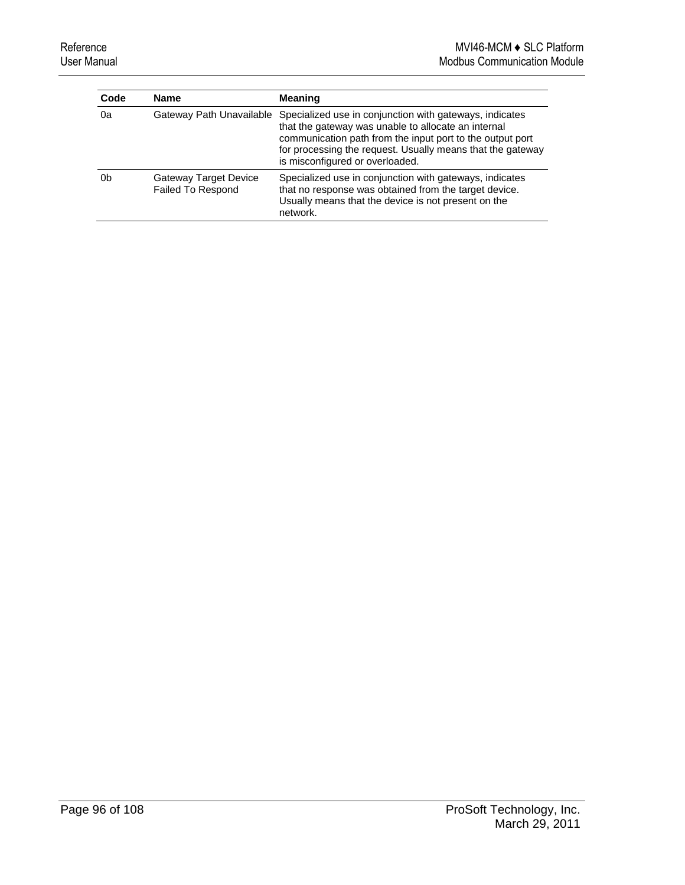| Code | <b>Name</b>                                       | <b>Meaning</b>                                                                                                                                                                                                                                                                                        |
|------|---------------------------------------------------|-------------------------------------------------------------------------------------------------------------------------------------------------------------------------------------------------------------------------------------------------------------------------------------------------------|
| 0a   |                                                   | Gateway Path Unavailable Specialized use in conjunction with gateways, indicates<br>that the gateway was unable to allocate an internal<br>communication path from the input port to the output port<br>for processing the request. Usually means that the gateway<br>is misconfigured or overloaded. |
| 0b   | Gateway Target Device<br><b>Failed To Respond</b> | Specialized use in conjunction with gateways, indicates<br>that no response was obtained from the target device.<br>Usually means that the device is not present on the<br>network.                                                                                                                   |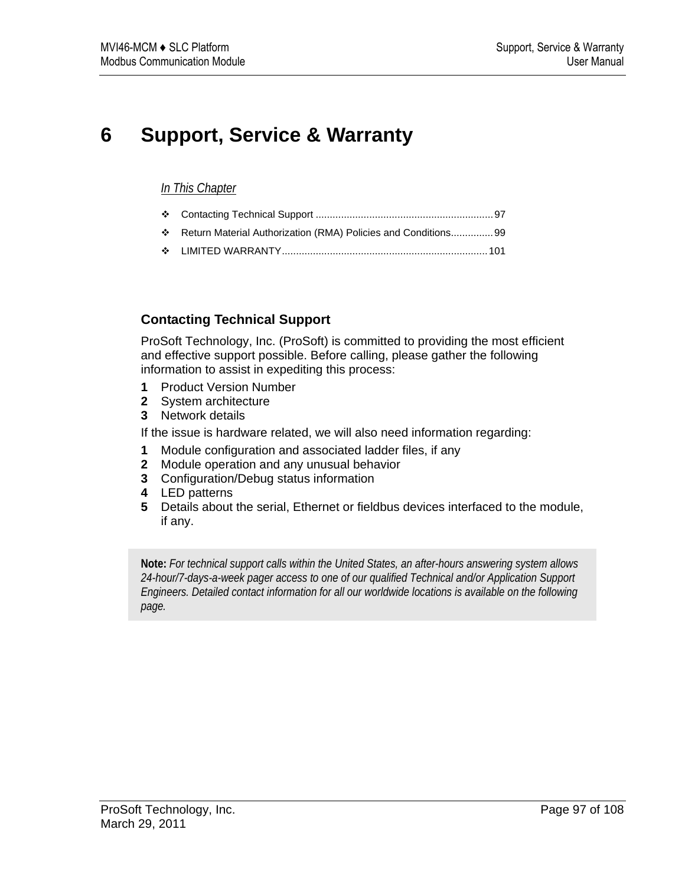# **6 Support, Service & Warranty**

### *In This Chapter*

- Return Material Authorization (RMA) Policies and Conditions ............... 99
- LIMITED WARRANTY ......................................................................... 101

# **Contacting Technical Support**

ProSoft Technology, Inc. (ProSoft) is committed to providing the most efficient and effective support possible. Before calling, please gather the following information to assist in expediting this process:

- **1** Product Version Number
- **2** System architecture
- **3** Network details

If the issue is hardware related, we will also need information regarding:

- **1** Module configuration and associated ladder files, if any
- **2** Module operation and any unusual behavior
- **3** Configuration/Debug status information
- **4** LED patterns
- **5** Details about the serial, Ethernet or fieldbus devices interfaced to the module, if any.

**Note:** *For technical support calls within the United States, an after-hours answering system allows 24-hour/7-days-a-week pager access to one of our qualified Technical and/or Application Support Engineers. Detailed contact information for all our worldwide locations is available on the following page.*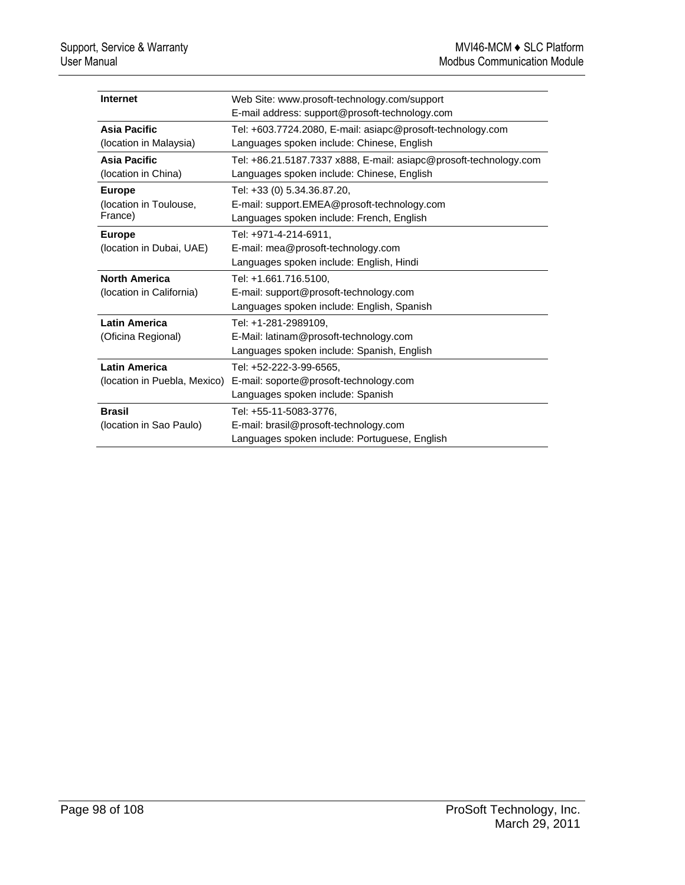| <b>Internet</b>              | Web Site: www.prosoft-technology.com/support                      |
|------------------------------|-------------------------------------------------------------------|
|                              | E-mail address: support@prosoft-technology.com                    |
| Asia Pacific                 | Tel: +603.7724.2080, E-mail: asiapc@prosoft-technology.com        |
| (location in Malaysia)       | Languages spoken include: Chinese, English                        |
| Asia Pacific                 | Tel: +86.21.5187.7337 x888, E-mail: asiapc@prosoft-technology.com |
| (location in China)          | Languages spoken include: Chinese, English                        |
| <b>Europe</b>                | Tel: +33 (0) 5.34.36.87.20,                                       |
| (location in Toulouse,       | E-mail: support.EMEA@prosoft-technology.com                       |
| France)                      | Languages spoken include: French, English                         |
| <b>Europe</b>                | Tel: +971-4-214-6911,                                             |
| (location in Dubai, UAE)     | E-mail: mea@prosoft-technology.com                                |
|                              | Languages spoken include: English, Hindi                          |
| <b>North America</b>         | Tel: +1.661.716.5100,                                             |
| (location in California)     | E-mail: support@prosoft-technology.com                            |
|                              | Languages spoken include: English, Spanish                        |
| <b>Latin America</b>         | Tel: +1-281-2989109,                                              |
| (Oficina Regional)           | E-Mail: latinam@prosoft-technology.com                            |
|                              | Languages spoken include: Spanish, English                        |
| <b>Latin America</b>         | Tel: +52-222-3-99-6565,                                           |
| (location in Puebla, Mexico) | E-mail: soporte@prosoft-technology.com                            |
|                              | Languages spoken include: Spanish                                 |
| <b>Brasil</b>                | Tel: +55-11-5083-3776,                                            |
| (location in Sao Paulo)      | E-mail: brasil@prosoft-technology.com                             |
|                              | Languages spoken include: Portuguese, English                     |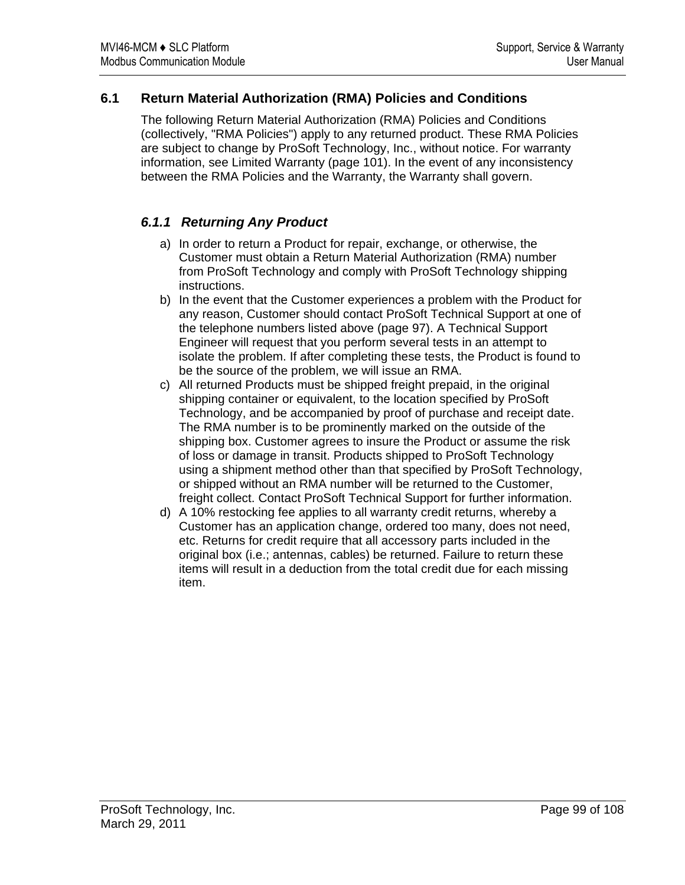# **6.1 Return Material Authorization (RMA) Policies and Conditions**

The following Return Material Authorization (RMA) Policies and Conditions (collectively, "RMA Policies") apply to any returned product. These RMA Policies are subject to change by ProSoft Technology, Inc., without notice. For warranty information, see Limited Warranty (page 101). In the event of any inconsistency between the RMA Policies and the Warranty, the Warranty shall govern.

### *6.1.1 Returning Any Product*

- a) In order to return a Product for repair, exchange, or otherwise, the Customer must obtain a Return Material Authorization (RMA) number from ProSoft Technology and comply with ProSoft Technology shipping instructions.
- b) In the event that the Customer experiences a problem with the Product for any reason, Customer should contact ProSoft Technical Support at one of the telephone numbers listed above (page 97). A Technical Support Engineer will request that you perform several tests in an attempt to isolate the problem. If after completing these tests, the Product is found to be the source of the problem, we will issue an RMA.
- c) All returned Products must be shipped freight prepaid, in the original shipping container or equivalent, to the location specified by ProSoft Technology, and be accompanied by proof of purchase and receipt date. The RMA number is to be prominently marked on the outside of the shipping box. Customer agrees to insure the Product or assume the risk of loss or damage in transit. Products shipped to ProSoft Technology using a shipment method other than that specified by ProSoft Technology, or shipped without an RMA number will be returned to the Customer, freight collect. Contact ProSoft Technical Support for further information.
- d) A 10% restocking fee applies to all warranty credit returns, whereby a Customer has an application change, ordered too many, does not need, etc. Returns for credit require that all accessory parts included in the original box (i.e.; antennas, cables) be returned. Failure to return these items will result in a deduction from the total credit due for each missing item.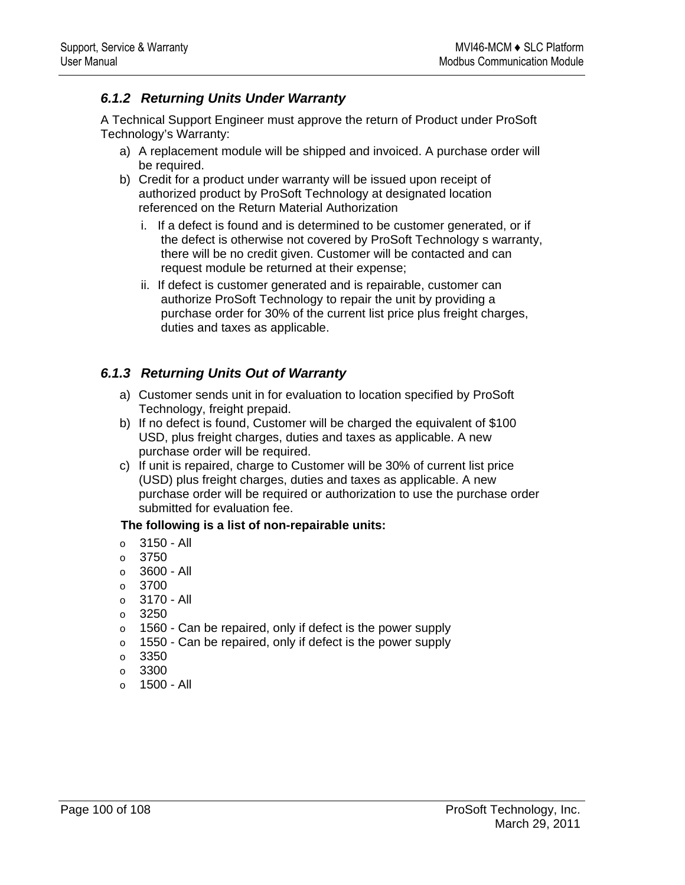# *6.1.2 Returning Units Under Warranty*

A Technical Support Engineer must approve the return of Product under ProSoft Technology's Warranty:

- a) A replacement module will be shipped and invoiced. A purchase order will be required.
- b) Credit for a product under warranty will be issued upon receipt of authorized product by ProSoft Technology at designated location referenced on the Return Material Authorization
	- i. If a defect is found and is determined to be customer generated, or if the defect is otherwise not covered by ProSoft Technology s warranty, there will be no credit given. Customer will be contacted and can request module be returned at their expense;
	- ii. If defect is customer generated and is repairable, customer can authorize ProSoft Technology to repair the unit by providing a purchase order for 30% of the current list price plus freight charges, duties and taxes as applicable.

# *6.1.3 Returning Units Out of Warranty*

- a) Customer sends unit in for evaluation to location specified by ProSoft Technology, freight prepaid.
- b) If no defect is found, Customer will be charged the equivalent of \$100 USD, plus freight charges, duties and taxes as applicable. A new purchase order will be required.
- c) If unit is repaired, charge to Customer will be 30% of current list price (USD) plus freight charges, duties and taxes as applicable. A new purchase order will be required or authorization to use the purchase order submitted for evaluation fee.

### **The following is a list of non-repairable units:**

- $\circ$  3150 All
- $\circ$  3750
- o 3600 All
- o 3700
- $o$  3170 All
- o 3250
- $\circ$  1560 Can be repaired, only if defect is the power supply
- $\circ$  1550 Can be repaired, only if defect is the power supply
- o 3350
- o 3300
- $o$  1500 All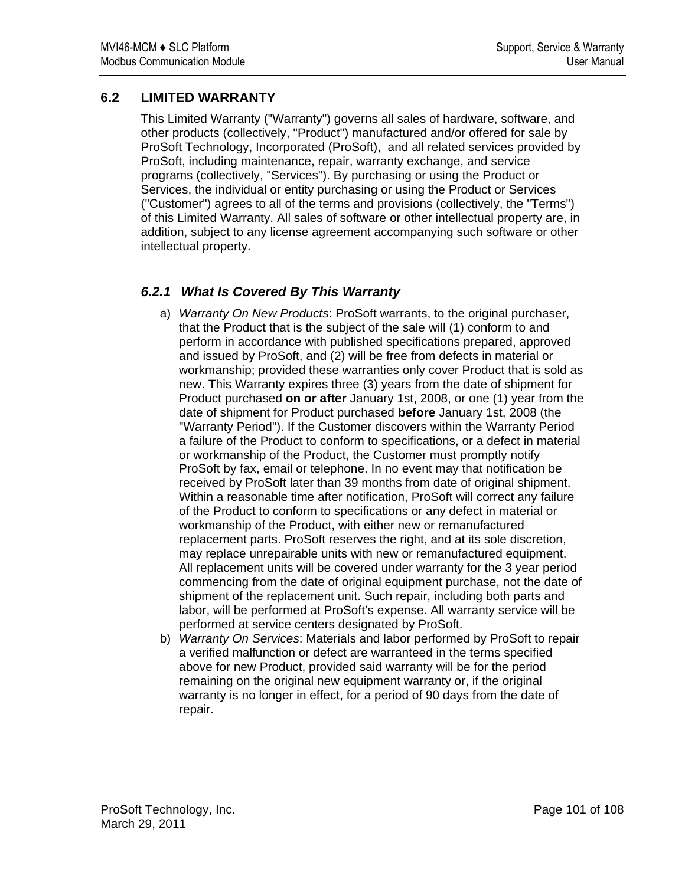# **6.2 LIMITED WARRANTY**

This Limited Warranty ("Warranty") governs all sales of hardware, software, and other products (collectively, "Product") manufactured and/or offered for sale by ProSoft Technology, Incorporated (ProSoft), and all related services provided by ProSoft, including maintenance, repair, warranty exchange, and service programs (collectively, "Services"). By purchasing or using the Product or Services, the individual or entity purchasing or using the Product or Services ("Customer") agrees to all of the terms and provisions (collectively, the "Terms") of this Limited Warranty. All sales of software or other intellectual property are, in addition, subject to any license agreement accompanying such software or other intellectual property.

### *6.2.1 What Is Covered By This Warranty*

- a) *Warranty On New Products*: ProSoft warrants, to the original purchaser, that the Product that is the subject of the sale will (1) conform to and perform in accordance with published specifications prepared, approved and issued by ProSoft, and (2) will be free from defects in material or workmanship; provided these warranties only cover Product that is sold as new. This Warranty expires three (3) years from the date of shipment for Product purchased **on or after** January 1st, 2008, or one (1) year from the date of shipment for Product purchased **before** January 1st, 2008 (the "Warranty Period"). If the Customer discovers within the Warranty Period a failure of the Product to conform to specifications, or a defect in material or workmanship of the Product, the Customer must promptly notify ProSoft by fax, email or telephone. In no event may that notification be received by ProSoft later than 39 months from date of original shipment. Within a reasonable time after notification, ProSoft will correct any failure of the Product to conform to specifications or any defect in material or workmanship of the Product, with either new or remanufactured replacement parts. ProSoft reserves the right, and at its sole discretion, may replace unrepairable units with new or remanufactured equipment. All replacement units will be covered under warranty for the 3 year period commencing from the date of original equipment purchase, not the date of shipment of the replacement unit. Such repair, including both parts and labor, will be performed at ProSoft's expense. All warranty service will be performed at service centers designated by ProSoft.
- b) *Warranty On Services*: Materials and labor performed by ProSoft to repair a verified malfunction or defect are warranteed in the terms specified above for new Product, provided said warranty will be for the period remaining on the original new equipment warranty or, if the original warranty is no longer in effect, for a period of 90 days from the date of repair.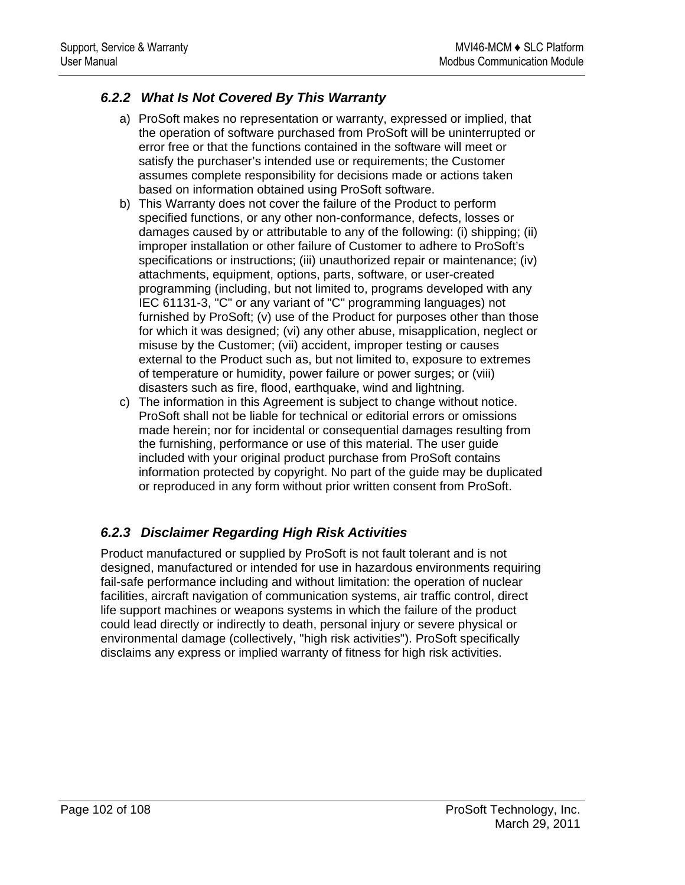# *6.2.2 What Is Not Covered By This Warranty*

- a) ProSoft makes no representation or warranty, expressed or implied, that the operation of software purchased from ProSoft will be uninterrupted or error free or that the functions contained in the software will meet or satisfy the purchaser's intended use or requirements; the Customer assumes complete responsibility for decisions made or actions taken based on information obtained using ProSoft software.
- b) This Warranty does not cover the failure of the Product to perform specified functions, or any other non-conformance, defects, losses or damages caused by or attributable to any of the following: (i) shipping; (ii) improper installation or other failure of Customer to adhere to ProSoft's specifications or instructions; (iii) unauthorized repair or maintenance; (iv) attachments, equipment, options, parts, software, or user-created programming (including, but not limited to, programs developed with any IEC 61131-3, "C" or any variant of "C" programming languages) not furnished by ProSoft; (v) use of the Product for purposes other than those for which it was designed; (vi) any other abuse, misapplication, neglect or misuse by the Customer; (vii) accident, improper testing or causes external to the Product such as, but not limited to, exposure to extremes of temperature or humidity, power failure or power surges; or (viii) disasters such as fire, flood, earthquake, wind and lightning.
- c) The information in this Agreement is subject to change without notice. ProSoft shall not be liable for technical or editorial errors or omissions made herein; nor for incidental or consequential damages resulting from the furnishing, performance or use of this material. The user guide included with your original product purchase from ProSoft contains information protected by copyright. No part of the guide may be duplicated or reproduced in any form without prior written consent from ProSoft.

# *6.2.3 Disclaimer Regarding High Risk Activities*

Product manufactured or supplied by ProSoft is not fault tolerant and is not designed, manufactured or intended for use in hazardous environments requiring fail-safe performance including and without limitation: the operation of nuclear facilities, aircraft navigation of communication systems, air traffic control, direct life support machines or weapons systems in which the failure of the product could lead directly or indirectly to death, personal injury or severe physical or environmental damage (collectively, "high risk activities"). ProSoft specifically disclaims any express or implied warranty of fitness for high risk activities.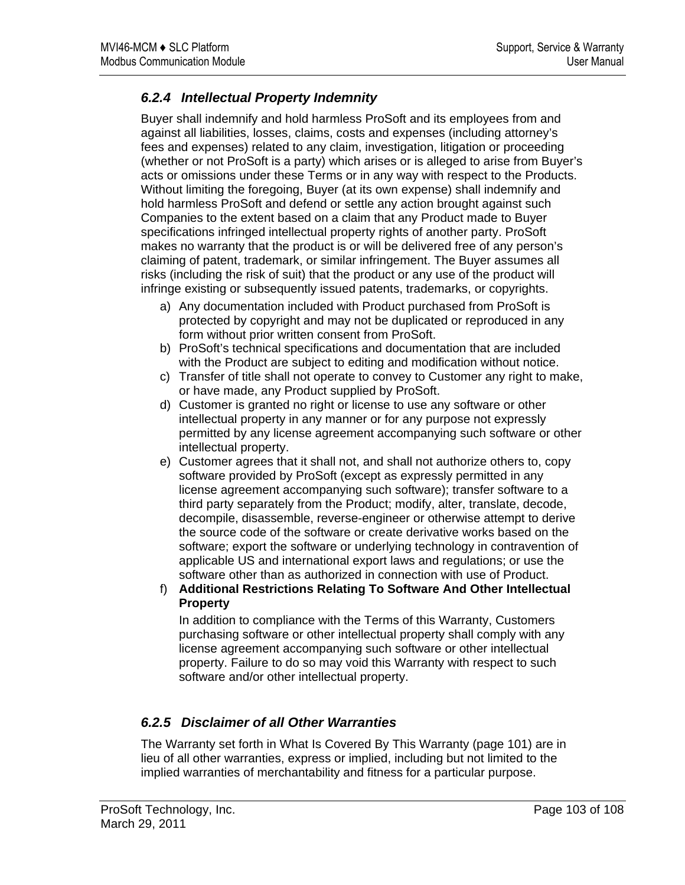# *6.2.4 Intellectual Property Indemnity*

Buyer shall indemnify and hold harmless ProSoft and its employees from and against all liabilities, losses, claims, costs and expenses (including attorney's fees and expenses) related to any claim, investigation, litigation or proceeding (whether or not ProSoft is a party) which arises or is alleged to arise from Buyer's acts or omissions under these Terms or in any way with respect to the Products. Without limiting the foregoing, Buyer (at its own expense) shall indemnify and hold harmless ProSoft and defend or settle any action brought against such Companies to the extent based on a claim that any Product made to Buyer specifications infringed intellectual property rights of another party. ProSoft makes no warranty that the product is or will be delivered free of any person's claiming of patent, trademark, or similar infringement. The Buyer assumes all risks (including the risk of suit) that the product or any use of the product will infringe existing or subsequently issued patents, trademarks, or copyrights.

- a) Any documentation included with Product purchased from ProSoft is protected by copyright and may not be duplicated or reproduced in any form without prior written consent from ProSoft.
- b) ProSoft's technical specifications and documentation that are included with the Product are subject to editing and modification without notice.
- c) Transfer of title shall not operate to convey to Customer any right to make, or have made, any Product supplied by ProSoft.
- d) Customer is granted no right or license to use any software or other intellectual property in any manner or for any purpose not expressly permitted by any license agreement accompanying such software or other intellectual property.
- e) Customer agrees that it shall not, and shall not authorize others to, copy software provided by ProSoft (except as expressly permitted in any license agreement accompanying such software); transfer software to a third party separately from the Product; modify, alter, translate, decode, decompile, disassemble, reverse-engineer or otherwise attempt to derive the source code of the software or create derivative works based on the software; export the software or underlying technology in contravention of applicable US and international export laws and regulations; or use the software other than as authorized in connection with use of Product.
- f) **Additional Restrictions Relating To Software And Other Intellectual Property**

In addition to compliance with the Terms of this Warranty, Customers purchasing software or other intellectual property shall comply with any license agreement accompanying such software or other intellectual property. Failure to do so may void this Warranty with respect to such software and/or other intellectual property.

# *6.2.5 Disclaimer of all Other Warranties*

The Warranty set forth in What Is Covered By This Warranty (page 101) are in lieu of all other warranties, express or implied, including but not limited to the implied warranties of merchantability and fitness for a particular purpose.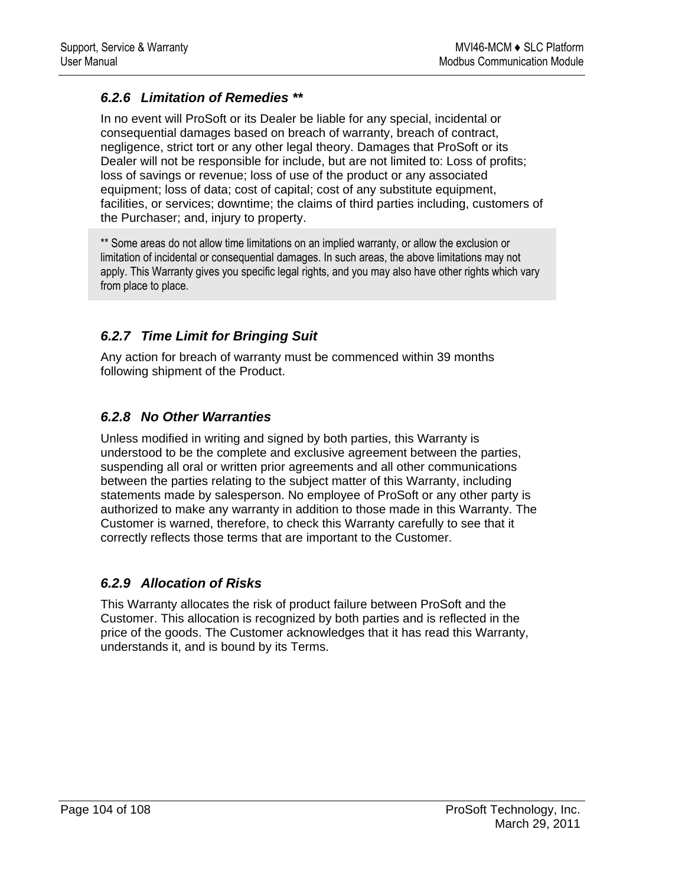### *6.2.6 Limitation of Remedies \*\**

In no event will ProSoft or its Dealer be liable for any special, incidental or consequential damages based on breach of warranty, breach of contract, negligence, strict tort or any other legal theory. Damages that ProSoft or its Dealer will not be responsible for include, but are not limited to: Loss of profits; loss of savings or revenue; loss of use of the product or any associated equipment; loss of data; cost of capital; cost of any substitute equipment, facilities, or services; downtime; the claims of third parties including, customers of the Purchaser; and, injury to property.

\*\* Some areas do not allow time limitations on an implied warranty, or allow the exclusion or limitation of incidental or consequential damages. In such areas, the above limitations may not apply. This Warranty gives you specific legal rights, and you may also have other rights which vary from place to place.

### *6.2.7 Time Limit for Bringing Suit*

Any action for breach of warranty must be commenced within 39 months following shipment of the Product.

# *6.2.8 No Other Warranties*

Unless modified in writing and signed by both parties, this Warranty is understood to be the complete and exclusive agreement between the parties, suspending all oral or written prior agreements and all other communications between the parties relating to the subject matter of this Warranty, including statements made by salesperson. No employee of ProSoft or any other party is authorized to make any warranty in addition to those made in this Warranty. The Customer is warned, therefore, to check this Warranty carefully to see that it correctly reflects those terms that are important to the Customer.

# *6.2.9 Allocation of Risks*

This Warranty allocates the risk of product failure between ProSoft and the Customer. This allocation is recognized by both parties and is reflected in the price of the goods. The Customer acknowledges that it has read this Warranty, understands it, and is bound by its Terms.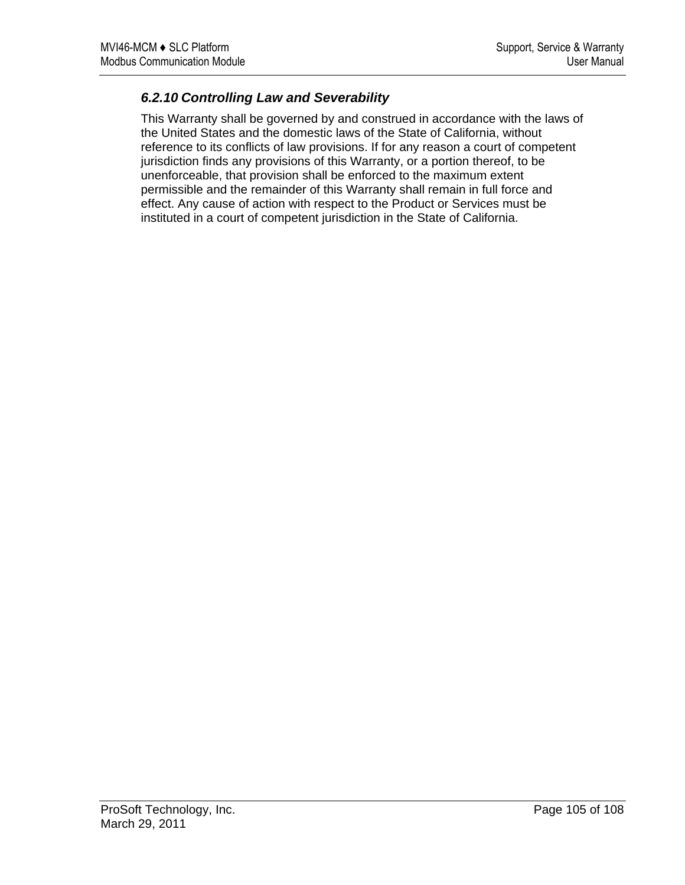# *6.2.10 Controlling Law and Severability*

This Warranty shall be governed by and construed in accordance with the laws of the United States and the domestic laws of the State of California, without reference to its conflicts of law provisions. If for any reason a court of competent jurisdiction finds any provisions of this Warranty, or a portion thereof, to be unenforceable, that provision shall be enforced to the maximum extent permissible and the remainder of this Warranty shall remain in full force and effect. Any cause of action with respect to the Product or Services must be instituted in a court of competent jurisdiction in the State of California.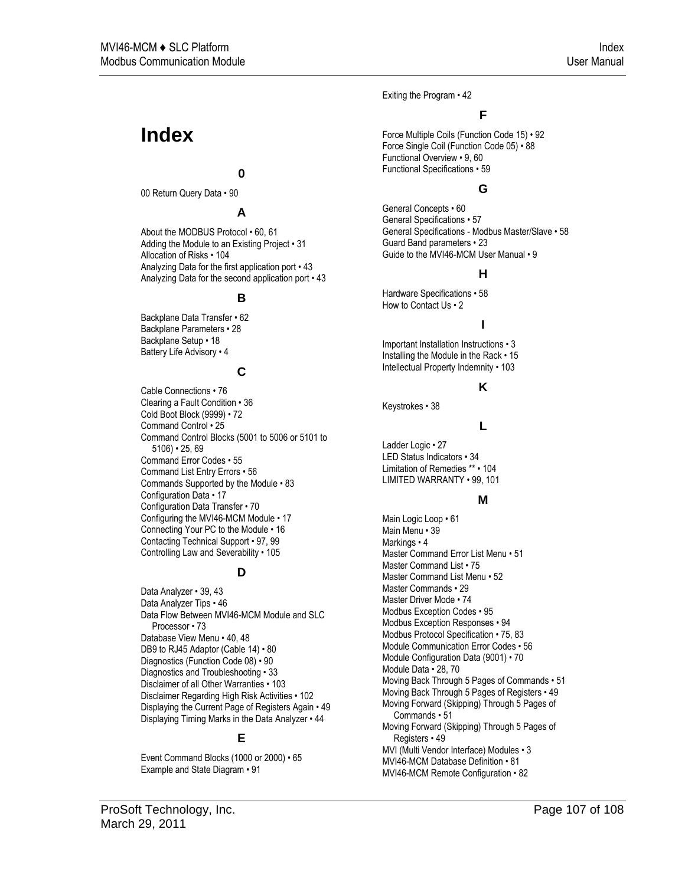# **Index**

### **0**

00 Return Query Data • 90

### **A**

About the MODBUS Protocol • 60, 61 Adding the Module to an Existing Project • 31 Allocation of Risks • 104 Analyzing Data for the first application port • 43 Analyzing Data for the second application port • 43

#### **B**

Backplane Data Transfer • 62 Backplane Parameters • 28 Backplane Setup • 18 Battery Life Advisory • 4

#### **C**

Cable Connections • 76 Clearing a Fault Condition • 36 Cold Boot Block (9999) • 72 Command Control • 25 Command Control Blocks (5001 to 5006 or 5101 to 5106) • 25, 69 Command Error Codes • 55 Command List Entry Errors • 56 Commands Supported by the Module • 83 Configuration Data • 17 Configuration Data Transfer • 70 Configuring the MVI46-MCM Module • 17 Connecting Your PC to the Module • 16 Contacting Technical Support • 97, 99 Controlling Law and Severability • 105

#### **D**

Data Analyzer • 39, 43 Data Analyzer Tips • 46 Data Flow Between MVI46-MCM Module and SLC Processor • 73 Database View Menu • 40, 48 DB9 to RJ45 Adaptor (Cable 14) • 80 Diagnostics (Function Code 08) • 90 Diagnostics and Troubleshooting • 33 Disclaimer of all Other Warranties • 103 Disclaimer Regarding High Risk Activities • 102 Displaying the Current Page of Registers Again • 49 Displaying Timing Marks in the Data Analyzer • 44

### **E**

Event Command Blocks (1000 or 2000) • 65 Example and State Diagram • 91

### **F**

Force Multiple Coils (Function Code 15) • 92 Force Single Coil (Function Code 05) • 88 Functional Overview • 9, 60 Functional Specifications • 59

#### **G**

General Concepts • 60 General Specifications • 57 General Specifications - Modbus Master/Slave • 58 Guard Band parameters • 23 Guide to the MVI46-MCM User Manual • 9

#### **H**

Hardware Specifications • 58 How to Contact Us • 2

#### **I**

Important Installation Instructions • 3 Installing the Module in the Rack • 15 Intellectual Property Indemnity • 103

#### **K**

Keystrokes • 38

#### **L**

Ladder Logic • 27 LED Status Indicators • 34 Limitation of Remedies \*\* • 104 LIMITED WARRANTY • 99, 101

#### **M**

Main Logic Loop • 61 Main Menu • 39 Markings • 4 Master Command Error List Menu • 51 Master Command List • 75 Master Command List Menu • 52 Master Commands • 29 Master Driver Mode • 74 Modbus Exception Codes • 95 Modbus Exception Responses • 94 Modbus Protocol Specification • 75, 83 Module Communication Error Codes • 56 Module Configuration Data (9001) • 70 Module Data • 28, 70 Moving Back Through 5 Pages of Commands • 51 Moving Back Through 5 Pages of Registers • 49 Moving Forward (Skipping) Through 5 Pages of Commands • 51 Moving Forward (Skipping) Through 5 Pages of Registers • 49 MVI (Multi Vendor Interface) Modules • 3 MVI46-MCM Database Definition • 81 MVI46-MCM Remote Configuration • 82